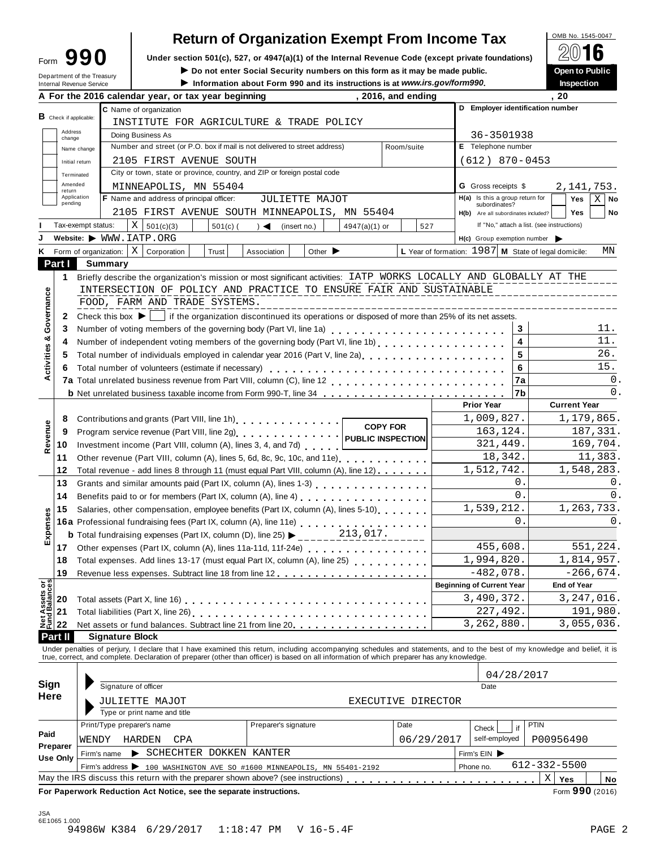| Form                       |  | 990 |
|----------------------------|--|-----|
| Department of the Treasury |  |     |

# Return of Organization Exempt From Income Tax  $\frac{\text{OMB No. 1545-0047}}{20}$

Form  $\mathbf{990}$  Under section 501(c), 527, or 4947(a)(1) of the Internal Revenue Code (except private foundations)  $\Box$   $\Box$  **D**<br>Do not enter Social Security numbers on this form as it may be made public.

 $\blacktriangleright$  Do not enter Social Security numbers on this form as it may be made public.

Information about Form 990 and its instructions is at www.irs.gov/form990.

| Inspection |  |  |  |
|------------|--|--|--|
|------------|--|--|--|

|                                                   |                    | , 2016, and ending<br>A For the 2016 calendar year, or tax year beginning                                                                                                                                                                                                                                                |            |                                                      | . 20                                                       |  |  |  |
|---------------------------------------------------|--------------------|--------------------------------------------------------------------------------------------------------------------------------------------------------------------------------------------------------------------------------------------------------------------------------------------------------------------------|------------|------------------------------------------------------|------------------------------------------------------------|--|--|--|
|                                                   |                    | C Name of organization                                                                                                                                                                                                                                                                                                   |            |                                                      | D Employer identification number                           |  |  |  |
| <b>B</b> Check if applicable:                     |                    | INSTITUTE FOR AGRICULTURE & TRADE POLICY                                                                                                                                                                                                                                                                                 |            |                                                      |                                                            |  |  |  |
| Address                                           |                    | Doing Business As                                                                                                                                                                                                                                                                                                        |            | 36-3501938                                           |                                                            |  |  |  |
| change                                            | Name change        | Number and street (or P.O. box if mail is not delivered to street address)<br>Room/suite                                                                                                                                                                                                                                 |            | E Telephone number                                   |                                                            |  |  |  |
|                                                   | Initial return     | 2105 FIRST AVENUE SOUTH                                                                                                                                                                                                                                                                                                  |            | $(612)$ 870-0453                                     |                                                            |  |  |  |
|                                                   | Terminated         | City or town, state or province, country, and ZIP or foreign postal code                                                                                                                                                                                                                                                 |            |                                                      |                                                            |  |  |  |
|                                                   | Amended            | MINNEAPOLIS, MN 55404                                                                                                                                                                                                                                                                                                    |            | <b>G</b> Gross receipts \$                           | 2,141,753.                                                 |  |  |  |
| return                                            | Application        | <b>F</b> Name and address of principal officer:<br>JULIETTE MAJOT                                                                                                                                                                                                                                                        |            | H(a) Is this a group return for                      | $X \mid N$ o<br>Yes                                        |  |  |  |
| pending                                           |                    | 2105 FIRST AVENUE SOUTH MINNEAPOLIS, MN 55404                                                                                                                                                                                                                                                                            |            | subordinates?<br>H(b) Are all subordinates included? | <b>Yes</b><br>No                                           |  |  |  |
|                                                   | Tax-exempt status: | X   501(c)(3)<br>$501(c)$ (<br>$\rightarrow$<br>(insert no.)<br>$4947(a)(1)$ or                                                                                                                                                                                                                                          | 527        |                                                      | If "No," attach a list. (see instructions)                 |  |  |  |
|                                                   |                    | Website: WWW.IATP.ORG                                                                                                                                                                                                                                                                                                    |            | $H(c)$ Group exemption number $\triangleright$       |                                                            |  |  |  |
|                                                   |                    | Form of organization: $\mid X \mid$ Corporation<br>Association<br>Other $\blacktriangleright$<br>Trust                                                                                                                                                                                                                   |            |                                                      | L Year of formation: 1987 M State of legal domicile:<br>MΝ |  |  |  |
| Part I                                            |                    | <b>Summary</b>                                                                                                                                                                                                                                                                                                           |            |                                                      |                                                            |  |  |  |
|                                                   |                    | Briefly describe the organization's mission or most significant activities: IATP WORKS LOCALLY AND GLOBALLY AT THE                                                                                                                                                                                                       |            |                                                      |                                                            |  |  |  |
| 1                                                 |                    |                                                                                                                                                                                                                                                                                                                          |            |                                                      |                                                            |  |  |  |
| Governance                                        |                    | INTERSECTION OF POLICY AND PRACTICE TO ENSURE FAIR AND SUSTAINABLE                                                                                                                                                                                                                                                       |            |                                                      |                                                            |  |  |  |
|                                                   |                    | FOOD, FARM AND TRADE SYSTEMS.<br>_______________________                                                                                                                                                                                                                                                                 |            |                                                      |                                                            |  |  |  |
| 2                                                 |                    | Check this box $\blacktriangleright \bigsqcup$ if the organization discontinued its operations or disposed of more than 25% of its net assets.                                                                                                                                                                           |            |                                                      |                                                            |  |  |  |
| 3                                                 |                    |                                                                                                                                                                                                                                                                                                                          |            | 3                                                    | 11.                                                        |  |  |  |
| 4                                                 |                    |                                                                                                                                                                                                                                                                                                                          |            | 4                                                    | 11.                                                        |  |  |  |
| 5                                                 |                    | Total number of individuals employed in calendar year 2016 (Part V, line 2a)<br>The 2a)                                                                                                                                                                                                                                  |            | 5                                                    | 26.                                                        |  |  |  |
| Activities &<br>6                                 |                    | Total number of volunteers (estimate if necessary)                                                                                                                                                                                                                                                                       |            | 6                                                    | 15.                                                        |  |  |  |
|                                                   |                    |                                                                                                                                                                                                                                                                                                                          |            | 7a                                                   | 0.                                                         |  |  |  |
|                                                   |                    | b Net unrelated business taxable income from Form 990-T, line 34                                                                                                                                                                                                                                                         |            | 7b                                                   | $\overline{0}$ .                                           |  |  |  |
|                                                   |                    |                                                                                                                                                                                                                                                                                                                          |            | <b>Prior Year</b>                                    | <b>Current Year</b>                                        |  |  |  |
| 8                                                 |                    | Contributions and grants (Part VIII, line 1h). [                                                                                                                                                                                                                                                                         |            | 1,009,827.                                           | 1,179,865.                                                 |  |  |  |
| Revenue<br>9                                      |                    | <b>COPY FOR</b>                                                                                                                                                                                                                                                                                                          |            | 163,124.                                             | 187,331.                                                   |  |  |  |
| 10                                                |                    | Investment income (Part VIII, column (A), lines 3, 4, and 7d)                                                                                                                                                                                                                                                            |            | 321,449.                                             | 169,704.                                                   |  |  |  |
| 11                                                |                    |                                                                                                                                                                                                                                                                                                                          |            | 18,342.                                              | 11,383.                                                    |  |  |  |
| 12                                                |                    | Total revenue - add lines 8 through 11 (must equal Part VIII, column (A), line 12)                                                                                                                                                                                                                                       |            | 1,512,742.                                           | 1,548,283.                                                 |  |  |  |
| 13                                                |                    | Grants and similar amounts paid (Part IX, column (A), lines 1-3)                                                                                                                                                                                                                                                         |            | $\overline{0}$ .                                     | 0.                                                         |  |  |  |
| 14                                                |                    |                                                                                                                                                                                                                                                                                                                          |            | 0.                                                   | 0.                                                         |  |  |  |
| 15                                                |                    | Salaries, other compensation, employee benefits (Part IX, column (A), lines 5-10)                                                                                                                                                                                                                                        |            | 1,539,212.                                           | 1,263,733.                                                 |  |  |  |
|                                                   |                    | 16a Professional fundraising fees (Part IX, column (A), line 11e)                                                                                                                                                                                                                                                        |            | $\Omega$ .                                           | 0.                                                         |  |  |  |
| Expenses                                          |                    | <b>b</b> Total fundraising expenses (Part IX, column (D), line 25) $\triangleright$ 213, 017.                                                                                                                                                                                                                            |            |                                                      |                                                            |  |  |  |
| 17                                                |                    |                                                                                                                                                                                                                                                                                                                          |            | 455,608.                                             | 551,224.                                                   |  |  |  |
| 18                                                |                    | Total expenses. Add lines 13-17 (must equal Part IX, column (A), line 25)                                                                                                                                                                                                                                                |            | 1,994,820.                                           | 1,814,957.                                                 |  |  |  |
| 19                                                |                    | .                                                                                                                                                                                                                                                                                                                        |            | $-482,078.$                                          | $-266,674.$                                                |  |  |  |
|                                                   |                    |                                                                                                                                                                                                                                                                                                                          |            | <b>Beginning of Current Year</b>                     | <b>End of Year</b>                                         |  |  |  |
|                                                   |                    |                                                                                                                                                                                                                                                                                                                          |            | 3,490,372.                                           | 3,247,016.                                                 |  |  |  |
| Puet Assets of<br>Fund Balances<br>22<br>22<br>22 |                    |                                                                                                                                                                                                                                                                                                                          |            | 227,492.                                             | 191,980.                                                   |  |  |  |
|                                                   |                    | Total liabilities (Part X, line 26)                                                                                                                                                                                                                                                                                      |            |                                                      |                                                            |  |  |  |
|                                                   |                    | Net assets or fund balances. Subtract line 21 from line 20.                                                                                                                                                                                                                                                              |            | 3,262,880.                                           | 3,055,036.                                                 |  |  |  |
| Part II                                           |                    | <b>Signature Block</b>                                                                                                                                                                                                                                                                                                   |            |                                                      |                                                            |  |  |  |
|                                                   |                    | Under penalties of perjury, I declare that I have examined this return, including accompanying schedules and statements, and to the best of my knowledge and belief, it is<br>true, correct, and complete. Declaration of preparer (other than officer) is based on all information of which preparer has any knowledge. |            |                                                      |                                                            |  |  |  |
|                                                   |                    |                                                                                                                                                                                                                                                                                                                          |            |                                                      |                                                            |  |  |  |
| Sign                                              |                    | Signature of officer                                                                                                                                                                                                                                                                                                     |            | 04/28/2017<br>Date                                   |                                                            |  |  |  |
| <b>Here</b>                                       |                    |                                                                                                                                                                                                                                                                                                                          |            |                                                      |                                                            |  |  |  |
|                                                   |                    | JULIETTE MAJOT<br>EXECUTIVE DIRECTOR                                                                                                                                                                                                                                                                                     |            |                                                      |                                                            |  |  |  |
|                                                   |                    | Type or print name and title                                                                                                                                                                                                                                                                                             |            |                                                      |                                                            |  |  |  |
| Paid                                              |                    | Print/Type preparer's name<br>Preparer's signature<br>Date                                                                                                                                                                                                                                                               |            | if<br>Check                                          | PTIN                                                       |  |  |  |
|                                                   | WENDY              | HARDEN<br>CPA                                                                                                                                                                                                                                                                                                            | 06/29/2017 | self-employed                                        | P00956490                                                  |  |  |  |
| Preparer<br>Use Only                              | Firm's name        | SCHECHTER DOKKEN KANTER                                                                                                                                                                                                                                                                                                  |            | Firm's EIN ▶                                         |                                                            |  |  |  |
|                                                   |                    |                                                                                                                                                                                                                                                                                                                          |            |                                                      | 612-332-5500                                               |  |  |  |
|                                                   |                    | Firm's address > 100 WASHINGTON AVE SO #1600 MINNEAPOLIS, MN 55401-2192                                                                                                                                                                                                                                                  | Phone no.  |                                                      |                                                            |  |  |  |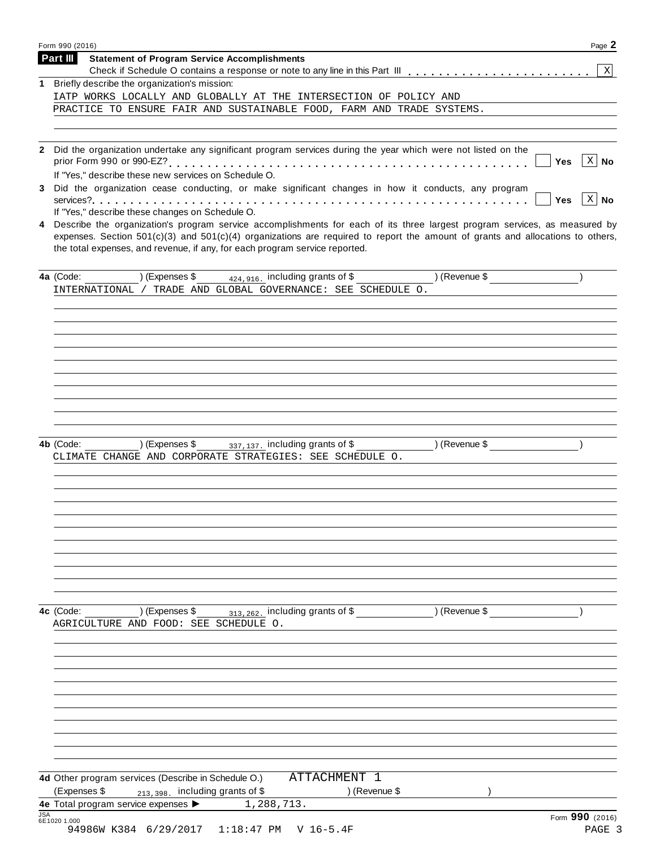|            | Form 990 (2016)                                                                                                                                                                                                                                                                                                                             | Page 2           |
|------------|---------------------------------------------------------------------------------------------------------------------------------------------------------------------------------------------------------------------------------------------------------------------------------------------------------------------------------------------|------------------|
|            | Part III<br><b>Statement of Program Service Accomplishments</b>                                                                                                                                                                                                                                                                             |                  |
|            | 1 Briefly describe the organization's mission:                                                                                                                                                                                                                                                                                              |                  |
|            | IATP WORKS LOCALLY AND GLOBALLY AT THE INTERSECTION OF POLICY AND                                                                                                                                                                                                                                                                           |                  |
|            | PRACTICE TO ENSURE FAIR AND SUSTAINABLE FOOD, FARM AND TRADE SYSTEMS.                                                                                                                                                                                                                                                                       |                  |
|            |                                                                                                                                                                                                                                                                                                                                             |                  |
|            |                                                                                                                                                                                                                                                                                                                                             |                  |
|            | 2 Did the organization undertake any significant program services during the year which were not listed on the<br>Yes                                                                                                                                                                                                                       | X No             |
| 3          | If "Yes," describe these new services on Schedule O.<br>Did the organization cease conducting, or make significant changes in how it conducts, any program<br>Yes                                                                                                                                                                           | $\mid X \mid$ No |
|            | If "Yes," describe these changes on Schedule O.                                                                                                                                                                                                                                                                                             |                  |
| 4          | Describe the organization's program service accomplishments for each of its three largest program services, as measured by<br>expenses. Section 501(c)(3) and 501(c)(4) organizations are required to report the amount of grants and allocations to others,<br>the total expenses, and revenue, if any, for each program service reported. |                  |
|            |                                                                                                                                                                                                                                                                                                                                             |                  |
|            | INTERNATIONAL / TRADE AND GLOBAL GOVERNANCE: SEE SCHEDULE O.                                                                                                                                                                                                                                                                                |                  |
|            |                                                                                                                                                                                                                                                                                                                                             |                  |
|            |                                                                                                                                                                                                                                                                                                                                             |                  |
|            |                                                                                                                                                                                                                                                                                                                                             |                  |
|            |                                                                                                                                                                                                                                                                                                                                             |                  |
|            |                                                                                                                                                                                                                                                                                                                                             |                  |
|            |                                                                                                                                                                                                                                                                                                                                             |                  |
|            |                                                                                                                                                                                                                                                                                                                                             |                  |
|            |                                                                                                                                                                                                                                                                                                                                             |                  |
|            |                                                                                                                                                                                                                                                                                                                                             |                  |
|            | (Expenses \$<br>$_{337,137}$ including grants of \$ ) (Revenue \$ )<br>4b (Code:<br>CLIMATE CHANGE AND CORPORATE STRATEGIES: SEE SCHEDULE O.                                                                                                                                                                                                |                  |
|            |                                                                                                                                                                                                                                                                                                                                             |                  |
|            |                                                                                                                                                                                                                                                                                                                                             |                  |
|            | 4c (Code:<br>) (Expenses \$<br>313, 262. including grants of \$<br>) (Revenue \$<br>AGRICULTURE AND FOOD: SEE SCHEDULE O.                                                                                                                                                                                                                   |                  |
|            |                                                                                                                                                                                                                                                                                                                                             |                  |
|            |                                                                                                                                                                                                                                                                                                                                             |                  |
|            |                                                                                                                                                                                                                                                                                                                                             |                  |
|            |                                                                                                                                                                                                                                                                                                                                             |                  |
|            | ATTACHMENT 1<br>4d Other program services (Describe in Schedule O.)<br>(Expenses \$<br>213, 398. including grants of \$<br>) (Revenue \$                                                                                                                                                                                                    |                  |
|            | 4e Total program service expenses ><br>1,288,713.                                                                                                                                                                                                                                                                                           |                  |
| <b>JSA</b> |                                                                                                                                                                                                                                                                                                                                             | Form 990 (2016)  |
|            | 6E1020 1.000<br>94986W K384 6/29/2017<br>$1:18:47$ PM<br>V 16-5.4F                                                                                                                                                                                                                                                                          | PAGE 3           |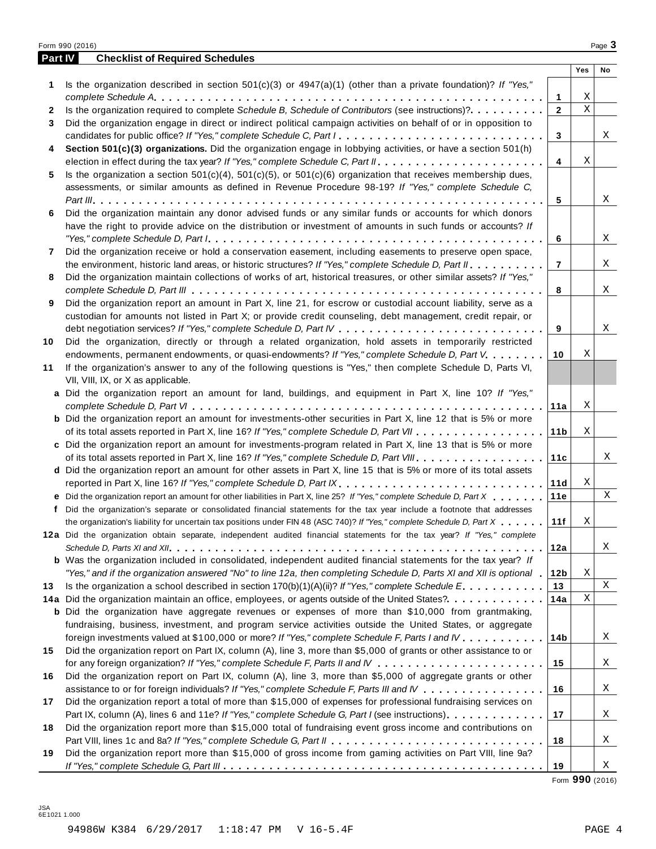| Part IV<br>Yes<br>No<br>Is the organization described in section $501(c)(3)$ or $4947(a)(1)$ (other than a private foundation)? If "Yes,"<br>1<br>X<br>1<br>$\mathbf X$<br>Is the organization required to complete Schedule B, Schedule of Contributors (see instructions)?.<br>$\overline{2}$<br>2<br>Did the organization engage in direct or indirect political campaign activities on behalf of or in opposition to<br>3<br>candidates for public office? If "Yes," complete Schedule C, Part I.<br>3<br>Χ<br>Section 501(c)(3) organizations. Did the organization engage in lobbying activities, or have a section 501(h)<br>4<br>Χ<br>4<br>Is the organization a section $501(c)(4)$ , $501(c)(5)$ , or $501(c)(6)$ organization that receives membership dues,<br>5<br>assessments, or similar amounts as defined in Revenue Procedure 98-19? If "Yes," complete Schedule C,<br>5<br>Χ<br>Did the organization maintain any donor advised funds or any similar funds or accounts for which donors<br>6<br>have the right to provide advice on the distribution or investment of amounts in such funds or accounts? If<br>X<br>6<br>Did the organization receive or hold a conservation easement, including easements to preserve open space,<br>7<br>$\overline{7}$<br>X<br>the environment, historic land areas, or historic structures? If "Yes," complete Schedule D, Part II.<br>Did the organization maintain collections of works of art, historical treasures, or other similar assets? If "Yes,"<br>8<br>X<br>8<br>Did the organization report an amount in Part X, line 21, for escrow or custodial account liability, serve as a<br>9<br>custodian for amounts not listed in Part X; or provide credit counseling, debt management, credit repair, or<br>X<br>9<br>Did the organization, directly or through a related organization, hold assets in temporarily restricted<br>10<br>X<br>endowments, permanent endowments, or quasi-endowments? If "Yes," complete Schedule D, Part V.<br>10<br>If the organization's answer to any of the following questions is "Yes," then complete Schedule D, Parts VI,<br>11<br>VII, VIII, IX, or X as applicable.<br>a Did the organization report an amount for land, buildings, and equipment in Part X, line 10? If "Yes,"<br>Χ<br>11a<br><b>b</b> Did the organization report an amount for investments-other securities in Part X, line 12 that is 5% or more<br>Χ<br>11 <sub>b</sub><br>c Did the organization report an amount for investments-program related in Part X, line 13 that is 5% or more<br>X<br>11c<br>d Did the organization report an amount for other assets in Part X, line 15 that is 5% or more of its total assets<br>Χ<br>reported in Part X, line 16? If "Yes," complete Schedule D, Part IX.<br>11d<br>Χ<br>e Did the organization report an amount for other liabilities in Part X, line 25? If "Yes," complete Schedule D, Part X<br>11e<br>f Did the organization's separate or consolidated financial statements for the tax year include a footnote that addresses<br>the organization's liability for uncertain tax positions under FIN 48 (ASC 740)? If "Yes," complete Schedule D, Part X  111<br>$\mathbf X$<br>12a Did the organization obtain separate, independent audited financial statements for the tax year? If "Yes," complete<br>Χ<br>12a<br><b>b</b> Was the organization included in consolidated, independent audited financial statements for the tax year? If<br>X<br>"Yes," and if the organization answered "No" to line 12a, then completing Schedule D, Parts XI and XII is optional 1<br>12 <sub>b</sub><br>Χ<br>Is the organization a school described in section 170(b)(1)(A)(ii)? If "Yes," complete Schedule E.<br>13<br>13<br>Χ<br>14a Did the organization maintain an office, employees, or agents outside of the United States?.<br>14a<br><b>b</b> Did the organization have aggregate revenues or expenses of more than \$10,000 from grantmaking,<br>fundraising, business, investment, and program service activities outside the United States, or aggregate<br>foreign investments valued at \$100,000 or more? If "Yes," complete Schedule F, Parts I and IV<br>X<br>14b<br>Did the organization report on Part IX, column (A), line 3, more than \$5,000 of grants or other assistance to or<br>15<br>Χ<br>15<br>Did the organization report on Part IX, column (A), line 3, more than \$5,000 of aggregate grants or other<br>16<br>assistance to or for foreign individuals? If "Yes," complete Schedule F, Parts III and IV<br>Χ<br>16<br>Did the organization report a total of more than \$15,000 of expenses for professional fundraising services on<br>17<br>X<br>Part IX, column (A), lines 6 and 11e? If "Yes," complete Schedule G, Part I (see instructions)<br>17<br>Did the organization report more than \$15,000 total of fundraising event gross income and contributions on<br>18<br>Χ<br>18<br>Did the organization report more than \$15,000 of gross income from gaming activities on Part VIII, line 9a?<br>19<br>Χ<br>19 | Form 990 (2016)<br>Page 3 |                                        |  |  |  |  |  |  |  |  |
|--------------------------------------------------------------------------------------------------------------------------------------------------------------------------------------------------------------------------------------------------------------------------------------------------------------------------------------------------------------------------------------------------------------------------------------------------------------------------------------------------------------------------------------------------------------------------------------------------------------------------------------------------------------------------------------------------------------------------------------------------------------------------------------------------------------------------------------------------------------------------------------------------------------------------------------------------------------------------------------------------------------------------------------------------------------------------------------------------------------------------------------------------------------------------------------------------------------------------------------------------------------------------------------------------------------------------------------------------------------------------------------------------------------------------------------------------------------------------------------------------------------------------------------------------------------------------------------------------------------------------------------------------------------------------------------------------------------------------------------------------------------------------------------------------------------------------------------------------------------------------------------------------------------------------------------------------------------------------------------------------------------------------------------------------------------------------------------------------------------------------------------------------------------------------------------------------------------------------------------------------------------------------------------------------------------------------------------------------------------------------------------------------------------------------------------------------------------------------------------------------------------------------------------------------------------------------------------------------------------------------------------------------------------------------------------------------------------------------------------------------------------------------------------------------------------------------------------------------------------------------------------------------------------------------------------------------------------------------------------------------------------------------------------------------------------------------------------------------------------------------------------------------------------------------------------------------------------------------------------------------------------------------------------------------------------------------------------------------------------------------------------------------------------------------------------------------------------------------------------------------------------------------------------------------------------------------------------------------------------------------------------------------------------------------------------------------------------------------------------------------------------------------------------------------------------------------------------------------------------------------------------------------------------------------------------------------------------------------------------------------------------------------------------------------------------------------------------------------------------------------------------------------------------------------------------------------------------------------------------------------------------------------------------------------------------------------------------------------------------------------------------------------------------------------------------------------------------------------------------------------------------------------------------------------------------------------------------------------------------------------------------------------------------------------------------------------------------------------------------------------------------------------------------------------------------------------------------------------------------------------------------------------------------------------------------------------------------------------------------------------------------------------------------------------------------------------------------|---------------------------|----------------------------------------|--|--|--|--|--|--|--|--|
|                                                                                                                                                                                                                                                                                                                                                                                                                                                                                                                                                                                                                                                                                                                                                                                                                                                                                                                                                                                                                                                                                                                                                                                                                                                                                                                                                                                                                                                                                                                                                                                                                                                                                                                                                                                                                                                                                                                                                                                                                                                                                                                                                                                                                                                                                                                                                                                                                                                                                                                                                                                                                                                                                                                                                                                                                                                                                                                                                                                                                                                                                                                                                                                                                                                                                                                                                                                                                                                                                                                                                                                                                                                                                                                                                                                                                                                                                                                                                                                                                                                                                                                                                                                                                                                                                                                                                                                                                                                                                                                                                                                                                                                                                                                                                                                                                                                                                                                                                                                                                                                                                      |                           | <b>Checklist of Required Schedules</b> |  |  |  |  |  |  |  |  |
|                                                                                                                                                                                                                                                                                                                                                                                                                                                                                                                                                                                                                                                                                                                                                                                                                                                                                                                                                                                                                                                                                                                                                                                                                                                                                                                                                                                                                                                                                                                                                                                                                                                                                                                                                                                                                                                                                                                                                                                                                                                                                                                                                                                                                                                                                                                                                                                                                                                                                                                                                                                                                                                                                                                                                                                                                                                                                                                                                                                                                                                                                                                                                                                                                                                                                                                                                                                                                                                                                                                                                                                                                                                                                                                                                                                                                                                                                                                                                                                                                                                                                                                                                                                                                                                                                                                                                                                                                                                                                                                                                                                                                                                                                                                                                                                                                                                                                                                                                                                                                                                                                      |                           |                                        |  |  |  |  |  |  |  |  |
|                                                                                                                                                                                                                                                                                                                                                                                                                                                                                                                                                                                                                                                                                                                                                                                                                                                                                                                                                                                                                                                                                                                                                                                                                                                                                                                                                                                                                                                                                                                                                                                                                                                                                                                                                                                                                                                                                                                                                                                                                                                                                                                                                                                                                                                                                                                                                                                                                                                                                                                                                                                                                                                                                                                                                                                                                                                                                                                                                                                                                                                                                                                                                                                                                                                                                                                                                                                                                                                                                                                                                                                                                                                                                                                                                                                                                                                                                                                                                                                                                                                                                                                                                                                                                                                                                                                                                                                                                                                                                                                                                                                                                                                                                                                                                                                                                                                                                                                                                                                                                                                                                      |                           |                                        |  |  |  |  |  |  |  |  |
|                                                                                                                                                                                                                                                                                                                                                                                                                                                                                                                                                                                                                                                                                                                                                                                                                                                                                                                                                                                                                                                                                                                                                                                                                                                                                                                                                                                                                                                                                                                                                                                                                                                                                                                                                                                                                                                                                                                                                                                                                                                                                                                                                                                                                                                                                                                                                                                                                                                                                                                                                                                                                                                                                                                                                                                                                                                                                                                                                                                                                                                                                                                                                                                                                                                                                                                                                                                                                                                                                                                                                                                                                                                                                                                                                                                                                                                                                                                                                                                                                                                                                                                                                                                                                                                                                                                                                                                                                                                                                                                                                                                                                                                                                                                                                                                                                                                                                                                                                                                                                                                                                      |                           |                                        |  |  |  |  |  |  |  |  |
|                                                                                                                                                                                                                                                                                                                                                                                                                                                                                                                                                                                                                                                                                                                                                                                                                                                                                                                                                                                                                                                                                                                                                                                                                                                                                                                                                                                                                                                                                                                                                                                                                                                                                                                                                                                                                                                                                                                                                                                                                                                                                                                                                                                                                                                                                                                                                                                                                                                                                                                                                                                                                                                                                                                                                                                                                                                                                                                                                                                                                                                                                                                                                                                                                                                                                                                                                                                                                                                                                                                                                                                                                                                                                                                                                                                                                                                                                                                                                                                                                                                                                                                                                                                                                                                                                                                                                                                                                                                                                                                                                                                                                                                                                                                                                                                                                                                                                                                                                                                                                                                                                      |                           |                                        |  |  |  |  |  |  |  |  |
|                                                                                                                                                                                                                                                                                                                                                                                                                                                                                                                                                                                                                                                                                                                                                                                                                                                                                                                                                                                                                                                                                                                                                                                                                                                                                                                                                                                                                                                                                                                                                                                                                                                                                                                                                                                                                                                                                                                                                                                                                                                                                                                                                                                                                                                                                                                                                                                                                                                                                                                                                                                                                                                                                                                                                                                                                                                                                                                                                                                                                                                                                                                                                                                                                                                                                                                                                                                                                                                                                                                                                                                                                                                                                                                                                                                                                                                                                                                                                                                                                                                                                                                                                                                                                                                                                                                                                                                                                                                                                                                                                                                                                                                                                                                                                                                                                                                                                                                                                                                                                                                                                      |                           |                                        |  |  |  |  |  |  |  |  |
|                                                                                                                                                                                                                                                                                                                                                                                                                                                                                                                                                                                                                                                                                                                                                                                                                                                                                                                                                                                                                                                                                                                                                                                                                                                                                                                                                                                                                                                                                                                                                                                                                                                                                                                                                                                                                                                                                                                                                                                                                                                                                                                                                                                                                                                                                                                                                                                                                                                                                                                                                                                                                                                                                                                                                                                                                                                                                                                                                                                                                                                                                                                                                                                                                                                                                                                                                                                                                                                                                                                                                                                                                                                                                                                                                                                                                                                                                                                                                                                                                                                                                                                                                                                                                                                                                                                                                                                                                                                                                                                                                                                                                                                                                                                                                                                                                                                                                                                                                                                                                                                                                      |                           |                                        |  |  |  |  |  |  |  |  |
|                                                                                                                                                                                                                                                                                                                                                                                                                                                                                                                                                                                                                                                                                                                                                                                                                                                                                                                                                                                                                                                                                                                                                                                                                                                                                                                                                                                                                                                                                                                                                                                                                                                                                                                                                                                                                                                                                                                                                                                                                                                                                                                                                                                                                                                                                                                                                                                                                                                                                                                                                                                                                                                                                                                                                                                                                                                                                                                                                                                                                                                                                                                                                                                                                                                                                                                                                                                                                                                                                                                                                                                                                                                                                                                                                                                                                                                                                                                                                                                                                                                                                                                                                                                                                                                                                                                                                                                                                                                                                                                                                                                                                                                                                                                                                                                                                                                                                                                                                                                                                                                                                      |                           |                                        |  |  |  |  |  |  |  |  |
|                                                                                                                                                                                                                                                                                                                                                                                                                                                                                                                                                                                                                                                                                                                                                                                                                                                                                                                                                                                                                                                                                                                                                                                                                                                                                                                                                                                                                                                                                                                                                                                                                                                                                                                                                                                                                                                                                                                                                                                                                                                                                                                                                                                                                                                                                                                                                                                                                                                                                                                                                                                                                                                                                                                                                                                                                                                                                                                                                                                                                                                                                                                                                                                                                                                                                                                                                                                                                                                                                                                                                                                                                                                                                                                                                                                                                                                                                                                                                                                                                                                                                                                                                                                                                                                                                                                                                                                                                                                                                                                                                                                                                                                                                                                                                                                                                                                                                                                                                                                                                                                                                      |                           |                                        |  |  |  |  |  |  |  |  |
|                                                                                                                                                                                                                                                                                                                                                                                                                                                                                                                                                                                                                                                                                                                                                                                                                                                                                                                                                                                                                                                                                                                                                                                                                                                                                                                                                                                                                                                                                                                                                                                                                                                                                                                                                                                                                                                                                                                                                                                                                                                                                                                                                                                                                                                                                                                                                                                                                                                                                                                                                                                                                                                                                                                                                                                                                                                                                                                                                                                                                                                                                                                                                                                                                                                                                                                                                                                                                                                                                                                                                                                                                                                                                                                                                                                                                                                                                                                                                                                                                                                                                                                                                                                                                                                                                                                                                                                                                                                                                                                                                                                                                                                                                                                                                                                                                                                                                                                                                                                                                                                                                      |                           |                                        |  |  |  |  |  |  |  |  |
|                                                                                                                                                                                                                                                                                                                                                                                                                                                                                                                                                                                                                                                                                                                                                                                                                                                                                                                                                                                                                                                                                                                                                                                                                                                                                                                                                                                                                                                                                                                                                                                                                                                                                                                                                                                                                                                                                                                                                                                                                                                                                                                                                                                                                                                                                                                                                                                                                                                                                                                                                                                                                                                                                                                                                                                                                                                                                                                                                                                                                                                                                                                                                                                                                                                                                                                                                                                                                                                                                                                                                                                                                                                                                                                                                                                                                                                                                                                                                                                                                                                                                                                                                                                                                                                                                                                                                                                                                                                                                                                                                                                                                                                                                                                                                                                                                                                                                                                                                                                                                                                                                      |                           |                                        |  |  |  |  |  |  |  |  |
|                                                                                                                                                                                                                                                                                                                                                                                                                                                                                                                                                                                                                                                                                                                                                                                                                                                                                                                                                                                                                                                                                                                                                                                                                                                                                                                                                                                                                                                                                                                                                                                                                                                                                                                                                                                                                                                                                                                                                                                                                                                                                                                                                                                                                                                                                                                                                                                                                                                                                                                                                                                                                                                                                                                                                                                                                                                                                                                                                                                                                                                                                                                                                                                                                                                                                                                                                                                                                                                                                                                                                                                                                                                                                                                                                                                                                                                                                                                                                                                                                                                                                                                                                                                                                                                                                                                                                                                                                                                                                                                                                                                                                                                                                                                                                                                                                                                                                                                                                                                                                                                                                      |                           |                                        |  |  |  |  |  |  |  |  |
|                                                                                                                                                                                                                                                                                                                                                                                                                                                                                                                                                                                                                                                                                                                                                                                                                                                                                                                                                                                                                                                                                                                                                                                                                                                                                                                                                                                                                                                                                                                                                                                                                                                                                                                                                                                                                                                                                                                                                                                                                                                                                                                                                                                                                                                                                                                                                                                                                                                                                                                                                                                                                                                                                                                                                                                                                                                                                                                                                                                                                                                                                                                                                                                                                                                                                                                                                                                                                                                                                                                                                                                                                                                                                                                                                                                                                                                                                                                                                                                                                                                                                                                                                                                                                                                                                                                                                                                                                                                                                                                                                                                                                                                                                                                                                                                                                                                                                                                                                                                                                                                                                      |                           |                                        |  |  |  |  |  |  |  |  |
|                                                                                                                                                                                                                                                                                                                                                                                                                                                                                                                                                                                                                                                                                                                                                                                                                                                                                                                                                                                                                                                                                                                                                                                                                                                                                                                                                                                                                                                                                                                                                                                                                                                                                                                                                                                                                                                                                                                                                                                                                                                                                                                                                                                                                                                                                                                                                                                                                                                                                                                                                                                                                                                                                                                                                                                                                                                                                                                                                                                                                                                                                                                                                                                                                                                                                                                                                                                                                                                                                                                                                                                                                                                                                                                                                                                                                                                                                                                                                                                                                                                                                                                                                                                                                                                                                                                                                                                                                                                                                                                                                                                                                                                                                                                                                                                                                                                                                                                                                                                                                                                                                      |                           |                                        |  |  |  |  |  |  |  |  |
|                                                                                                                                                                                                                                                                                                                                                                                                                                                                                                                                                                                                                                                                                                                                                                                                                                                                                                                                                                                                                                                                                                                                                                                                                                                                                                                                                                                                                                                                                                                                                                                                                                                                                                                                                                                                                                                                                                                                                                                                                                                                                                                                                                                                                                                                                                                                                                                                                                                                                                                                                                                                                                                                                                                                                                                                                                                                                                                                                                                                                                                                                                                                                                                                                                                                                                                                                                                                                                                                                                                                                                                                                                                                                                                                                                                                                                                                                                                                                                                                                                                                                                                                                                                                                                                                                                                                                                                                                                                                                                                                                                                                                                                                                                                                                                                                                                                                                                                                                                                                                                                                                      |                           |                                        |  |  |  |  |  |  |  |  |
|                                                                                                                                                                                                                                                                                                                                                                                                                                                                                                                                                                                                                                                                                                                                                                                                                                                                                                                                                                                                                                                                                                                                                                                                                                                                                                                                                                                                                                                                                                                                                                                                                                                                                                                                                                                                                                                                                                                                                                                                                                                                                                                                                                                                                                                                                                                                                                                                                                                                                                                                                                                                                                                                                                                                                                                                                                                                                                                                                                                                                                                                                                                                                                                                                                                                                                                                                                                                                                                                                                                                                                                                                                                                                                                                                                                                                                                                                                                                                                                                                                                                                                                                                                                                                                                                                                                                                                                                                                                                                                                                                                                                                                                                                                                                                                                                                                                                                                                                                                                                                                                                                      |                           |                                        |  |  |  |  |  |  |  |  |
|                                                                                                                                                                                                                                                                                                                                                                                                                                                                                                                                                                                                                                                                                                                                                                                                                                                                                                                                                                                                                                                                                                                                                                                                                                                                                                                                                                                                                                                                                                                                                                                                                                                                                                                                                                                                                                                                                                                                                                                                                                                                                                                                                                                                                                                                                                                                                                                                                                                                                                                                                                                                                                                                                                                                                                                                                                                                                                                                                                                                                                                                                                                                                                                                                                                                                                                                                                                                                                                                                                                                                                                                                                                                                                                                                                                                                                                                                                                                                                                                                                                                                                                                                                                                                                                                                                                                                                                                                                                                                                                                                                                                                                                                                                                                                                                                                                                                                                                                                                                                                                                                                      |                           |                                        |  |  |  |  |  |  |  |  |
|                                                                                                                                                                                                                                                                                                                                                                                                                                                                                                                                                                                                                                                                                                                                                                                                                                                                                                                                                                                                                                                                                                                                                                                                                                                                                                                                                                                                                                                                                                                                                                                                                                                                                                                                                                                                                                                                                                                                                                                                                                                                                                                                                                                                                                                                                                                                                                                                                                                                                                                                                                                                                                                                                                                                                                                                                                                                                                                                                                                                                                                                                                                                                                                                                                                                                                                                                                                                                                                                                                                                                                                                                                                                                                                                                                                                                                                                                                                                                                                                                                                                                                                                                                                                                                                                                                                                                                                                                                                                                                                                                                                                                                                                                                                                                                                                                                                                                                                                                                                                                                                                                      |                           |                                        |  |  |  |  |  |  |  |  |
|                                                                                                                                                                                                                                                                                                                                                                                                                                                                                                                                                                                                                                                                                                                                                                                                                                                                                                                                                                                                                                                                                                                                                                                                                                                                                                                                                                                                                                                                                                                                                                                                                                                                                                                                                                                                                                                                                                                                                                                                                                                                                                                                                                                                                                                                                                                                                                                                                                                                                                                                                                                                                                                                                                                                                                                                                                                                                                                                                                                                                                                                                                                                                                                                                                                                                                                                                                                                                                                                                                                                                                                                                                                                                                                                                                                                                                                                                                                                                                                                                                                                                                                                                                                                                                                                                                                                                                                                                                                                                                                                                                                                                                                                                                                                                                                                                                                                                                                                                                                                                                                                                      |                           |                                        |  |  |  |  |  |  |  |  |
|                                                                                                                                                                                                                                                                                                                                                                                                                                                                                                                                                                                                                                                                                                                                                                                                                                                                                                                                                                                                                                                                                                                                                                                                                                                                                                                                                                                                                                                                                                                                                                                                                                                                                                                                                                                                                                                                                                                                                                                                                                                                                                                                                                                                                                                                                                                                                                                                                                                                                                                                                                                                                                                                                                                                                                                                                                                                                                                                                                                                                                                                                                                                                                                                                                                                                                                                                                                                                                                                                                                                                                                                                                                                                                                                                                                                                                                                                                                                                                                                                                                                                                                                                                                                                                                                                                                                                                                                                                                                                                                                                                                                                                                                                                                                                                                                                                                                                                                                                                                                                                                                                      |                           |                                        |  |  |  |  |  |  |  |  |
|                                                                                                                                                                                                                                                                                                                                                                                                                                                                                                                                                                                                                                                                                                                                                                                                                                                                                                                                                                                                                                                                                                                                                                                                                                                                                                                                                                                                                                                                                                                                                                                                                                                                                                                                                                                                                                                                                                                                                                                                                                                                                                                                                                                                                                                                                                                                                                                                                                                                                                                                                                                                                                                                                                                                                                                                                                                                                                                                                                                                                                                                                                                                                                                                                                                                                                                                                                                                                                                                                                                                                                                                                                                                                                                                                                                                                                                                                                                                                                                                                                                                                                                                                                                                                                                                                                                                                                                                                                                                                                                                                                                                                                                                                                                                                                                                                                                                                                                                                                                                                                                                                      |                           |                                        |  |  |  |  |  |  |  |  |
|                                                                                                                                                                                                                                                                                                                                                                                                                                                                                                                                                                                                                                                                                                                                                                                                                                                                                                                                                                                                                                                                                                                                                                                                                                                                                                                                                                                                                                                                                                                                                                                                                                                                                                                                                                                                                                                                                                                                                                                                                                                                                                                                                                                                                                                                                                                                                                                                                                                                                                                                                                                                                                                                                                                                                                                                                                                                                                                                                                                                                                                                                                                                                                                                                                                                                                                                                                                                                                                                                                                                                                                                                                                                                                                                                                                                                                                                                                                                                                                                                                                                                                                                                                                                                                                                                                                                                                                                                                                                                                                                                                                                                                                                                                                                                                                                                                                                                                                                                                                                                                                                                      |                           |                                        |  |  |  |  |  |  |  |  |
|                                                                                                                                                                                                                                                                                                                                                                                                                                                                                                                                                                                                                                                                                                                                                                                                                                                                                                                                                                                                                                                                                                                                                                                                                                                                                                                                                                                                                                                                                                                                                                                                                                                                                                                                                                                                                                                                                                                                                                                                                                                                                                                                                                                                                                                                                                                                                                                                                                                                                                                                                                                                                                                                                                                                                                                                                                                                                                                                                                                                                                                                                                                                                                                                                                                                                                                                                                                                                                                                                                                                                                                                                                                                                                                                                                                                                                                                                                                                                                                                                                                                                                                                                                                                                                                                                                                                                                                                                                                                                                                                                                                                                                                                                                                                                                                                                                                                                                                                                                                                                                                                                      |                           |                                        |  |  |  |  |  |  |  |  |
|                                                                                                                                                                                                                                                                                                                                                                                                                                                                                                                                                                                                                                                                                                                                                                                                                                                                                                                                                                                                                                                                                                                                                                                                                                                                                                                                                                                                                                                                                                                                                                                                                                                                                                                                                                                                                                                                                                                                                                                                                                                                                                                                                                                                                                                                                                                                                                                                                                                                                                                                                                                                                                                                                                                                                                                                                                                                                                                                                                                                                                                                                                                                                                                                                                                                                                                                                                                                                                                                                                                                                                                                                                                                                                                                                                                                                                                                                                                                                                                                                                                                                                                                                                                                                                                                                                                                                                                                                                                                                                                                                                                                                                                                                                                                                                                                                                                                                                                                                                                                                                                                                      |                           |                                        |  |  |  |  |  |  |  |  |
|                                                                                                                                                                                                                                                                                                                                                                                                                                                                                                                                                                                                                                                                                                                                                                                                                                                                                                                                                                                                                                                                                                                                                                                                                                                                                                                                                                                                                                                                                                                                                                                                                                                                                                                                                                                                                                                                                                                                                                                                                                                                                                                                                                                                                                                                                                                                                                                                                                                                                                                                                                                                                                                                                                                                                                                                                                                                                                                                                                                                                                                                                                                                                                                                                                                                                                                                                                                                                                                                                                                                                                                                                                                                                                                                                                                                                                                                                                                                                                                                                                                                                                                                                                                                                                                                                                                                                                                                                                                                                                                                                                                                                                                                                                                                                                                                                                                                                                                                                                                                                                                                                      |                           |                                        |  |  |  |  |  |  |  |  |
|                                                                                                                                                                                                                                                                                                                                                                                                                                                                                                                                                                                                                                                                                                                                                                                                                                                                                                                                                                                                                                                                                                                                                                                                                                                                                                                                                                                                                                                                                                                                                                                                                                                                                                                                                                                                                                                                                                                                                                                                                                                                                                                                                                                                                                                                                                                                                                                                                                                                                                                                                                                                                                                                                                                                                                                                                                                                                                                                                                                                                                                                                                                                                                                                                                                                                                                                                                                                                                                                                                                                                                                                                                                                                                                                                                                                                                                                                                                                                                                                                                                                                                                                                                                                                                                                                                                                                                                                                                                                                                                                                                                                                                                                                                                                                                                                                                                                                                                                                                                                                                                                                      |                           |                                        |  |  |  |  |  |  |  |  |
|                                                                                                                                                                                                                                                                                                                                                                                                                                                                                                                                                                                                                                                                                                                                                                                                                                                                                                                                                                                                                                                                                                                                                                                                                                                                                                                                                                                                                                                                                                                                                                                                                                                                                                                                                                                                                                                                                                                                                                                                                                                                                                                                                                                                                                                                                                                                                                                                                                                                                                                                                                                                                                                                                                                                                                                                                                                                                                                                                                                                                                                                                                                                                                                                                                                                                                                                                                                                                                                                                                                                                                                                                                                                                                                                                                                                                                                                                                                                                                                                                                                                                                                                                                                                                                                                                                                                                                                                                                                                                                                                                                                                                                                                                                                                                                                                                                                                                                                                                                                                                                                                                      |                           |                                        |  |  |  |  |  |  |  |  |
|                                                                                                                                                                                                                                                                                                                                                                                                                                                                                                                                                                                                                                                                                                                                                                                                                                                                                                                                                                                                                                                                                                                                                                                                                                                                                                                                                                                                                                                                                                                                                                                                                                                                                                                                                                                                                                                                                                                                                                                                                                                                                                                                                                                                                                                                                                                                                                                                                                                                                                                                                                                                                                                                                                                                                                                                                                                                                                                                                                                                                                                                                                                                                                                                                                                                                                                                                                                                                                                                                                                                                                                                                                                                                                                                                                                                                                                                                                                                                                                                                                                                                                                                                                                                                                                                                                                                                                                                                                                                                                                                                                                                                                                                                                                                                                                                                                                                                                                                                                                                                                                                                      |                           |                                        |  |  |  |  |  |  |  |  |
|                                                                                                                                                                                                                                                                                                                                                                                                                                                                                                                                                                                                                                                                                                                                                                                                                                                                                                                                                                                                                                                                                                                                                                                                                                                                                                                                                                                                                                                                                                                                                                                                                                                                                                                                                                                                                                                                                                                                                                                                                                                                                                                                                                                                                                                                                                                                                                                                                                                                                                                                                                                                                                                                                                                                                                                                                                                                                                                                                                                                                                                                                                                                                                                                                                                                                                                                                                                                                                                                                                                                                                                                                                                                                                                                                                                                                                                                                                                                                                                                                                                                                                                                                                                                                                                                                                                                                                                                                                                                                                                                                                                                                                                                                                                                                                                                                                                                                                                                                                                                                                                                                      |                           |                                        |  |  |  |  |  |  |  |  |
|                                                                                                                                                                                                                                                                                                                                                                                                                                                                                                                                                                                                                                                                                                                                                                                                                                                                                                                                                                                                                                                                                                                                                                                                                                                                                                                                                                                                                                                                                                                                                                                                                                                                                                                                                                                                                                                                                                                                                                                                                                                                                                                                                                                                                                                                                                                                                                                                                                                                                                                                                                                                                                                                                                                                                                                                                                                                                                                                                                                                                                                                                                                                                                                                                                                                                                                                                                                                                                                                                                                                                                                                                                                                                                                                                                                                                                                                                                                                                                                                                                                                                                                                                                                                                                                                                                                                                                                                                                                                                                                                                                                                                                                                                                                                                                                                                                                                                                                                                                                                                                                                                      |                           |                                        |  |  |  |  |  |  |  |  |
|                                                                                                                                                                                                                                                                                                                                                                                                                                                                                                                                                                                                                                                                                                                                                                                                                                                                                                                                                                                                                                                                                                                                                                                                                                                                                                                                                                                                                                                                                                                                                                                                                                                                                                                                                                                                                                                                                                                                                                                                                                                                                                                                                                                                                                                                                                                                                                                                                                                                                                                                                                                                                                                                                                                                                                                                                                                                                                                                                                                                                                                                                                                                                                                                                                                                                                                                                                                                                                                                                                                                                                                                                                                                                                                                                                                                                                                                                                                                                                                                                                                                                                                                                                                                                                                                                                                                                                                                                                                                                                                                                                                                                                                                                                                                                                                                                                                                                                                                                                                                                                                                                      |                           |                                        |  |  |  |  |  |  |  |  |
|                                                                                                                                                                                                                                                                                                                                                                                                                                                                                                                                                                                                                                                                                                                                                                                                                                                                                                                                                                                                                                                                                                                                                                                                                                                                                                                                                                                                                                                                                                                                                                                                                                                                                                                                                                                                                                                                                                                                                                                                                                                                                                                                                                                                                                                                                                                                                                                                                                                                                                                                                                                                                                                                                                                                                                                                                                                                                                                                                                                                                                                                                                                                                                                                                                                                                                                                                                                                                                                                                                                                                                                                                                                                                                                                                                                                                                                                                                                                                                                                                                                                                                                                                                                                                                                                                                                                                                                                                                                                                                                                                                                                                                                                                                                                                                                                                                                                                                                                                                                                                                                                                      |                           |                                        |  |  |  |  |  |  |  |  |
|                                                                                                                                                                                                                                                                                                                                                                                                                                                                                                                                                                                                                                                                                                                                                                                                                                                                                                                                                                                                                                                                                                                                                                                                                                                                                                                                                                                                                                                                                                                                                                                                                                                                                                                                                                                                                                                                                                                                                                                                                                                                                                                                                                                                                                                                                                                                                                                                                                                                                                                                                                                                                                                                                                                                                                                                                                                                                                                                                                                                                                                                                                                                                                                                                                                                                                                                                                                                                                                                                                                                                                                                                                                                                                                                                                                                                                                                                                                                                                                                                                                                                                                                                                                                                                                                                                                                                                                                                                                                                                                                                                                                                                                                                                                                                                                                                                                                                                                                                                                                                                                                                      |                           |                                        |  |  |  |  |  |  |  |  |
|                                                                                                                                                                                                                                                                                                                                                                                                                                                                                                                                                                                                                                                                                                                                                                                                                                                                                                                                                                                                                                                                                                                                                                                                                                                                                                                                                                                                                                                                                                                                                                                                                                                                                                                                                                                                                                                                                                                                                                                                                                                                                                                                                                                                                                                                                                                                                                                                                                                                                                                                                                                                                                                                                                                                                                                                                                                                                                                                                                                                                                                                                                                                                                                                                                                                                                                                                                                                                                                                                                                                                                                                                                                                                                                                                                                                                                                                                                                                                                                                                                                                                                                                                                                                                                                                                                                                                                                                                                                                                                                                                                                                                                                                                                                                                                                                                                                                                                                                                                                                                                                                                      |                           |                                        |  |  |  |  |  |  |  |  |
|                                                                                                                                                                                                                                                                                                                                                                                                                                                                                                                                                                                                                                                                                                                                                                                                                                                                                                                                                                                                                                                                                                                                                                                                                                                                                                                                                                                                                                                                                                                                                                                                                                                                                                                                                                                                                                                                                                                                                                                                                                                                                                                                                                                                                                                                                                                                                                                                                                                                                                                                                                                                                                                                                                                                                                                                                                                                                                                                                                                                                                                                                                                                                                                                                                                                                                                                                                                                                                                                                                                                                                                                                                                                                                                                                                                                                                                                                                                                                                                                                                                                                                                                                                                                                                                                                                                                                                                                                                                                                                                                                                                                                                                                                                                                                                                                                                                                                                                                                                                                                                                                                      |                           |                                        |  |  |  |  |  |  |  |  |
|                                                                                                                                                                                                                                                                                                                                                                                                                                                                                                                                                                                                                                                                                                                                                                                                                                                                                                                                                                                                                                                                                                                                                                                                                                                                                                                                                                                                                                                                                                                                                                                                                                                                                                                                                                                                                                                                                                                                                                                                                                                                                                                                                                                                                                                                                                                                                                                                                                                                                                                                                                                                                                                                                                                                                                                                                                                                                                                                                                                                                                                                                                                                                                                                                                                                                                                                                                                                                                                                                                                                                                                                                                                                                                                                                                                                                                                                                                                                                                                                                                                                                                                                                                                                                                                                                                                                                                                                                                                                                                                                                                                                                                                                                                                                                                                                                                                                                                                                                                                                                                                                                      |                           |                                        |  |  |  |  |  |  |  |  |
|                                                                                                                                                                                                                                                                                                                                                                                                                                                                                                                                                                                                                                                                                                                                                                                                                                                                                                                                                                                                                                                                                                                                                                                                                                                                                                                                                                                                                                                                                                                                                                                                                                                                                                                                                                                                                                                                                                                                                                                                                                                                                                                                                                                                                                                                                                                                                                                                                                                                                                                                                                                                                                                                                                                                                                                                                                                                                                                                                                                                                                                                                                                                                                                                                                                                                                                                                                                                                                                                                                                                                                                                                                                                                                                                                                                                                                                                                                                                                                                                                                                                                                                                                                                                                                                                                                                                                                                                                                                                                                                                                                                                                                                                                                                                                                                                                                                                                                                                                                                                                                                                                      |                           |                                        |  |  |  |  |  |  |  |  |
|                                                                                                                                                                                                                                                                                                                                                                                                                                                                                                                                                                                                                                                                                                                                                                                                                                                                                                                                                                                                                                                                                                                                                                                                                                                                                                                                                                                                                                                                                                                                                                                                                                                                                                                                                                                                                                                                                                                                                                                                                                                                                                                                                                                                                                                                                                                                                                                                                                                                                                                                                                                                                                                                                                                                                                                                                                                                                                                                                                                                                                                                                                                                                                                                                                                                                                                                                                                                                                                                                                                                                                                                                                                                                                                                                                                                                                                                                                                                                                                                                                                                                                                                                                                                                                                                                                                                                                                                                                                                                                                                                                                                                                                                                                                                                                                                                                                                                                                                                                                                                                                                                      |                           |                                        |  |  |  |  |  |  |  |  |
|                                                                                                                                                                                                                                                                                                                                                                                                                                                                                                                                                                                                                                                                                                                                                                                                                                                                                                                                                                                                                                                                                                                                                                                                                                                                                                                                                                                                                                                                                                                                                                                                                                                                                                                                                                                                                                                                                                                                                                                                                                                                                                                                                                                                                                                                                                                                                                                                                                                                                                                                                                                                                                                                                                                                                                                                                                                                                                                                                                                                                                                                                                                                                                                                                                                                                                                                                                                                                                                                                                                                                                                                                                                                                                                                                                                                                                                                                                                                                                                                                                                                                                                                                                                                                                                                                                                                                                                                                                                                                                                                                                                                                                                                                                                                                                                                                                                                                                                                                                                                                                                                                      |                           |                                        |  |  |  |  |  |  |  |  |
|                                                                                                                                                                                                                                                                                                                                                                                                                                                                                                                                                                                                                                                                                                                                                                                                                                                                                                                                                                                                                                                                                                                                                                                                                                                                                                                                                                                                                                                                                                                                                                                                                                                                                                                                                                                                                                                                                                                                                                                                                                                                                                                                                                                                                                                                                                                                                                                                                                                                                                                                                                                                                                                                                                                                                                                                                                                                                                                                                                                                                                                                                                                                                                                                                                                                                                                                                                                                                                                                                                                                                                                                                                                                                                                                                                                                                                                                                                                                                                                                                                                                                                                                                                                                                                                                                                                                                                                                                                                                                                                                                                                                                                                                                                                                                                                                                                                                                                                                                                                                                                                                                      |                           |                                        |  |  |  |  |  |  |  |  |
|                                                                                                                                                                                                                                                                                                                                                                                                                                                                                                                                                                                                                                                                                                                                                                                                                                                                                                                                                                                                                                                                                                                                                                                                                                                                                                                                                                                                                                                                                                                                                                                                                                                                                                                                                                                                                                                                                                                                                                                                                                                                                                                                                                                                                                                                                                                                                                                                                                                                                                                                                                                                                                                                                                                                                                                                                                                                                                                                                                                                                                                                                                                                                                                                                                                                                                                                                                                                                                                                                                                                                                                                                                                                                                                                                                                                                                                                                                                                                                                                                                                                                                                                                                                                                                                                                                                                                                                                                                                                                                                                                                                                                                                                                                                                                                                                                                                                                                                                                                                                                                                                                      |                           |                                        |  |  |  |  |  |  |  |  |
|                                                                                                                                                                                                                                                                                                                                                                                                                                                                                                                                                                                                                                                                                                                                                                                                                                                                                                                                                                                                                                                                                                                                                                                                                                                                                                                                                                                                                                                                                                                                                                                                                                                                                                                                                                                                                                                                                                                                                                                                                                                                                                                                                                                                                                                                                                                                                                                                                                                                                                                                                                                                                                                                                                                                                                                                                                                                                                                                                                                                                                                                                                                                                                                                                                                                                                                                                                                                                                                                                                                                                                                                                                                                                                                                                                                                                                                                                                                                                                                                                                                                                                                                                                                                                                                                                                                                                                                                                                                                                                                                                                                                                                                                                                                                                                                                                                                                                                                                                                                                                                                                                      |                           |                                        |  |  |  |  |  |  |  |  |
|                                                                                                                                                                                                                                                                                                                                                                                                                                                                                                                                                                                                                                                                                                                                                                                                                                                                                                                                                                                                                                                                                                                                                                                                                                                                                                                                                                                                                                                                                                                                                                                                                                                                                                                                                                                                                                                                                                                                                                                                                                                                                                                                                                                                                                                                                                                                                                                                                                                                                                                                                                                                                                                                                                                                                                                                                                                                                                                                                                                                                                                                                                                                                                                                                                                                                                                                                                                                                                                                                                                                                                                                                                                                                                                                                                                                                                                                                                                                                                                                                                                                                                                                                                                                                                                                                                                                                                                                                                                                                                                                                                                                                                                                                                                                                                                                                                                                                                                                                                                                                                                                                      |                           |                                        |  |  |  |  |  |  |  |  |
|                                                                                                                                                                                                                                                                                                                                                                                                                                                                                                                                                                                                                                                                                                                                                                                                                                                                                                                                                                                                                                                                                                                                                                                                                                                                                                                                                                                                                                                                                                                                                                                                                                                                                                                                                                                                                                                                                                                                                                                                                                                                                                                                                                                                                                                                                                                                                                                                                                                                                                                                                                                                                                                                                                                                                                                                                                                                                                                                                                                                                                                                                                                                                                                                                                                                                                                                                                                                                                                                                                                                                                                                                                                                                                                                                                                                                                                                                                                                                                                                                                                                                                                                                                                                                                                                                                                                                                                                                                                                                                                                                                                                                                                                                                                                                                                                                                                                                                                                                                                                                                                                                      |                           |                                        |  |  |  |  |  |  |  |  |
|                                                                                                                                                                                                                                                                                                                                                                                                                                                                                                                                                                                                                                                                                                                                                                                                                                                                                                                                                                                                                                                                                                                                                                                                                                                                                                                                                                                                                                                                                                                                                                                                                                                                                                                                                                                                                                                                                                                                                                                                                                                                                                                                                                                                                                                                                                                                                                                                                                                                                                                                                                                                                                                                                                                                                                                                                                                                                                                                                                                                                                                                                                                                                                                                                                                                                                                                                                                                                                                                                                                                                                                                                                                                                                                                                                                                                                                                                                                                                                                                                                                                                                                                                                                                                                                                                                                                                                                                                                                                                                                                                                                                                                                                                                                                                                                                                                                                                                                                                                                                                                                                                      |                           |                                        |  |  |  |  |  |  |  |  |
|                                                                                                                                                                                                                                                                                                                                                                                                                                                                                                                                                                                                                                                                                                                                                                                                                                                                                                                                                                                                                                                                                                                                                                                                                                                                                                                                                                                                                                                                                                                                                                                                                                                                                                                                                                                                                                                                                                                                                                                                                                                                                                                                                                                                                                                                                                                                                                                                                                                                                                                                                                                                                                                                                                                                                                                                                                                                                                                                                                                                                                                                                                                                                                                                                                                                                                                                                                                                                                                                                                                                                                                                                                                                                                                                                                                                                                                                                                                                                                                                                                                                                                                                                                                                                                                                                                                                                                                                                                                                                                                                                                                                                                                                                                                                                                                                                                                                                                                                                                                                                                                                                      |                           |                                        |  |  |  |  |  |  |  |  |
|                                                                                                                                                                                                                                                                                                                                                                                                                                                                                                                                                                                                                                                                                                                                                                                                                                                                                                                                                                                                                                                                                                                                                                                                                                                                                                                                                                                                                                                                                                                                                                                                                                                                                                                                                                                                                                                                                                                                                                                                                                                                                                                                                                                                                                                                                                                                                                                                                                                                                                                                                                                                                                                                                                                                                                                                                                                                                                                                                                                                                                                                                                                                                                                                                                                                                                                                                                                                                                                                                                                                                                                                                                                                                                                                                                                                                                                                                                                                                                                                                                                                                                                                                                                                                                                                                                                                                                                                                                                                                                                                                                                                                                                                                                                                                                                                                                                                                                                                                                                                                                                                                      |                           |                                        |  |  |  |  |  |  |  |  |
|                                                                                                                                                                                                                                                                                                                                                                                                                                                                                                                                                                                                                                                                                                                                                                                                                                                                                                                                                                                                                                                                                                                                                                                                                                                                                                                                                                                                                                                                                                                                                                                                                                                                                                                                                                                                                                                                                                                                                                                                                                                                                                                                                                                                                                                                                                                                                                                                                                                                                                                                                                                                                                                                                                                                                                                                                                                                                                                                                                                                                                                                                                                                                                                                                                                                                                                                                                                                                                                                                                                                                                                                                                                                                                                                                                                                                                                                                                                                                                                                                                                                                                                                                                                                                                                                                                                                                                                                                                                                                                                                                                                                                                                                                                                                                                                                                                                                                                                                                                                                                                                                                      |                           |                                        |  |  |  |  |  |  |  |  |
|                                                                                                                                                                                                                                                                                                                                                                                                                                                                                                                                                                                                                                                                                                                                                                                                                                                                                                                                                                                                                                                                                                                                                                                                                                                                                                                                                                                                                                                                                                                                                                                                                                                                                                                                                                                                                                                                                                                                                                                                                                                                                                                                                                                                                                                                                                                                                                                                                                                                                                                                                                                                                                                                                                                                                                                                                                                                                                                                                                                                                                                                                                                                                                                                                                                                                                                                                                                                                                                                                                                                                                                                                                                                                                                                                                                                                                                                                                                                                                                                                                                                                                                                                                                                                                                                                                                                                                                                                                                                                                                                                                                                                                                                                                                                                                                                                                                                                                                                                                                                                                                                                      |                           |                                        |  |  |  |  |  |  |  |  |
|                                                                                                                                                                                                                                                                                                                                                                                                                                                                                                                                                                                                                                                                                                                                                                                                                                                                                                                                                                                                                                                                                                                                                                                                                                                                                                                                                                                                                                                                                                                                                                                                                                                                                                                                                                                                                                                                                                                                                                                                                                                                                                                                                                                                                                                                                                                                                                                                                                                                                                                                                                                                                                                                                                                                                                                                                                                                                                                                                                                                                                                                                                                                                                                                                                                                                                                                                                                                                                                                                                                                                                                                                                                                                                                                                                                                                                                                                                                                                                                                                                                                                                                                                                                                                                                                                                                                                                                                                                                                                                                                                                                                                                                                                                                                                                                                                                                                                                                                                                                                                                                                                      |                           |                                        |  |  |  |  |  |  |  |  |
|                                                                                                                                                                                                                                                                                                                                                                                                                                                                                                                                                                                                                                                                                                                                                                                                                                                                                                                                                                                                                                                                                                                                                                                                                                                                                                                                                                                                                                                                                                                                                                                                                                                                                                                                                                                                                                                                                                                                                                                                                                                                                                                                                                                                                                                                                                                                                                                                                                                                                                                                                                                                                                                                                                                                                                                                                                                                                                                                                                                                                                                                                                                                                                                                                                                                                                                                                                                                                                                                                                                                                                                                                                                                                                                                                                                                                                                                                                                                                                                                                                                                                                                                                                                                                                                                                                                                                                                                                                                                                                                                                                                                                                                                                                                                                                                                                                                                                                                                                                                                                                                                                      |                           |                                        |  |  |  |  |  |  |  |  |
|                                                                                                                                                                                                                                                                                                                                                                                                                                                                                                                                                                                                                                                                                                                                                                                                                                                                                                                                                                                                                                                                                                                                                                                                                                                                                                                                                                                                                                                                                                                                                                                                                                                                                                                                                                                                                                                                                                                                                                                                                                                                                                                                                                                                                                                                                                                                                                                                                                                                                                                                                                                                                                                                                                                                                                                                                                                                                                                                                                                                                                                                                                                                                                                                                                                                                                                                                                                                                                                                                                                                                                                                                                                                                                                                                                                                                                                                                                                                                                                                                                                                                                                                                                                                                                                                                                                                                                                                                                                                                                                                                                                                                                                                                                                                                                                                                                                                                                                                                                                                                                                                                      |                           |                                        |  |  |  |  |  |  |  |  |
|                                                                                                                                                                                                                                                                                                                                                                                                                                                                                                                                                                                                                                                                                                                                                                                                                                                                                                                                                                                                                                                                                                                                                                                                                                                                                                                                                                                                                                                                                                                                                                                                                                                                                                                                                                                                                                                                                                                                                                                                                                                                                                                                                                                                                                                                                                                                                                                                                                                                                                                                                                                                                                                                                                                                                                                                                                                                                                                                                                                                                                                                                                                                                                                                                                                                                                                                                                                                                                                                                                                                                                                                                                                                                                                                                                                                                                                                                                                                                                                                                                                                                                                                                                                                                                                                                                                                                                                                                                                                                                                                                                                                                                                                                                                                                                                                                                                                                                                                                                                                                                                                                      |                           |                                        |  |  |  |  |  |  |  |  |
|                                                                                                                                                                                                                                                                                                                                                                                                                                                                                                                                                                                                                                                                                                                                                                                                                                                                                                                                                                                                                                                                                                                                                                                                                                                                                                                                                                                                                                                                                                                                                                                                                                                                                                                                                                                                                                                                                                                                                                                                                                                                                                                                                                                                                                                                                                                                                                                                                                                                                                                                                                                                                                                                                                                                                                                                                                                                                                                                                                                                                                                                                                                                                                                                                                                                                                                                                                                                                                                                                                                                                                                                                                                                                                                                                                                                                                                                                                                                                                                                                                                                                                                                                                                                                                                                                                                                                                                                                                                                                                                                                                                                                                                                                                                                                                                                                                                                                                                                                                                                                                                                                      |                           |                                        |  |  |  |  |  |  |  |  |
|                                                                                                                                                                                                                                                                                                                                                                                                                                                                                                                                                                                                                                                                                                                                                                                                                                                                                                                                                                                                                                                                                                                                                                                                                                                                                                                                                                                                                                                                                                                                                                                                                                                                                                                                                                                                                                                                                                                                                                                                                                                                                                                                                                                                                                                                                                                                                                                                                                                                                                                                                                                                                                                                                                                                                                                                                                                                                                                                                                                                                                                                                                                                                                                                                                                                                                                                                                                                                                                                                                                                                                                                                                                                                                                                                                                                                                                                                                                                                                                                                                                                                                                                                                                                                                                                                                                                                                                                                                                                                                                                                                                                                                                                                                                                                                                                                                                                                                                                                                                                                                                                                      |                           |                                        |  |  |  |  |  |  |  |  |

Form **990** (2016)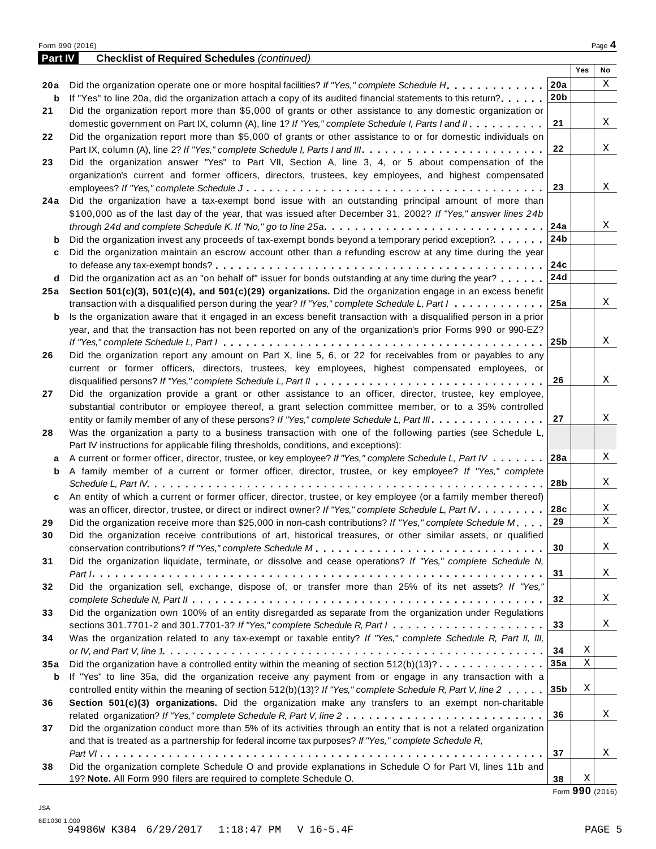|         | Form 990 (2016)                                                                                                                         |                 |     | Page 4      |
|---------|-----------------------------------------------------------------------------------------------------------------------------------------|-----------------|-----|-------------|
| Part IV | <b>Checklist of Required Schedules (continued)</b>                                                                                      |                 |     |             |
|         |                                                                                                                                         |                 | Yes | No          |
| 20 a    | Did the organization operate one or more hospital facilities? If "Yes," complete Schedule H.                                            | 20a             |     | Χ           |
| b       | If "Yes" to line 20a, did the organization attach a copy of its audited financial statements to this return?                            | 20b             |     |             |
| 21      | Did the organization report more than \$5,000 of grants or other assistance to any domestic organization or                             |                 |     |             |
|         | domestic government on Part IX, column (A), line 1? If "Yes," complete Schedule I, Parts I and II.                                      | 21              |     | X           |
| 22      | Did the organization report more than \$5,000 of grants or other assistance to or for domestic individuals on                           |                 |     |             |
|         |                                                                                                                                         | 22              |     | X           |
| 23      | Did the organization answer "Yes" to Part VII, Section A, line 3, 4, or 5 about compensation of the                                     |                 |     |             |
|         | organization's current and former officers, directors, trustees, key employees, and highest compensated                                 |                 |     | X           |
|         |                                                                                                                                         | 23              |     |             |
| 24 a    | Did the organization have a tax-exempt bond issue with an outstanding principal amount of more than                                     |                 |     |             |
|         | \$100,000 as of the last day of the year, that was issued after December 31, 2002? If "Yes," answer lines 24b                           | 24a             |     | Χ           |
|         | through 24d and complete Schedule K. If "No," go to line 25a. $\dots \dots \dots \dots \dots \dots \dots \dots \dots \dots \dots \dots$ | 24b             |     |             |
| b       | Did the organization invest any proceeds of tax-exempt bonds beyond a temporary period exception?                                       |                 |     |             |
| C       | Did the organization maintain an escrow account other than a refunding escrow at any time during the year                               | 24c             |     |             |
|         | Did the organization act as an "on behalf of" issuer for bonds outstanding at any time during the year?                                 | 24d             |     |             |
| d       | Section 501(c)(3), 501(c)(4), and 501(c)(29) organizations. Did the organization engage in an excess benefit                            |                 |     |             |
| 25 a    | transaction with a disqualified person during the year? If "Yes," complete Schedule L, Part $1, \ldots, \ldots, \ldots$                 | 25a             |     | X           |
| b       | Is the organization aware that it engaged in an excess benefit transaction with a disqualified person in a prior                        |                 |     |             |
|         | year, and that the transaction has not been reported on any of the organization's prior Forms 990 or 990-EZ?                            |                 |     |             |
|         |                                                                                                                                         | 25 <sub>b</sub> |     | X           |
| 26      | Did the organization report any amount on Part X, line 5, 6, or 22 for receivables from or payables to any                              |                 |     |             |
|         | current or former officers, directors, trustees, key employees, highest compensated employees, or                                       |                 |     |             |
|         |                                                                                                                                         | 26              |     | Χ           |
| 27      | Did the organization provide a grant or other assistance to an officer, director, trustee, key employee,                                |                 |     |             |
|         | substantial contributor or employee thereof, a grant selection committee member, or to a 35% controlled                                 |                 |     |             |
|         | entity or family member of any of these persons? If "Yes," complete Schedule L, Part III.                                               | 27              |     | Χ           |
| 28      | Was the organization a party to a business transaction with one of the following parties (see Schedule L,                               |                 |     |             |
|         | Part IV instructions for applicable filing thresholds, conditions, and exceptions):                                                     |                 |     |             |
| а       | A current or former officer, director, trustee, or key employee? If "Yes," complete Schedule L, Part IV                                 | 28a             |     | X           |
|         | <b>b</b> A family member of a current or former officer, director, trustee, or key employee? If "Yes," complete                         |                 |     |             |
|         |                                                                                                                                         | 28b             |     | X           |
|         | c An entity of which a current or former officer, director, trustee, or key employee (or a family member thereof)                       |                 |     |             |
|         | was an officer, director, trustee, or direct or indirect owner? If "Yes," complete Schedule L, Part IV.                                 | 28c             |     | Χ           |
| 29      | Did the organization receive more than \$25,000 in non-cash contributions? If "Yes," complete Schedule M.                               | 29              |     | $\mathbf X$ |
| 30      | Did the organization receive contributions of art, historical treasures, or other similar assets, or qualified                          |                 |     |             |
|         |                                                                                                                                         | 30              |     | Χ           |
| 31      | Did the organization liquidate, terminate, or dissolve and cease operations? If "Yes," complete Schedule N,                             |                 |     |             |
|         |                                                                                                                                         | 31              |     | X           |
| 32      | Did the organization sell, exchange, dispose of, or transfer more than 25% of its net assets? If "Yes,"                                 |                 |     |             |
|         |                                                                                                                                         | 32              |     | X           |
| 33      | Did the organization own 100% of an entity disregarded as separate from the organization under Regulations                              |                 |     |             |
|         | sections 301.7701-2 and 301.7701-3? If "Yes," complete Schedule R, Part $1, \ldots, \ldots, \ldots, \ldots, \ldots, \ldots$             | 33              |     | Χ           |
| 34      | Was the organization related to any tax-exempt or taxable entity? If "Yes," complete Schedule R, Part II, III,                          |                 |     |             |
|         |                                                                                                                                         | 34              | Χ   |             |
| 35a     | Did the organization have a controlled entity within the meaning of section $512(b)(13)? \ldots \ldots \ldots \ldots$                   | 35a             | Χ   |             |
| b       | If "Yes" to line 35a, did the organization receive any payment from or engage in any transaction with a                                 |                 |     |             |
|         | controlled entity within the meaning of section 512(b)(13)? If "Yes," complete Schedule R, Part V, line 2                               | 35b             | Χ   |             |
| 36      | Section 501(c)(3) organizations. Did the organization make any transfers to an exempt non-charitable                                    |                 |     |             |
|         |                                                                                                                                         | 36              |     | X           |
| 37      | Did the organization conduct more than 5% of its activities through an entity that is not a related organization                        |                 |     |             |
|         | and that is treated as a partnership for federal income tax purposes? If "Yes," complete Schedule R,                                    |                 |     |             |
|         |                                                                                                                                         | 37              |     | Χ           |
| 38      | Did the organization complete Schedule O and provide explanations in Schedule O for Part VI, lines 11b and                              |                 |     |             |
|         | 19? Note. All Form 990 filers are required to complete Schedule O.                                                                      | 38              | Χ   |             |

Form **990** (2016)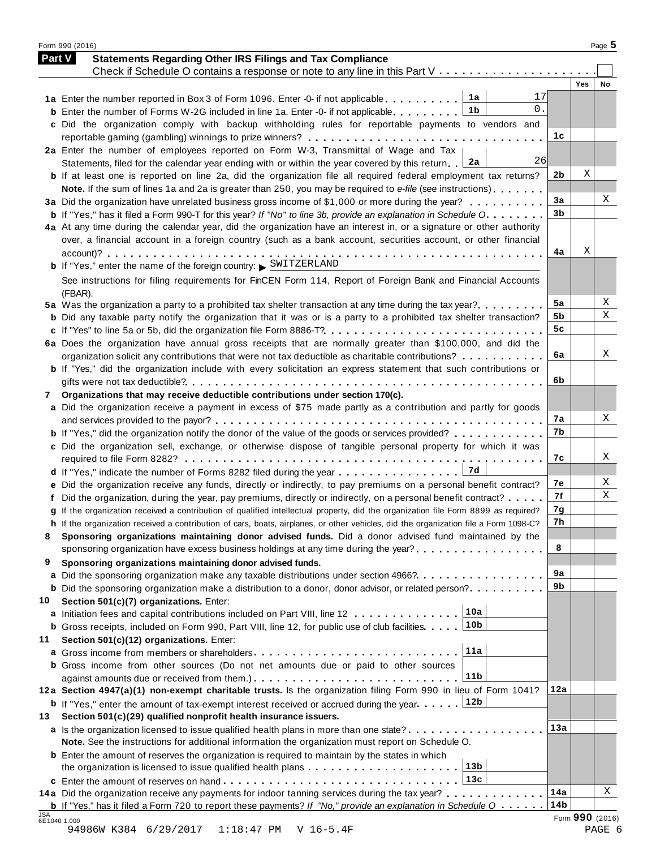|        | Form 990 (2016)                                                                                                                      |                 |     | Page 5 |
|--------|--------------------------------------------------------------------------------------------------------------------------------------|-----------------|-----|--------|
| Part V | <b>Statements Regarding Other IRS Filings and Tax Compliance</b>                                                                     |                 |     |        |
|        | Check if Schedule O contains a response or note to any line in this Part V                                                           |                 |     |        |
|        |                                                                                                                                      |                 | Yes | No     |
|        | 17<br>  1a<br>1a Enter the number reported in Box 3 of Form 1096. Enter -0- if not applicable                                        |                 |     |        |
|        | 0.<br>1 <sub>b</sub><br><b>b</b> Enter the number of Forms W-2G included in line 1a. Enter -0- if not applicable                     |                 |     |        |
|        | c Did the organization comply with backup withholding rules for reportable payments to vendors and                                   |                 |     |        |
|        |                                                                                                                                      | 1с              |     |        |
|        | 2a Enter the number of employees reported on Form W-3, Transmittal of Wage and Tax                                                   |                 |     |        |
|        | 26<br>Statements, filed for the calendar year ending with or within the year covered by this return 2a                               |                 |     |        |
|        | <b>b</b> If at least one is reported on line 2a, did the organization file all required federal employment tax returns?              | 2b              | Χ   |        |
|        | Note. If the sum of lines 1a and 2a is greater than 250, you may be required to e-file (see instructions)                            |                 |     |        |
|        | 3a Did the organization have unrelated business gross income of \$1,000 or more during the year?                                     | 3a              |     | X      |
|        | <b>b</b> If "Yes," has it filed a Form 990-T for this year? If "No" to line 3b, provide an explanation in Schedule O.                | 3b              |     |        |
|        | 4a At any time during the calendar year, did the organization have an interest in, or a signature or other authority                 |                 |     |        |
|        | over, a financial account in a foreign country (such as a bank account, securities account, or other financial                       |                 |     |        |
|        |                                                                                                                                      | 4a              | Χ   |        |
|        | <b>b</b> If "Yes," enter the name of the foreign country: $\triangleright$ SWITZERLAND                                               |                 |     |        |
|        | See instructions for filing requirements for FinCEN Form 114, Report of Foreign Bank and Financial Accounts                          |                 |     |        |
|        | (FBAR).                                                                                                                              |                 |     |        |
|        | 5a Was the organization a party to a prohibited tax shelter transaction at any time during the tax year?                             | 5a              |     | Χ      |
|        | <b>b</b> Did any taxable party notify the organization that it was or is a party to a prohibited tax shelter transaction?            | 5b              |     | Χ      |
|        |                                                                                                                                      | 5c              |     |        |
|        | 6a Does the organization have annual gross receipts that are normally greater than \$100,000, and did the                            |                 |     |        |
|        | organization solicit any contributions that were not tax deductible as charitable contributions?                                     | 6a              |     | X      |
|        | <b>b</b> If "Yes," did the organization include with every solicitation an express statement that such contributions or              |                 |     |        |
|        |                                                                                                                                      | 6b              |     |        |
| 7      | Organizations that may receive deductible contributions under section 170(c).                                                        |                 |     |        |
|        | a Did the organization receive a payment in excess of \$75 made partly as a contribution and partly for goods                        |                 |     |        |
|        |                                                                                                                                      | 7a              |     | Χ      |
|        | <b>b</b> If "Yes," did the organization notify the donor of the value of the goods or services provided?                             | 7b              |     |        |
|        | c Did the organization sell, exchange, or otherwise dispose of tangible personal property for which it was                           |                 |     |        |
|        |                                                                                                                                      | 7c              |     | Х      |
|        |                                                                                                                                      |                 |     |        |
|        |                                                                                                                                      | 7е              |     | Χ      |
|        | e Did the organization receive any funds, directly or indirectly, to pay premiums on a personal benefit contract?                    | 7f              |     | Χ      |
|        | f Did the organization, during the year, pay premiums, directly or indirectly, on a personal benefit contract?                       | 7g              |     |        |
|        | g If the organization received a contribution of qualified intellectual property, did the organization file Form 8899 as required?   | $7\,\mathrm{h}$ |     |        |
|        | h If the organization received a contribution of cars, boats, airplanes, or other vehicles, did the organization file a Form 1098-C? |                 |     |        |
| 8      | Sponsoring organizations maintaining donor advised funds. Did a donor advised fund maintained by the                                 | 8               |     |        |
|        | sponsoring organization have excess business holdings at any time during the year?                                                   |                 |     |        |
| 9      | Sponsoring organizations maintaining donor advised funds.                                                                            |                 |     |        |
|        | a Did the sponsoring organization make any taxable distributions under section 4966?                                                 | 9а              |     |        |
|        | <b>b</b> Did the sponsoring organization make a distribution to a donor, donor advisor, or related person?                           | 9b              |     |        |
| 10     | Section 501(c)(7) organizations. Enter:                                                                                              |                 |     |        |
|        | 10a<br>a Initiation fees and capital contributions included on Part VIII, line 12                                                    |                 |     |        |
|        | 10 <sub>b</sub><br><b>b</b> Gross receipts, included on Form 990, Part VIII, line 12, for public use of club facilities.             |                 |     |        |
| 11     | Section 501(c)(12) organizations. Enter:                                                                                             |                 |     |        |
|        | 11a                                                                                                                                  |                 |     |        |
|        | <b>b</b> Gross income from other sources (Do not net amounts due or paid to other sources                                            |                 |     |        |
|        | 11b                                                                                                                                  |                 |     |        |
|        | 12a Section 4947(a)(1) non-exempt charitable trusts. Is the organization filing Form 990 in lieu of Form 1041?                       | 12a             |     |        |
|        | 12b<br><b>b</b> If "Yes," enter the amount of tax-exempt interest received or accrued during the year                                |                 |     |        |
| 13     | Section 501(c)(29) qualified nonprofit health insurance issuers.                                                                     |                 |     |        |
|        | a Is the organization licensed to issue qualified health plans in more than one state?                                               | 13а             |     |        |
|        | Note. See the instructions for additional information the organization must report on Schedule O.                                    |                 |     |        |
|        | <b>b</b> Enter the amount of reserves the organization is required to maintain by the states in which                                |                 |     |        |
|        | 13 <sub>b</sub>                                                                                                                      |                 |     |        |
|        | 13c<br><b>c</b> Enter the amount of reserves on hand                                                                                 |                 |     |        |
|        | 14a Did the organization receive any payments for indoor tanning services during the tax year?                                       | 14a             |     | Χ      |
|        | <b>b</b> If "Yes," has it filed a Form 720 to report these payments? If "No," provide an explanation in Schedule $0$                 | 14 <sub>b</sub> |     |        |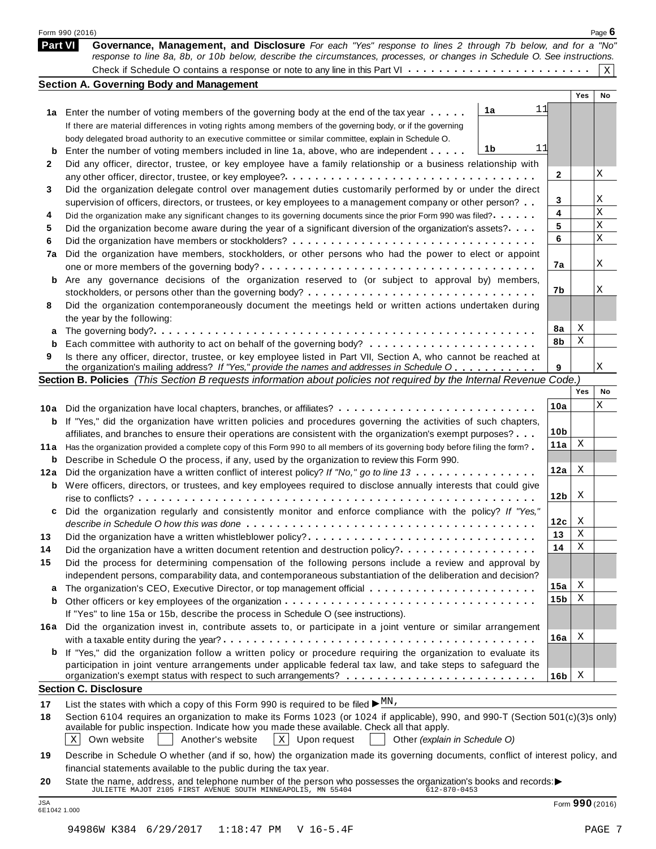|         | Form 990 (2016)                                                                                                                                                                                                                         |                 |     | Page $6$    |
|---------|-----------------------------------------------------------------------------------------------------------------------------------------------------------------------------------------------------------------------------------------|-----------------|-----|-------------|
| Part VI | Governance, Management, and Disclosure For each "Yes" response to lines 2 through 7b below, and for a "No"<br>response to line 8a, 8b, or 10b below, describe the circumstances, processes, or changes in Schedule O. See instructions. |                 |     |             |
|         |                                                                                                                                                                                                                                         |                 |     | $\mathbf X$ |
|         | <b>Section A. Governing Body and Management</b>                                                                                                                                                                                         |                 |     |             |
|         |                                                                                                                                                                                                                                         |                 | Yes | No          |
| 1a      | 11<br>1a<br>Enter the number of voting members of the governing body at the end of the tax year                                                                                                                                         |                 |     |             |
|         | If there are material differences in voting rights among members of the governing body, or if the governing                                                                                                                             |                 |     |             |
|         | body delegated broad authority to an executive committee or similar committee, explain in Schedule O.                                                                                                                                   |                 |     |             |
| b       | 11<br>1b<br>Enter the number of voting members included in line 1a, above, who are independent                                                                                                                                          |                 |     |             |
| 2       | Did any officer, director, trustee, or key employee have a family relationship or a business relationship with                                                                                                                          |                 |     |             |
|         |                                                                                                                                                                                                                                         | 2               |     | Χ           |
| 3       | Did the organization delegate control over management duties customarily performed by or under the direct                                                                                                                               |                 |     |             |
|         | supervision of officers, directors, or trustees, or key employees to a management company or other person?                                                                                                                              | 3               |     | Χ           |
| 4       | Did the organization make any significant changes to its governing documents since the prior Form 990 was filed?                                                                                                                        | 4               |     | Χ           |
| 5       | Did the organization become aware during the year of a significant diversion of the organization's assets?                                                                                                                              | 5               |     | Χ           |
| 6       |                                                                                                                                                                                                                                         | 6               |     | X           |
| 7a      | Did the organization have members, stockholders, or other persons who had the power to elect or appoint                                                                                                                                 |                 |     |             |
|         |                                                                                                                                                                                                                                         | 7a              |     | Χ           |
| b       | Are any governance decisions of the organization reserved to (or subject to approval by) members,                                                                                                                                       |                 |     |             |
|         |                                                                                                                                                                                                                                         | 7b              |     | Χ           |
| 8       | Did the organization contemporaneously document the meetings held or written actions undertaken during                                                                                                                                  |                 |     |             |
|         | the year by the following:                                                                                                                                                                                                              |                 |     |             |
| a       |                                                                                                                                                                                                                                         | 8а              | Χ   |             |
| b       |                                                                                                                                                                                                                                         | 8b              | Χ   |             |
| 9       | Is there any officer, director, trustee, or key employee listed in Part VII, Section A, who cannot be reached at                                                                                                                        |                 |     |             |
|         | the organization's mailing address? If "Yes," provide the names and addresses in Schedule O                                                                                                                                             | 9               |     | Χ           |
|         | Section B. Policies (This Section B requests information about policies not required by the Internal Revenue Code.)                                                                                                                     |                 |     |             |
|         |                                                                                                                                                                                                                                         |                 | Yes | No          |
| 10a     | Did the organization have local chapters, branches, or affiliates?                                                                                                                                                                      | 10a             |     | Χ           |
| b       | If "Yes," did the organization have written policies and procedures governing the activities of such chapters,                                                                                                                          |                 |     |             |
|         | affiliates, and branches to ensure their operations are consistent with the organization's exempt purposes?                                                                                                                             | 10 <sub>b</sub> |     |             |
| 11a     | Has the organization provided a complete copy of this Form 990 to all members of its governing body before filing the form?                                                                                                             | 11a             | X   |             |
| b       | Describe in Schedule O the process, if any, used by the organization to review this Form 990.                                                                                                                                           |                 |     |             |
| 12a     | Did the organization have a written conflict of interest policy? If "No," go to line 13                                                                                                                                                 | 12a             | X   |             |
| b       | Were officers, directors, or trustees, and key employees required to disclose annually interests that could give                                                                                                                        |                 |     |             |
|         |                                                                                                                                                                                                                                         | 12 <sub>b</sub> | X   |             |
|         | Did the organization regularly and consistently monitor and enforce compliance with the policy? If "Yes,                                                                                                                                |                 |     |             |
|         |                                                                                                                                                                                                                                         | 12c             | X   |             |
| 13      | Did the organization have a written whistleblower policy?                                                                                                                                                                               | 13              | X   |             |
| 14      | Did the organization have a written document retention and destruction policy?                                                                                                                                                          | 14              | Χ   |             |
| 15      | Did the process for determining compensation of the following persons include a review and approval by                                                                                                                                  |                 |     |             |
|         | independent persons, comparability data, and contemporaneous substantiation of the deliberation and decision?                                                                                                                           |                 |     |             |
|         |                                                                                                                                                                                                                                         | 15a             | X   |             |
| a       |                                                                                                                                                                                                                                         | 15b             | X   |             |
| b       | If "Yes" to line 15a or 15b, describe the process in Schedule O (see instructions).                                                                                                                                                     |                 |     |             |
|         |                                                                                                                                                                                                                                         |                 |     |             |
|         | 16a Did the organization invest in, contribute assets to, or participate in a joint venture or similar arrangement                                                                                                                      | 16a             | X   |             |
|         |                                                                                                                                                                                                                                         |                 |     |             |
|         | <b>b</b> If "Yes," did the organization follow a written policy or procedure requiring the organization to evaluate its                                                                                                                 |                 |     |             |
|         | participation in joint venture arrangements under applicable federal tax law, and take steps to safeguard the                                                                                                                           | 16 <sub>b</sub> | X   |             |
|         | <b>Section C. Disclosure</b>                                                                                                                                                                                                            |                 |     |             |
|         |                                                                                                                                                                                                                                         |                 |     |             |
| 17      | List the states with which a copy of this Form 990 is required to be filed $\blacktriangleright_{\text{MN}}^{\text{MN}}$ .                                                                                                              |                 |     |             |
| 18      | Section 6104 requires an organization to make its Forms 1023 (or 1024 if applicable), 990, and 990-T (Section 501(c)(3)s only)                                                                                                          |                 |     |             |
|         | available for public inspection. Indicate how you made these available. Check all that apply.                                                                                                                                           |                 |     |             |
|         | $X$ Upon request<br>Own website<br>Another's website<br>Other (explain in Schedule O)<br>Χ                                                                                                                                              |                 |     |             |
| 19      | Describe in Schedule O whether (and if so, how) the organization made its governing documents, conflict of interest policy, and                                                                                                         |                 |     |             |
|         | financial statements available to the public during the tax year.                                                                                                                                                                       |                 |     |             |
| 20      | State the name, address, and telephone number of the person who possesses the organization's books and records: ►                                                                                                                       |                 |     |             |

| ilitational statements available to the public during the tax year.                                             |  |  |  |  |  |  |  |  |  |
|-----------------------------------------------------------------------------------------------------------------|--|--|--|--|--|--|--|--|--|
| State the name, address, and telephone number of the person who possesses the organization's books and records: |  |  |  |  |  |  |  |  |  |
| JULIETTE MAJOT 2105 FIRST AVENUE SOUTH MINNEAPOLIS, MN 55404<br>612-870-0453                                    |  |  |  |  |  |  |  |  |  |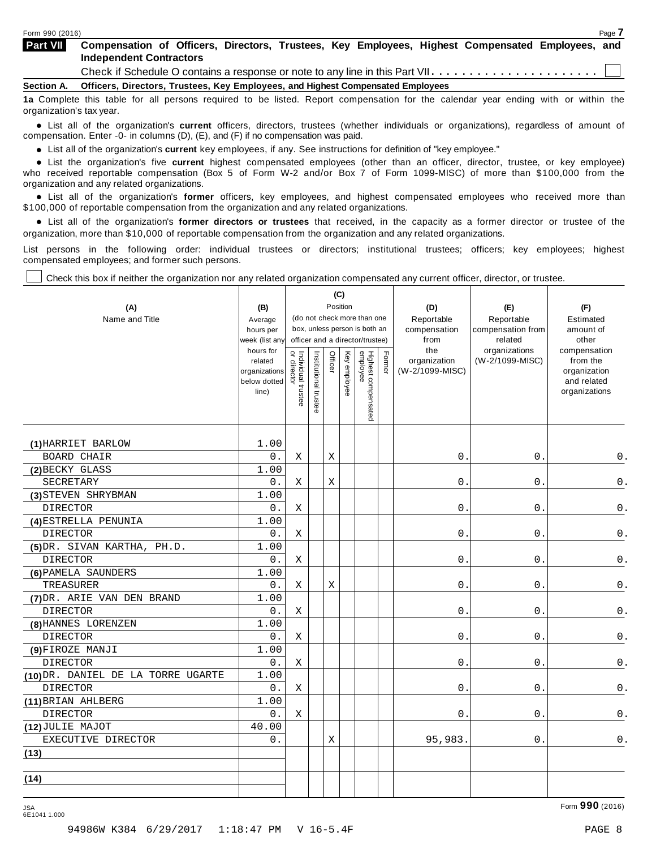| Form 990 (2016)          | Page 7                                                                                                                             |  |
|--------------------------|------------------------------------------------------------------------------------------------------------------------------------|--|
| <b>Part VII</b>          | Compensation of Officers, Directors, Trustees, Key Employees, Highest Compensated Employees, and<br><b>Independent Contractors</b> |  |
|                          | Check if Schedule O contains a response or note to any line in this Part VII                                                       |  |
| Section A.               | Officers, Directors, Trustees, Key Employees, and Highest Compensated Employees                                                    |  |
| organization's tax year. | 1a Complete this table for all persons required to be listed. Report compensation for the calendar year ending with or within the  |  |

anization's lax year.<br>● List all of the organization's **current** officers, directors, trustees (whether individuals or organizations), regardless of amount of<br>nnensation Enter -0- in columns (D) (E) and (E) if no compensa compensation. Enter -0- in columns (D), (E), and (F) if no compensation was paid.

• List all of the organization's **current** key employees, if any. See instructions for definition of "key employee."<br>● List the experientials five expect highest expressed explores (other than an efficer director of

**Example in the organization's current** key employees, if any. See instructions for definition of key employee.<br>• List the organization's five **current** highest compensated employees (other than an officer, director, trust who received reportable compensation (Box 5 of Form W-2 and/or Box 7 of Form 1099-MISC) of more than \$100,000 from the

organization and any related organizations.<br>• List all of the organization's **former** officers, key employees, and highest compensated employees who received more than<br>\$1.00.000 of reportable componention from the erganiza \$100,000 of reportable compensation from the organization and any related organizations.

% List all of the organization's **former directors or trustees** that received, in the capacity as a former director or trustee of the organization, more than \$10,000 of reportable compensation from the organization and any related organizations.

List persons in the following order: individual trustees or directors; institutional trustees; officers; key employees; highest compensated employees; and former such persons.

Check this box if neither the organization nor any related organization compensated any current officer, director, or trustee.

|                                    |                               |                                   |                                                              |         | (C)                  |                                 |                              |                    |                 |                             |
|------------------------------------|-------------------------------|-----------------------------------|--------------------------------------------------------------|---------|----------------------|---------------------------------|------------------------------|--------------------|-----------------|-----------------------------|
| (A)                                | (B)                           |                                   | Position                                                     |         | (D)                  | (E)                             | (F)                          |                    |                 |                             |
| Name and Title                     | Average                       |                                   | (do not check more than one<br>box, unless person is both an |         | Reportable           | Reportable                      | Estimated                    |                    |                 |                             |
|                                    | hours per<br>week (list any   |                                   | officer and a director/trustee)                              |         | compensation<br>from |                                 | compensation from<br>related | amount of<br>other |                 |                             |
|                                    | hours for                     | Fomer                             |                                                              |         |                      |                                 | the                          | organizations      | compensation    |                             |
|                                    | related                       | Individual trustee<br>or director | Institutional trustee                                        | Officer | Key employee         | Highest compensated<br>employee |                              | organization       | (W-2/1099-MISC) | from the                    |
|                                    | organizations<br>below dotted |                                   |                                                              |         |                      |                                 |                              | (W-2/1099-MISC)    |                 | organization<br>and related |
|                                    | line)                         |                                   |                                                              |         |                      |                                 |                              |                    |                 | organizations               |
|                                    |                               |                                   |                                                              |         |                      |                                 |                              |                    |                 |                             |
|                                    |                               |                                   |                                                              |         |                      |                                 |                              |                    |                 |                             |
|                                    |                               |                                   |                                                              |         |                      |                                 |                              |                    |                 |                             |
| (1) HARRIET BARLOW                 | 1.00                          |                                   |                                                              |         |                      |                                 |                              |                    |                 |                             |
| BOARD CHAIR                        | $0$ .                         | X                                 |                                                              | X       |                      |                                 |                              | $0$ .              | 0.              | 0.                          |
| (2) BECKY GLASS                    | 1.00                          |                                   |                                                              |         |                      |                                 |                              |                    |                 |                             |
| SECRETARY                          | 0.                            | Χ                                 |                                                              | X       |                      |                                 |                              | $\mathbf{0}$ .     | $0$ .           | 0.                          |
| (3) STEVEN SHRYBMAN                | 1.00                          |                                   |                                                              |         |                      |                                 |                              |                    |                 |                             |
| <b>DIRECTOR</b>                    | 0.                            | Χ                                 |                                                              |         |                      |                                 |                              | 0.                 | $0$ .           | $\mathsf 0$ .               |
| (4) ESTRELLA PENUNIA               | 1.00                          |                                   |                                                              |         |                      |                                 |                              |                    |                 |                             |
| <b>DIRECTOR</b>                    | 0.                            | X                                 |                                                              |         |                      |                                 |                              | 0.                 | $0$ .           | $\mathsf 0$ .               |
| (5) DR. SIVAN KARTHA, PH.D.        | 1.00                          |                                   |                                                              |         |                      |                                 |                              |                    |                 |                             |
| <b>DIRECTOR</b>                    | 0.                            | Χ                                 |                                                              |         |                      |                                 |                              | 0.                 | $0$ .           | $\mathsf 0$ .               |
| (6) PAMELA SAUNDERS                | 1.00                          |                                   |                                                              |         |                      |                                 |                              |                    |                 |                             |
| TREASURER                          | 0.                            | Χ                                 |                                                              | X       |                      |                                 |                              | 0.                 | 0.              | $\mathsf 0$ .               |
| (7) DR. ARIE VAN DEN BRAND         | 1.00                          |                                   |                                                              |         |                      |                                 |                              |                    |                 |                             |
| <b>DIRECTOR</b>                    | 0.                            | X                                 |                                                              |         |                      |                                 |                              | 0.                 | 0.              | $0$ .                       |
| (8) HANNES LORENZEN                | 1.00                          |                                   |                                                              |         |                      |                                 |                              |                    |                 |                             |
| <b>DIRECTOR</b>                    | 0.                            | X                                 |                                                              |         |                      |                                 |                              | 0.                 | 0.              | $\mathsf 0$ .               |
| (9) FIROZE MANJI                   | 1.00                          |                                   |                                                              |         |                      |                                 |                              |                    |                 |                             |
| <b>DIRECTOR</b>                    | 0.                            | Χ                                 |                                                              |         |                      |                                 |                              | $0$ .              | 0.              | 0.                          |
| (10) DR. DANIEL DE LA TORRE UGARTE | 1.00                          |                                   |                                                              |         |                      |                                 |                              |                    |                 |                             |
| <b>DIRECTOR</b>                    | 0.                            | X                                 |                                                              |         |                      |                                 |                              | $\mathbf{0}$ .     | $0$ .           | $0$ .                       |
| (11) BRIAN AHLBERG                 | 1.00                          |                                   |                                                              |         |                      |                                 |                              |                    |                 |                             |
| <b>DIRECTOR</b>                    | 0.                            | X                                 |                                                              |         |                      |                                 |                              | 0.                 | 0.              | $0$ .                       |
| (12) JULIE MAJOT                   | 40.00                         |                                   |                                                              |         |                      |                                 |                              |                    |                 |                             |
| EXECUTIVE DIRECTOR                 | 0.                            |                                   |                                                              | Χ       |                      |                                 |                              | 95,983.            | 0.              | $\mathsf 0$ .               |
| (13)                               |                               |                                   |                                                              |         |                      |                                 |                              |                    |                 |                             |
|                                    |                               |                                   |                                                              |         |                      |                                 |                              |                    |                 |                             |
| (14)                               |                               |                                   |                                                              |         |                      |                                 |                              |                    |                 |                             |
|                                    |                               |                                   |                                                              |         |                      |                                 |                              |                    |                 |                             |

6E1041 1.000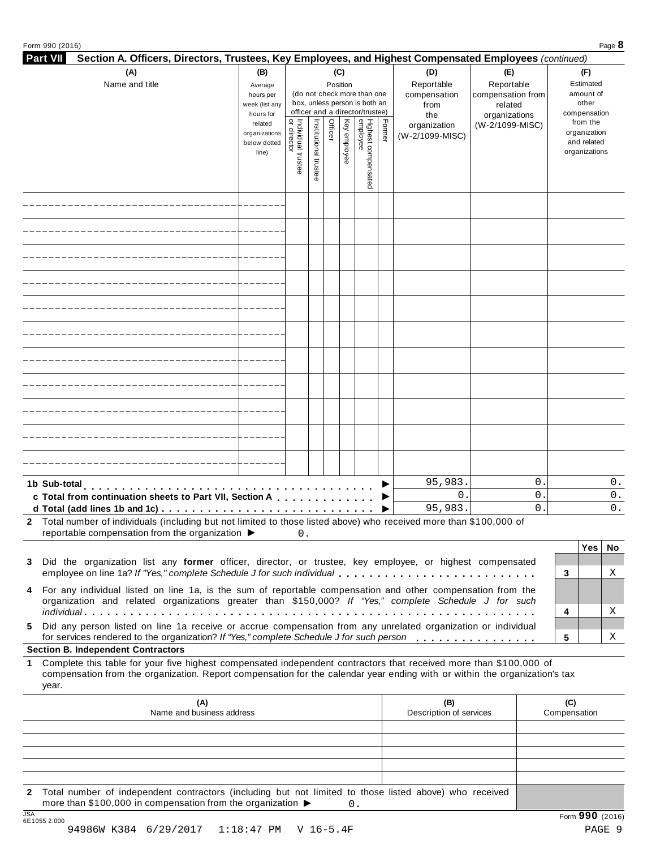### **Section B. Independent Contractors**

**1** Complete this table for your five highest compensated independent contractors that received more than \$100,000 of compensation from the organization. Report compensation for the calendar year ending with or within the organization's tax year.

|     | (A)<br>Name and business address                                                                                                                                                            | (B)<br>Description of services | (C)<br>Compensation                                                                |
|-----|---------------------------------------------------------------------------------------------------------------------------------------------------------------------------------------------|--------------------------------|------------------------------------------------------------------------------------|
|     |                                                                                                                                                                                             |                                |                                                                                    |
|     |                                                                                                                                                                                             |                                |                                                                                    |
|     |                                                                                                                                                                                             |                                |                                                                                    |
|     |                                                                                                                                                                                             |                                |                                                                                    |
|     |                                                                                                                                                                                             |                                |                                                                                    |
|     | 2 Total number of independent contractors (including but not limited to those listed above) who received<br>more than \$100,000 in compensation from the organization $\blacktriangleright$ |                                |                                                                                    |
| 10A |                                                                                                                                                                                             |                                | $\begin{array}{ccc}\n\bullet & \bullet & \bullet & \bullet & \bullet\n\end{array}$ |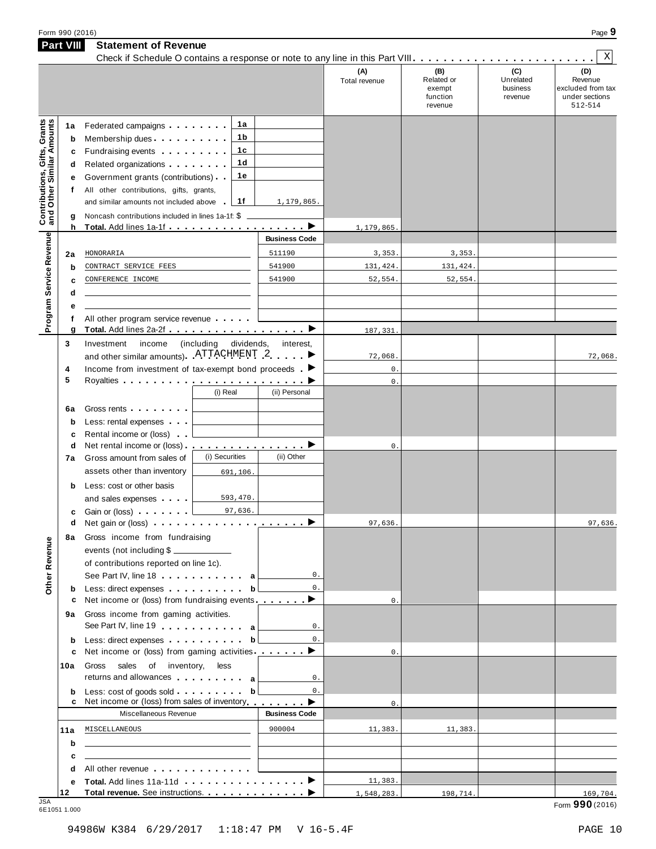|                                                           | <b>Part VIII</b> | <b>Statement of Revenue</b>                                                                                                                                                                                                         |                           |                                   |                      |                                                    |                                         | $\mathbf X$                                                      |
|-----------------------------------------------------------|------------------|-------------------------------------------------------------------------------------------------------------------------------------------------------------------------------------------------------------------------------------|---------------------------|-----------------------------------|----------------------|----------------------------------------------------|-----------------------------------------|------------------------------------------------------------------|
|                                                           |                  |                                                                                                                                                                                                                                     |                           |                                   | (A)<br>Total revenue | (B)<br>Related or<br>exempt<br>function<br>revenue | (C)<br>Unrelated<br>business<br>revenue | (D)<br>Revenue<br>excluded from tax<br>under sections<br>512-514 |
|                                                           | 1а               | Federated campaigns <b>Federated</b>                                                                                                                                                                                                | 1a                        |                                   |                      |                                                    |                                         |                                                                  |
| Contributions, Gifts, Grants<br>and Other Similar Amounts | b                | Membership dues                                                                                                                                                                                                                     | 1b                        |                                   |                      |                                                    |                                         |                                                                  |
|                                                           | c                | Fundraising events <b>Fundraising</b>                                                                                                                                                                                               | 1с                        |                                   |                      |                                                    |                                         |                                                                  |
|                                                           | d                | Related organizations <b>contains</b> and the Related organizations and the Relations of the Relations of the Relations of the Relations of the Relations of Relations and Relations of Relations and Relations of Relations and Re | 1d                        |                                   |                      |                                                    |                                         |                                                                  |
|                                                           | е                | Government grants (contributions).                                                                                                                                                                                                  | 1е                        |                                   |                      |                                                    |                                         |                                                                  |
|                                                           | f                | All other contributions, gifts, grants,<br>and similar amounts not included above                                                                                                                                                   | 1f                        | 1,179,865.                        |                      |                                                    |                                         |                                                                  |
|                                                           | g                | Noncash contributions included in lines 1a-1f: \$                                                                                                                                                                                   |                           |                                   |                      |                                                    |                                         |                                                                  |
|                                                           | h                |                                                                                                                                                                                                                                     |                           | <b>Business Code</b>              | 1,179,865.           |                                                    |                                         |                                                                  |
| Program Service Revenue                                   |                  |                                                                                                                                                                                                                                     |                           |                                   |                      |                                                    |                                         |                                                                  |
|                                                           | 2a               | HONORARIA<br>CONTRACT SERVICE FEES                                                                                                                                                                                                  |                           | 511190<br>541900                  | 3,353.<br>131,424.   | 3,353.<br>131,424.                                 |                                         |                                                                  |
|                                                           | b<br>c           | CONFERENCE INCOME                                                                                                                                                                                                                   |                           | 541900                            | 52,554.              | 52,554.                                            |                                         |                                                                  |
|                                                           | d                |                                                                                                                                                                                                                                     |                           |                                   |                      |                                                    |                                         |                                                                  |
|                                                           | е                |                                                                                                                                                                                                                                     |                           |                                   |                      |                                                    |                                         |                                                                  |
|                                                           | f                | All other program service revenue                                                                                                                                                                                                   |                           |                                   |                      |                                                    |                                         |                                                                  |
|                                                           | g                | Total. Add lines 2a-2f ▶                                                                                                                                                                                                            |                           |                                   | 187, 331.            |                                                    |                                         |                                                                  |
|                                                           | 3                | Investment<br>income<br>and other similar amounts). $\text{ATTACHMENT}$ 2                                                                                                                                                           | (including)<br>dividends, | interest,                         | 72,068.              |                                                    |                                         | 72,068.                                                          |
|                                                           | 4                | Income from investment of tax-exempt bond proceeds $\blacktriangleright$                                                                                                                                                            |                           |                                   | $\mathsf{0}$ .       |                                                    |                                         |                                                                  |
|                                                           | 5                |                                                                                                                                                                                                                                     |                           |                                   | 0.                   |                                                    |                                         |                                                                  |
|                                                           |                  |                                                                                                                                                                                                                                     | (i) Real                  | (ii) Personal                     |                      |                                                    |                                         |                                                                  |
|                                                           | 6a               | Gross rents <b>contains a container</b>                                                                                                                                                                                             |                           |                                   |                      |                                                    |                                         |                                                                  |
|                                                           | b                | Less: rental expenses                                                                                                                                                                                                               |                           |                                   |                      |                                                    |                                         |                                                                  |
|                                                           | c<br>d           | Rental income or (loss)<br>Net rental income or (loss) $\ldots$ , $\ldots$ , $\ldots$ , $\blacktriangleright$                                                                                                                       |                           |                                   | 0.                   |                                                    |                                         |                                                                  |
|                                                           | 7а               | Gross amount from sales of                                                                                                                                                                                                          | (i) Securities            | (ii) Other                        |                      |                                                    |                                         |                                                                  |
|                                                           |                  | assets other than inventory                                                                                                                                                                                                         | 691,106.                  |                                   |                      |                                                    |                                         |                                                                  |
|                                                           | b                | Less: cost or other basis                                                                                                                                                                                                           |                           |                                   |                      |                                                    |                                         |                                                                  |
|                                                           |                  | and sales expenses                                                                                                                                                                                                                  | 593,470.                  |                                   |                      |                                                    |                                         |                                                                  |
|                                                           | c                | Gain or (loss) <b>comparison</b>                                                                                                                                                                                                    | 97,636.                   |                                   |                      |                                                    |                                         |                                                                  |
|                                                           | d.               | Net gain or (loss) <b>interact in the set of the set of the set of the set of the set of the set of the set of the</b>                                                                                                              |                           |                                   | 97,636.              |                                                    |                                         | 97,636.                                                          |
|                                                           | 8а               | Gross income from fundraising                                                                                                                                                                                                       |                           |                                   |                      |                                                    |                                         |                                                                  |
| Other Revenue                                             |                  | events (not including \$                                                                                                                                                                                                            |                           |                                   |                      |                                                    |                                         |                                                                  |
|                                                           |                  | of contributions reported on line 1c).                                                                                                                                                                                              |                           |                                   |                      |                                                    |                                         |                                                                  |
|                                                           |                  | See Part IV, line 18 a                                                                                                                                                                                                              |                           | $0$ .<br>$0$ .                    |                      |                                                    |                                         |                                                                  |
|                                                           | b                | Less: direct expenses by the set of the basic direct expenses<br>c Net income or (loss) from fundraising events▶                                                                                                                    |                           |                                   | $\mathbf{0}$ .       |                                                    |                                         |                                                                  |
|                                                           | 9а               | Gross income from gaming activities.                                                                                                                                                                                                |                           |                                   |                      |                                                    |                                         |                                                                  |
|                                                           |                  | See Part IV, line 19                                                                                                                                                                                                                |                           | $\mathbb O$ .                     |                      |                                                    |                                         |                                                                  |
|                                                           | b                | Less: direct expenses b                                                                                                                                                                                                             |                           | $0$ .                             |                      |                                                    |                                         |                                                                  |
|                                                           | c                | Net income or (loss) from gaming activities $\qquad \qquad \blacktriangleright$                                                                                                                                                     |                           |                                   | 0.                   |                                                    |                                         |                                                                  |
|                                                           | 10a              | Gross sales of inventory,                                                                                                                                                                                                           | less                      |                                   |                      |                                                    |                                         |                                                                  |
|                                                           |                  | returns and allowances and allowances                                                                                                                                                                                               |                           | $\mathbb O$ .                     |                      |                                                    |                                         |                                                                  |
|                                                           | b                | Less: cost of goods sold b<br>c Net income or (loss) from sales of inventory                                                                                                                                                        |                           | $0$ .                             | 0.                   |                                                    |                                         |                                                                  |
|                                                           |                  | Miscellaneous Revenue                                                                                                                                                                                                               |                           | <b>Business Code</b>              |                      |                                                    |                                         |                                                                  |
|                                                           | 11a              | MISCELLANEOUS                                                                                                                                                                                                                       |                           | 900004                            | 11,383.              | 11,383.                                            |                                         |                                                                  |
|                                                           | b                | the control of the control of the control of the control of the control of                                                                                                                                                          |                           |                                   |                      |                                                    |                                         |                                                                  |
|                                                           | c                | <u> 1989 - Johann Stein, mars et al. (</u> † 1920)                                                                                                                                                                                  |                           | and the control of the control of |                      |                                                    |                                         |                                                                  |
|                                                           | d                | All other revenue entitled to the state of the state of the state of the state of the state of the state of the<br>Total. Add lines 11a-11d ▶                                                                                       |                           |                                   | 11,383.              |                                                    |                                         |                                                                  |
|                                                           | е<br>12          |                                                                                                                                                                                                                                     |                           |                                   | 1,548,283.           | 198,714.                                           |                                         | 169,704                                                          |
| <b>ISA</b>                                                |                  |                                                                                                                                                                                                                                     |                           |                                   |                      |                                                    |                                         |                                                                  |

Form <sup>990</sup> (2016) Page **9 Part 2016**<br>**Part <b>VIII Statement of Revenue**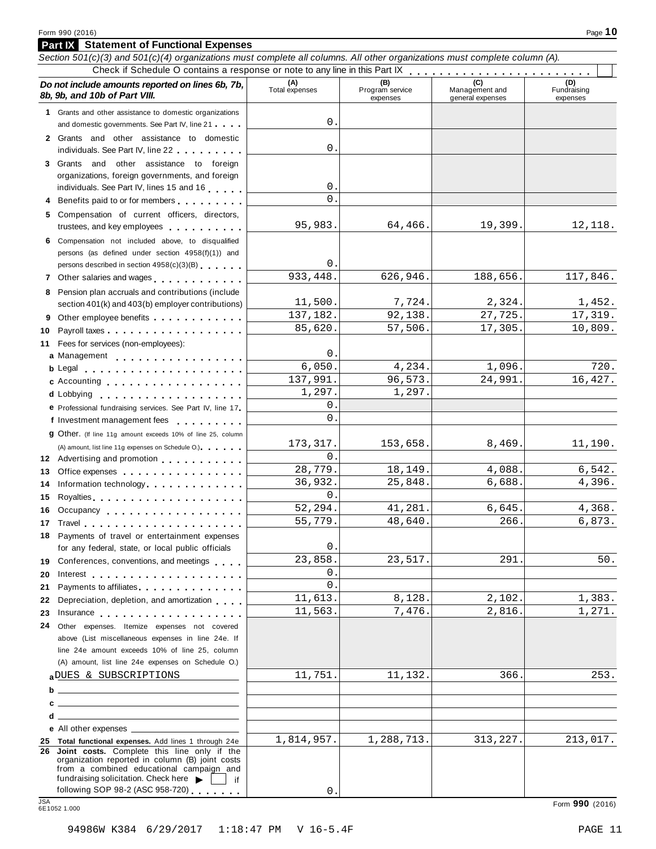| <b>Part X</b> Statement of Functional Expenses                                                                             |                       |                                    |                                           |                                |  |  |  |  |  |
|----------------------------------------------------------------------------------------------------------------------------|-----------------------|------------------------------------|-------------------------------------------|--------------------------------|--|--|--|--|--|
| Section 501(c)(3) and 501(c)(4) organizations must complete all columns. All other organizations must complete column (A). |                       |                                    |                                           |                                |  |  |  |  |  |
|                                                                                                                            |                       |                                    |                                           |                                |  |  |  |  |  |
| Do not include amounts reported on lines 6b, 7b,<br>8b, 9b, and 10b of Part VIII.                                          | (A)<br>Total expenses | (B)<br>Program service<br>expenses | (C)<br>Management and<br>general expenses | (D)<br>Fundraising<br>expenses |  |  |  |  |  |
| Grants and other assistance to domestic organizations<br>and domestic governments. See Part IV, line 21                    | 0.                    |                                    |                                           |                                |  |  |  |  |  |
| assistance<br>2 Grants and other<br>domestic<br>to<br>individuals. See Part IV, line 22                                    | 0.                    |                                    |                                           |                                |  |  |  |  |  |
| other assistance to foreign<br>3 Grants<br>and                                                                             |                       |                                    |                                           |                                |  |  |  |  |  |

organizations, foreign governments, and foreign individuals. See Part IV, lines <sup>15</sup> and <sup>16</sup> <sup>m</sup> <sup>m</sup> <sup>m</sup> <sup>m</sup> <sup>m</sup> **<sup>4</sup>** Benefits paid to or for members <sup>m</sup> <sup>m</sup> <sup>m</sup> <sup>m</sup> <sup>m</sup> <sup>m</sup> <sup>m</sup> <sup>m</sup> <sup>m</sup> **5** Compensation of current officers, directors, trustees, and key employees m m m m m m m m m m

**6** Compensation not included above, to disqualified persons (as defined under section 4958(f)(1)) and persons described in section 4958(c)(3)(B) <sup>m</sup> <sup>m</sup> <sup>m</sup> <sup>m</sup> <sup>m</sup> <sup>m</sup> **<sup>7</sup>** Other salaries and wages <sup>m</sup> <sup>m</sup> <sup>m</sup> <sup>m</sup> <sup>m</sup> <sup>m</sup> <sup>m</sup> <sup>m</sup> <sup>m</sup> <sup>m</sup> <sup>m</sup> <sup>m</sup>

**8** Pension plan accruals and contributions (include section 401(k) and 403(b) employer contributions)

**9** Section 401(k) and 403(b) employer contributions<br>9 Other employee benefits

9 Other employee benefits **10** Payroll taxes **10** 

Fees for services (non-employees): **11** Fees for services (non-employees):<br>**a** Management ..................<br>**b** Legal ......................... Legal m m m m m m m m m m m m m m m m m m m m m Accounting m m m m m m m m m m m m m m m m m m Lobbying **cd** m m m m m m m m m m m m m m m m m m m

A) amount, list line 11g expenses on Schedule O.<br>**12** Advertising and promotion **manual 13** Office expenses **13** Office expenses<br>**14** Information technology **manual manual metal of the metal of the metal of the metal of 15** Royalties m m m m m m m m m m m m m m m m m m m m **16** Occupancy m m m m m m m m m m m m m m m m m m **16** Occupancy ...................<br>17 Travel..................... **d** Lobbying **e**<br> **e** Professional fundraising services. See Part IV, line 17 **P** Professional fundraising services. See Part IV, line 17<br>**f** Investment management fees **g** Other. (If line 11g amount exceeds 10% of line 25, column (A) amount, list line 11g expenses on Schedule O.) measurement m m m m m m m m m m m m m m m m

**18** Payments of travel or entertainment expenses for any federal, state, or local public officials<br>**19** Conferences, conventions, and meetings **19** Conferences, conventions, and meetings **endorship.**<br>20 Interest **manual meeting 21** Payments to affiliates m m m m m m m m m m m m m m 21 Payments to affiliates<br>22 Depreciation, depletion, and amortization <sub>1</sub> , , , **22** Depreciation, depletion, and amortization **manufation**<br>23 Insurance for any federal, state, or local public officials

24 Other expenses. Itemize expenses not covered | above (List miscellaneous expenses in line 24e. If line 24e amount exceeds 10% of line 25, column (A) amount, list line 24e expenses on Schedule O.)

**cd e** All other expenses 1,814,957. 1,288,713. 313,227. 213,017.

**26 Joint costs.** Complete this line only if the organization reported in column (B) joint costs from a combined educational campaign and fundraising solicitation. Check here  $\blacktriangleright$   $\Box$  if following SOP 98-2 (ASC 958-720) following SOP 98-2 (ASC 958-720) <sup>m</sup> <sup>m</sup> <sup>m</sup> <sup>m</sup> <sup>m</sup> <sup>m</sup> <sup>m</sup> JSA Form **<sup>990</sup>** (2016) 6E1052 1.000

> 0. 0.

0.

0.

0. 0.

0.

0.

0.

0.  $\mathsf{O}$  .

0.

 $1,297.$   $1,297.$ 

 $6,050.$   $4,234.$   $1,096.$  720. 137,991. 96,573. 24,991. 16,427.

95,983. 64,466. 19,399. 12,118.

933,448. 626,946. 188,656. 117,846.

 $11,500.$  7,724. 2,324. 1,452. 137,182. 92,138. 27,725. 17,319. 85,620. 57,506. 17,305. 10,809.

173,317. 153,658. 8,469. 11,190.

28,779. 18,149. 4,088. 6,542. 36,932. 25,848. 6,688. 4,396.

52,294. 41,281. 6,645. 4,368. 55,779. 48,640. 266. 6,873.

 $23,858.$  23,517. 291. 291.

 $11,613.$  8,128. 2,102. 1,383. 11,563. 7,476. 2,816. 1,271.

**ab** DUES & SUBSCRIPTIONS 11,751. 11,132. 366. 253.

**25 Total functional expenses.** Add lines 1 through 24e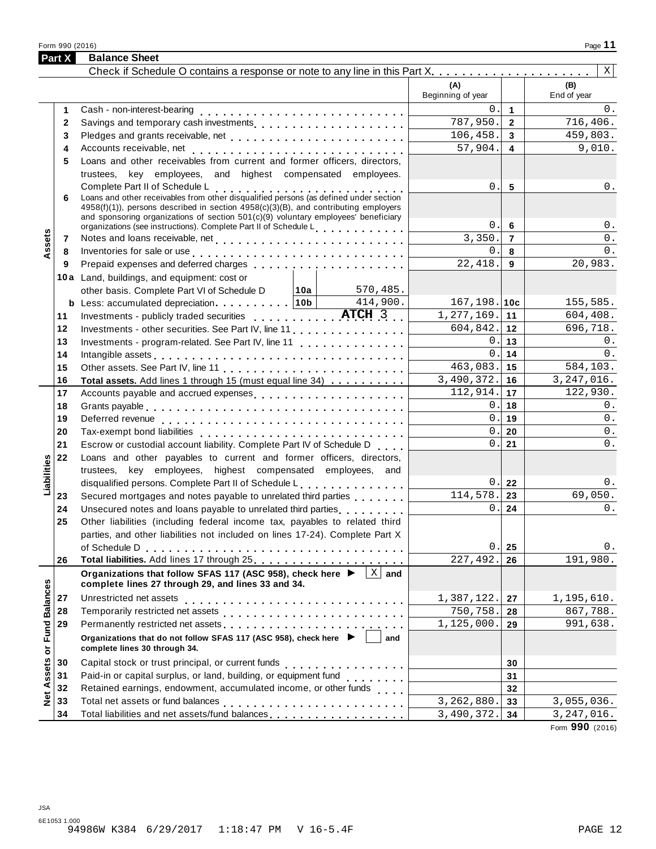Form <sup>990</sup> (2016) Page **11**

|                   | Part X       | <b>Balance Sheet</b>                                                                                                                                                                                                             |                          |                         |                    |
|-------------------|--------------|----------------------------------------------------------------------------------------------------------------------------------------------------------------------------------------------------------------------------------|--------------------------|-------------------------|--------------------|
|                   |              |                                                                                                                                                                                                                                  |                          |                         | $\mathbf{x}$       |
|                   |              |                                                                                                                                                                                                                                  | (A)<br>Beginning of year |                         | (B)<br>End of year |
|                   | 1            |                                                                                                                                                                                                                                  | 0.                       | $\mathbf{1}$            | 0.                 |
|                   | $\mathbf{2}$ |                                                                                                                                                                                                                                  | 787,950.                 | $\overline{2}$          | 716,406.           |
|                   | 3            |                                                                                                                                                                                                                                  | 106,458.                 | $\mathbf{3}$            | 459,803.           |
|                   | 4            |                                                                                                                                                                                                                                  | 57,904.                  | $\overline{\mathbf{4}}$ | 9,010.             |
|                   | 5            | Loans and other receivables from current and former officers, directors,                                                                                                                                                         |                          |                         |                    |
|                   |              | trustees, key employees, and highest compensated employees.                                                                                                                                                                      |                          |                         |                    |
|                   |              | Complete Part II of Schedule L<br>Loans and other receivables from other disqualified persons (as defined under section                                                                                                          | 0.                       | $5\phantom{.0}$         | $0$ .              |
|                   | 6            | 4958(f)(1)), persons described in section 4958(c)(3)(B), and contributing employers<br>and sponsoring organizations of section 501(c)(9) voluntary employees' beneficiary                                                        |                          |                         |                    |
|                   |              | organizations (see instructions). Complete Part II of Schedule Letter Part 1 and 20                                                                                                                                              | 0.                       | 6                       | $0$ .              |
| Assets            | 7            |                                                                                                                                                                                                                                  | 3,350.                   | $\overline{7}$          | 0.                 |
|                   | 8            | Inventories for sale or use enterpreteral resources in the sale or use of the set of the set of the set of the                                                                                                                   | 0.                       | 8                       | 0.                 |
|                   | 9            |                                                                                                                                                                                                                                  | 22,418.                  | 9                       | 20,983.            |
|                   |              | 10a Land, buildings, and equipment: cost or                                                                                                                                                                                      |                          |                         |                    |
|                   |              | 570,485.<br>other basis. Complete Part VI of Schedule D<br>│10a │                                                                                                                                                                |                          |                         |                    |
|                   |              | 414,900.                                                                                                                                                                                                                         | $167, 198.$ 10c          |                         | 155,585.           |
|                   | 11           | Investments - publicly traded securities  ATCH 3                                                                                                                                                                                 | 1,277,169.               | 11                      | 604, 408.          |
|                   | 12           | Investments - other securities. See Part IV, line 11.                                                                                                                                                                            | 604,842.                 | 12                      | 696,718.           |
|                   | 13           | Investments - program-related. See Part IV, line 11                                                                                                                                                                              | 0.                       | 13                      | 0.                 |
|                   | 14           | Intangible assets experience in the contract of the contract of the contract of the contract of the contract of                                                                                                                  | 0.                       | 14                      | $0$ .              |
|                   | 15           |                                                                                                                                                                                                                                  | 463,083.                 | 15                      | 584,103.           |
|                   | 16           | Total assets. Add lines 1 through 15 (must equal line 34)                                                                                                                                                                        | 3,490,372.               | 16                      | 3, 247, 016.       |
|                   | 17           | Accounts payable and accrued expenses                                                                                                                                                                                            | 112,914.                 | 17                      | 122,930.           |
|                   | 18           |                                                                                                                                                                                                                                  | 0.                       | 18                      | 0.                 |
|                   | 19           |                                                                                                                                                                                                                                  | $0$ .                    | 19                      | 0.                 |
|                   | 20           |                                                                                                                                                                                                                                  | 0.                       | 20                      | 0.                 |
|                   | 21           | Escrow or custodial account liability. Complete Part IV of Schedule D                                                                                                                                                            | 0.1                      | 21                      | 0.                 |
| Liabilities       | 22           | Loans and other payables to current and former officers, directors,                                                                                                                                                              |                          |                         |                    |
|                   |              | trustees, key employees, highest compensated employees, and                                                                                                                                                                      |                          |                         |                    |
|                   |              | disqualified persons. Complete Part II of Schedule L                                                                                                                                                                             | 0.                       | 22                      | 0.                 |
|                   | 23           | Secured mortgages and notes payable to unrelated third parties                                                                                                                                                                   | 114,578.                 | 23                      | 69,050.            |
|                   | 24           | Unsecured notes and loans payable to unrelated third parties                                                                                                                                                                     | 0.                       | 24                      | 0.                 |
|                   | 25           | Other liabilities (including federal income tax, payables to related third                                                                                                                                                       |                          |                         |                    |
|                   |              | parties, and other liabilities not included on lines 17-24). Complete Part X                                                                                                                                                     |                          |                         |                    |
|                   |              |                                                                                                                                                                                                                                  | $0$ .                    | 25                      | 0.                 |
|                   | 26           |                                                                                                                                                                                                                                  | 227,492.                 | 26                      | 191,980.           |
|                   |              | $\overline{X}$ and<br>Organizations that follow SFAS 117 (ASC 958), check here ▶<br>complete lines 27 through 29, and lines 33 and 34.                                                                                           |                          |                         |                    |
|                   | 27           | Unrestricted net assets                                                                                                                                                                                                          | 1,387,122.               | 27                      | 1,195,610.         |
|                   | 28           |                                                                                                                                                                                                                                  | 750,758.                 | 28                      | 867,788.           |
|                   | 29           | Permanently restricted net assets<br>intervals and intervals are not restricted to the set of assets are not restricted to the set of the set of the set of the set of the set of the set of the set of the set of the set of th | 1,125,000.               | 29                      | 991,638.           |
|                   |              | Organizations that do not follow SFAS 117 (ASC 958), check here ▶<br>and                                                                                                                                                         |                          |                         |                    |
| or Fund Balances  |              | complete lines 30 through 34.                                                                                                                                                                                                    |                          |                         |                    |
|                   | 30           |                                                                                                                                                                                                                                  |                          | 30                      |                    |
| <b>Net Assets</b> | 31           | Paid-in or capital surplus, or land, building, or equipment fund<br>                                                                                                                                                             |                          | 31                      |                    |
|                   | 32           | Retained earnings, endowment, accumulated income, or other funds                                                                                                                                                                 |                          | 32                      |                    |
|                   | 33           |                                                                                                                                                                                                                                  | 3,262,880                | 33                      | 3,055,036.         |
|                   | 34           | Total liabilities and net assets/fund balances                                                                                                                                                                                   | 3,490,372.               | 34                      | 3, 247, 016.       |

Form **990** (2016)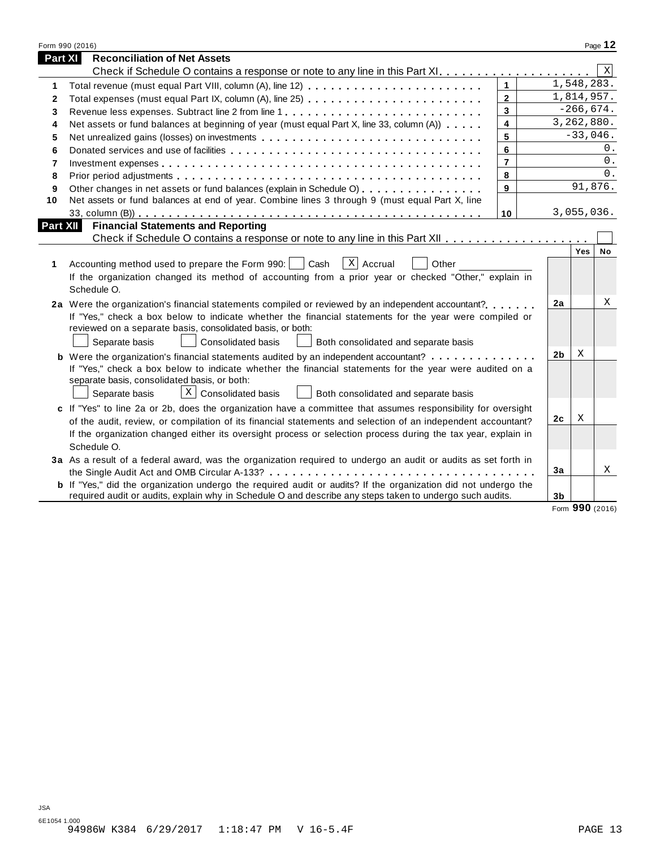|                | Form 990 (2016)                                                                                                       |                |                |                 | Page 12     |
|----------------|-----------------------------------------------------------------------------------------------------------------------|----------------|----------------|-----------------|-------------|
| <b>Part XI</b> | <b>Reconciliation of Net Assets</b>                                                                                   |                |                |                 |             |
|                |                                                                                                                       |                |                |                 | $\mathbf X$ |
| 1.             |                                                                                                                       | $\mathbf{1}$   |                | 1,548,283.      |             |
| $\mathbf{2}$   | Total expenses (must equal Part IX, column (A), line 25)                                                              | $\mathbf{2}$   |                | 1,814,957.      |             |
| 3              |                                                                                                                       | $\overline{3}$ |                | $-266,674.$     |             |
| 4              | Net assets or fund balances at beginning of year (must equal Part X, line 33, column (A))                             | 4              |                | 3,262,880.      |             |
| 5              |                                                                                                                       | 5              |                | $-33,046.$      |             |
| 6              |                                                                                                                       | 6              |                |                 | 0.          |
| $\overline{7}$ |                                                                                                                       | $\overline{7}$ |                |                 | 0.          |
| 8              |                                                                                                                       | 8              |                |                 | 0.          |
| 9              | Other changes in net assets or fund balances (explain in Schedule O)                                                  | 9              |                | 91,876.         |             |
| 10             | Net assets or fund balances at end of year. Combine lines 3 through 9 (must equal Part X, line                        |                |                |                 |             |
|                |                                                                                                                       | 10             |                | 3,055,036.      |             |
| Part XII       | <b>Financial Statements and Reporting</b>                                                                             |                |                |                 |             |
|                |                                                                                                                       |                |                |                 |             |
|                |                                                                                                                       |                |                | Yes             | <b>No</b>   |
| 1              | $\overline{x}$ Accrual<br>Accounting method used to prepare the Form 990:  <br>Cash<br>Other                          |                |                |                 |             |
|                | If the organization changed its method of accounting from a prior year or checked "Other," explain in                 |                |                |                 |             |
|                | Schedule O.                                                                                                           |                |                |                 |             |
|                | 2a Were the organization's financial statements compiled or reviewed by an independent accountant?                    |                | 2a             |                 | Χ           |
|                | If "Yes," check a box below to indicate whether the financial statements for the year were compiled or                |                |                |                 |             |
|                | reviewed on a separate basis, consolidated basis, or both:                                                            |                |                |                 |             |
|                | Separate basis<br>Consolidated basis<br>Both consolidated and separate basis                                          |                |                |                 |             |
|                | <b>b</b> Were the organization's financial statements audited by an independent accountant?                           |                | 2 <sub>b</sub> | Χ               |             |
|                | If "Yes," check a box below to indicate whether the financial statements for the year were audited on a               |                |                |                 |             |
|                | separate basis, consolidated basis, or both:                                                                          |                |                |                 |             |
|                | $X \mid$ Consolidated basis<br>Separate basis<br>Both consolidated and separate basis                                 |                |                |                 |             |
|                | c If "Yes" to line 2a or 2b, does the organization have a committee that assumes responsibility for oversight         |                |                |                 |             |
|                | of the audit, review, or compilation of its financial statements and selection of an independent accountant?          |                | 2c             | Χ               |             |
|                | If the organization changed either its oversight process or selection process during the tax year, explain in         |                |                |                 |             |
|                | Schedule O.                                                                                                           |                |                |                 |             |
|                | 3a As a result of a federal award, was the organization required to undergo an audit or audits as set forth in        |                |                |                 |             |
|                |                                                                                                                       |                | 3a             |                 | Χ           |
|                | <b>b</b> If "Yes," did the organization undergo the required audit or audits? If the organization did not undergo the |                |                |                 |             |
|                | required audit or audits, explain why in Schedule O and describe any steps taken to undergo such audits.              |                | 3 <sub>b</sub> |                 |             |
|                |                                                                                                                       |                |                | Form 990 (2016) |             |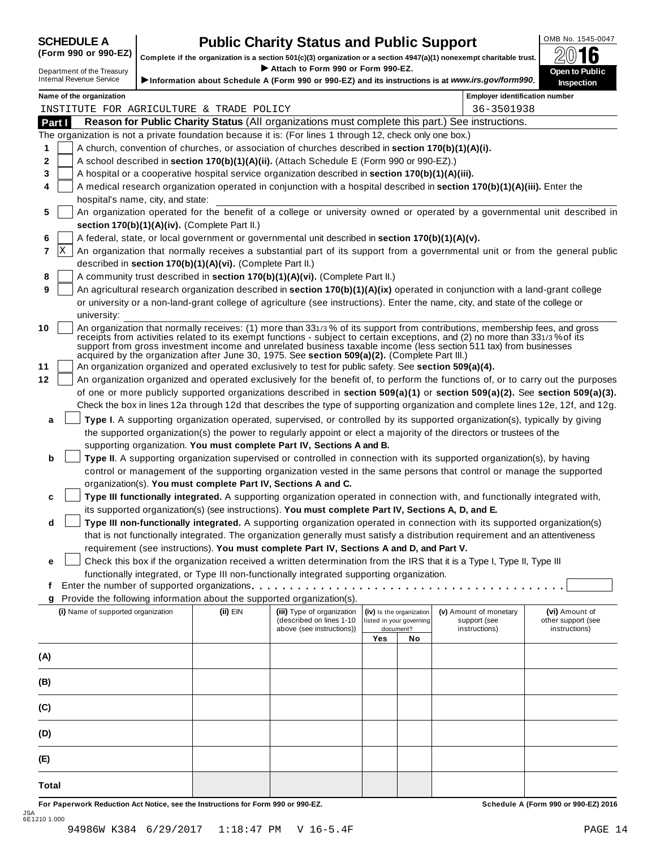# **SCHEDULE A Public Charity Status and Public Support**<br>(Form 990 or 990-EZ) complete if the examination is a section 501/01/2) organization or a section 4047/01/1 percepant charitable trust **20016**

(Form 990 or 990-EZ) complete if the organization is a section 501(c)(3) organization or a section 4947(a)(1) nonexempt charitable trust. 2016 <sup>D</sup> I **Attach to Form <sup>990</sup> or Form 990-EZ.** epartment of the Treasury **Open to Public** Department of the Treasury |<br>Internal Revenue Service → Internal Revenue Service → Internal Revenue Service → Internal Revenue Service → In

|  | ▶ Attach to Form 990 or Form 990-EZ. |  |  |  |  |
|--|--------------------------------------|--|--|--|--|
|  |                                      |  |  |  |  |

**Inspection**

|        |                                                                                                   | Name of the organization                                                                                                                                                                                                                                    |          |                                                       |     |                                       | <b>Employer identification number</b> |                                     |  |  |
|--------|---------------------------------------------------------------------------------------------------|-------------------------------------------------------------------------------------------------------------------------------------------------------------------------------------------------------------------------------------------------------------|----------|-------------------------------------------------------|-----|---------------------------------------|---------------------------------------|-------------------------------------|--|--|
|        |                                                                                                   | INSTITUTE FOR AGRICULTURE & TRADE POLICY                                                                                                                                                                                                                    |          |                                                       |     |                                       | 36-3501938                            |                                     |  |  |
| Part I |                                                                                                   | Reason for Public Charity Status (All organizations must complete this part.) See instructions.                                                                                                                                                             |          |                                                       |     |                                       |                                       |                                     |  |  |
|        |                                                                                                   | The organization is not a private foundation because it is: (For lines 1 through 12, check only one box.)                                                                                                                                                   |          |                                                       |     |                                       |                                       |                                     |  |  |
| 1      |                                                                                                   | A church, convention of churches, or association of churches described in section 170(b)(1)(A)(i).                                                                                                                                                          |          |                                                       |     |                                       |                                       |                                     |  |  |
| 2      | A school described in section 170(b)(1)(A)(ii). (Attach Schedule E (Form 990 or 990-EZ).)         |                                                                                                                                                                                                                                                             |          |                                                       |     |                                       |                                       |                                     |  |  |
| 3      | A hospital or a cooperative hospital service organization described in section 170(b)(1)(A)(iii). |                                                                                                                                                                                                                                                             |          |                                                       |     |                                       |                                       |                                     |  |  |
| 4      |                                                                                                   | A medical research organization operated in conjunction with a hospital described in section 170(b)(1)(A)(iii). Enter the                                                                                                                                   |          |                                                       |     |                                       |                                       |                                     |  |  |
|        |                                                                                                   | hospital's name, city, and state:                                                                                                                                                                                                                           |          |                                                       |     |                                       |                                       |                                     |  |  |
| 5      |                                                                                                   | An organization operated for the benefit of a college or university owned or operated by a governmental unit described in                                                                                                                                   |          |                                                       |     |                                       |                                       |                                     |  |  |
|        |                                                                                                   | section 170(b)(1)(A)(iv). (Complete Part II.)                                                                                                                                                                                                               |          |                                                       |     |                                       |                                       |                                     |  |  |
| 6      |                                                                                                   | A federal, state, or local government or governmental unit described in section 170(b)(1)(A)(v).                                                                                                                                                            |          |                                                       |     |                                       |                                       |                                     |  |  |
| 7      | X                                                                                                 | An organization that normally receives a substantial part of its support from a governmental unit or from the general public                                                                                                                                |          |                                                       |     |                                       |                                       |                                     |  |  |
|        |                                                                                                   | described in section 170(b)(1)(A)(vi). (Complete Part II.)                                                                                                                                                                                                  |          |                                                       |     |                                       |                                       |                                     |  |  |
| 8      |                                                                                                   | A community trust described in section 170(b)(1)(A)(vi). (Complete Part II.)                                                                                                                                                                                |          |                                                       |     |                                       |                                       |                                     |  |  |
| 9      |                                                                                                   | An agricultural research organization described in section 170(b)(1)(A)(ix) operated in conjunction with a land-grant college                                                                                                                               |          |                                                       |     |                                       |                                       |                                     |  |  |
|        |                                                                                                   | or university or a non-land-grant college of agriculture (see instructions). Enter the name, city, and state of the college or                                                                                                                              |          |                                                       |     |                                       |                                       |                                     |  |  |
|        |                                                                                                   | university:                                                                                                                                                                                                                                                 |          |                                                       |     |                                       |                                       |                                     |  |  |
| 10     |                                                                                                   | An organization that normally receives: (1) more than 331/3 % of its support from contributions, membership fees, and gross<br>receipts from activities related to its exempt functions - subject to certain exceptions, and (2) no more than 331/3% of its |          |                                                       |     |                                       |                                       |                                     |  |  |
|        |                                                                                                   | support from gross investment income and unrelated business taxable income (less section 511 tax) from businesses                                                                                                                                           |          |                                                       |     |                                       |                                       |                                     |  |  |
| 11     |                                                                                                   | acquired by the organization after June 30, 1975. See section 509(a)(2). (Complete Part III.)<br>An organization organized and operated exclusively to test for public safety. See section 509(a)(4).                                                       |          |                                                       |     |                                       |                                       |                                     |  |  |
| 12     |                                                                                                   | An organization organized and operated exclusively for the benefit of, to perform the functions of, or to carry out the purposes                                                                                                                            |          |                                                       |     |                                       |                                       |                                     |  |  |
|        |                                                                                                   | of one or more publicly supported organizations described in section 509(a)(1) or section 509(a)(2). See section 509(a)(3).                                                                                                                                 |          |                                                       |     |                                       |                                       |                                     |  |  |
|        |                                                                                                   | Check the box in lines 12a through 12d that describes the type of supporting organization and complete lines 12e, 12f, and 12g.                                                                                                                             |          |                                                       |     |                                       |                                       |                                     |  |  |
|        |                                                                                                   | Type I. A supporting organization operated, supervised, or controlled by its supported organization(s), typically by giving                                                                                                                                 |          |                                                       |     |                                       |                                       |                                     |  |  |
| a      |                                                                                                   | the supported organization(s) the power to regularly appoint or elect a majority of the directors or trustees of the                                                                                                                                        |          |                                                       |     |                                       |                                       |                                     |  |  |
|        |                                                                                                   | supporting organization. You must complete Part IV, Sections A and B.                                                                                                                                                                                       |          |                                                       |     |                                       |                                       |                                     |  |  |
| b      |                                                                                                   | Type II. A supporting organization supervised or controlled in connection with its supported organization(s), by having                                                                                                                                     |          |                                                       |     |                                       |                                       |                                     |  |  |
|        |                                                                                                   | control or management of the supporting organization vested in the same persons that control or manage the supported                                                                                                                                        |          |                                                       |     |                                       |                                       |                                     |  |  |
|        |                                                                                                   | organization(s). You must complete Part IV, Sections A and C.                                                                                                                                                                                               |          |                                                       |     |                                       |                                       |                                     |  |  |
| c      |                                                                                                   | Type III functionally integrated. A supporting organization operated in connection with, and functionally integrated with,                                                                                                                                  |          |                                                       |     |                                       |                                       |                                     |  |  |
|        |                                                                                                   | its supported organization(s) (see instructions). You must complete Part IV, Sections A, D, and E.                                                                                                                                                          |          |                                                       |     |                                       |                                       |                                     |  |  |
| d      |                                                                                                   | Type III non-functionally integrated. A supporting organization operated in connection with its supported organization(s)                                                                                                                                   |          |                                                       |     |                                       |                                       |                                     |  |  |
|        |                                                                                                   | that is not functionally integrated. The organization generally must satisfy a distribution requirement and an attentiveness                                                                                                                                |          |                                                       |     |                                       |                                       |                                     |  |  |
|        |                                                                                                   | requirement (see instructions). You must complete Part IV, Sections A and D, and Part V.                                                                                                                                                                    |          |                                                       |     |                                       |                                       |                                     |  |  |
| е      |                                                                                                   | Check this box if the organization received a written determination from the IRS that it is a Type I, Type II, Type III                                                                                                                                     |          |                                                       |     |                                       |                                       |                                     |  |  |
|        |                                                                                                   | functionally integrated, or Type III non-functionally integrated supporting organization.                                                                                                                                                                   |          |                                                       |     |                                       |                                       |                                     |  |  |
|        |                                                                                                   | Enter the number of supported organizations                                                                                                                                                                                                                 |          |                                                       |     |                                       |                                       |                                     |  |  |
| g      |                                                                                                   | Provide the following information about the supported organization(s).                                                                                                                                                                                      |          |                                                       |     |                                       |                                       |                                     |  |  |
|        |                                                                                                   | (i) Name of supported organization                                                                                                                                                                                                                          | (ii) EIN | (iii) Type of organization                            |     | (iv) Is the organization              | (v) Amount of monetary                | (vi) Amount of                      |  |  |
|        |                                                                                                   |                                                                                                                                                                                                                                                             |          | (described on lines 1-10<br>above (see instructions)) |     | listed in your governing<br>document? | support (see<br>instructions)         | other support (see<br>instructions) |  |  |
|        |                                                                                                   |                                                                                                                                                                                                                                                             |          |                                                       | Yes | No                                    |                                       |                                     |  |  |
|        |                                                                                                   |                                                                                                                                                                                                                                                             |          |                                                       |     |                                       |                                       |                                     |  |  |
| (A)    |                                                                                                   |                                                                                                                                                                                                                                                             |          |                                                       |     |                                       |                                       |                                     |  |  |
|        |                                                                                                   |                                                                                                                                                                                                                                                             |          |                                                       |     |                                       |                                       |                                     |  |  |
| (B)    |                                                                                                   |                                                                                                                                                                                                                                                             |          |                                                       |     |                                       |                                       |                                     |  |  |
| (C)    |                                                                                                   |                                                                                                                                                                                                                                                             |          |                                                       |     |                                       |                                       |                                     |  |  |
|        |                                                                                                   |                                                                                                                                                                                                                                                             |          |                                                       |     |                                       |                                       |                                     |  |  |
| (D)    |                                                                                                   |                                                                                                                                                                                                                                                             |          |                                                       |     |                                       |                                       |                                     |  |  |
|        |                                                                                                   |                                                                                                                                                                                                                                                             |          |                                                       |     |                                       |                                       |                                     |  |  |
| (E)    |                                                                                                   |                                                                                                                                                                                                                                                             |          |                                                       |     |                                       |                                       |                                     |  |  |
|        |                                                                                                   |                                                                                                                                                                                                                                                             |          |                                                       |     |                                       |                                       |                                     |  |  |
| Total  |                                                                                                   |                                                                                                                                                                                                                                                             |          |                                                       |     |                                       |                                       |                                     |  |  |
|        |                                                                                                   |                                                                                                                                                                                                                                                             |          |                                                       |     |                                       |                                       |                                     |  |  |

For Paperwork Reduction Act Notice, see the Instructions for Form 990 or 990-EZ. Schedule A (Form 990 or 990-EZ) 2016 JSA 6E1210 1.000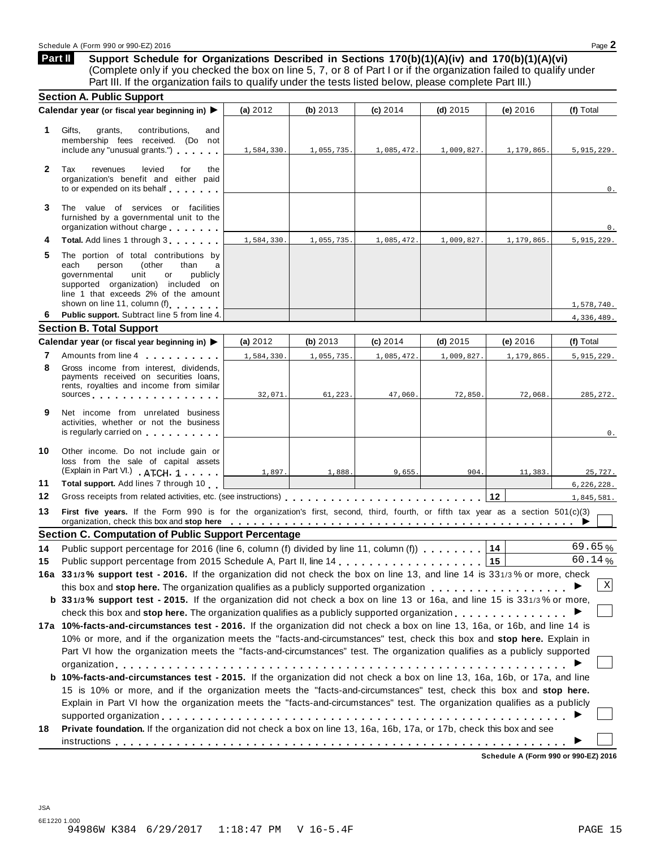**Support Schedule for Organizations Described in Sections 170(b)(1)(A)(iv) and 170(b)(1)(A)(vi)** (Complete only if you checked the box on line 5, 7, or 8 of Part I or if the organization failed to qualify under Part III. If the organization fails to qualify under the tests listed below, please complete Part III.) **Part II**

|              | <b>Section A. Public Support</b>                                                                                                                                                                                                                                                                                                                                                     |                       |                        |                       |                       |                       |                        |
|--------------|--------------------------------------------------------------------------------------------------------------------------------------------------------------------------------------------------------------------------------------------------------------------------------------------------------------------------------------------------------------------------------------|-----------------------|------------------------|-----------------------|-----------------------|-----------------------|------------------------|
|              | Calendar year (or fiscal year beginning in)                                                                                                                                                                                                                                                                                                                                          | (a) $2012$            | (b) $2013$             | $(c)$ 2014            | $(d)$ 2015            | (e) $2016$            | (f) Total              |
| 1.           | Gifts,<br>grants,<br>contributions,<br>and<br>membership fees received. (Do not<br>include any "unusual grants.")                                                                                                                                                                                                                                                                    | 1,584,330.            | 1,055,735.             | 1,085,472.            | 1,009,827.            | 1,179,865.            | 5,915,229.             |
| $\mathbf{2}$ | Tax<br>levied<br>revenues<br>for<br>the<br>organization's benefit and either paid<br>to or expended on its behalf                                                                                                                                                                                                                                                                    |                       |                        |                       |                       |                       | 0.                     |
| 3            | The value of services or facilities<br>furnished by a governmental unit to the<br>organization without charge                                                                                                                                                                                                                                                                        |                       |                        |                       |                       |                       | 0.                     |
| 4            | Total. Add lines 1 through 3                                                                                                                                                                                                                                                                                                                                                         | 1,584,330.            | 1,055,735.             | 1,085,472.            | 1,009,827.            | 1,179,865.            | 5,915,229.             |
| 5            | The portion of total contributions by<br>person<br>(other<br>each<br>than<br>a<br>unit<br>publicly<br>governmental<br>or<br>supported organization) included on<br>line 1 that exceeds 2% of the amount                                                                                                                                                                              |                       |                        |                       |                       |                       |                        |
|              | shown on line 11, column (f)                                                                                                                                                                                                                                                                                                                                                         |                       |                        |                       |                       |                       | 1,578,740.             |
| 6            | Public support. Subtract line 5 from line 4.                                                                                                                                                                                                                                                                                                                                         |                       |                        |                       |                       |                       | 4,336,489.             |
|              | <b>Section B. Total Support</b><br>Calendar year (or fiscal year beginning in) ▶                                                                                                                                                                                                                                                                                                     | (a) 2012              | (b) $2013$             | $(c)$ 2014            | $(d)$ 2015            | (e) $2016$            | (f) Total              |
|              |                                                                                                                                                                                                                                                                                                                                                                                      |                       |                        |                       |                       |                       |                        |
| 7<br>8       | Amounts from line 4<br>Gross income from interest, dividends,<br>payments received on securities loans,<br>rents, royalties and income from similar<br>sources and the set of the set of the set of the set of the set of the set of the set of the set of the set of                                                                                                                | 1,584,330.<br>32,071. | 1,055,735.<br>61, 223. | 1,085,472.<br>47,060. | 1,009,827.<br>72,850. | 1,179,865.<br>72,068. | 5,915,229.<br>285,272. |
| 9            | Net income from unrelated business<br>activities, whether or not the business<br>is regularly carried on the control of the control of the control of the control of the control of the control o                                                                                                                                                                                    |                       |                        |                       |                       |                       | 0.                     |
| 10<br>11     | Other income. Do not include gain or<br>loss from the sale of capital assets<br>(Explain in Part VI.) ATCH 1<br>Total support. Add lines 7 through 10                                                                                                                                                                                                                                | 1,897.                | 1,888.                 | 9,655.                | 904.                  | 11,383.               | 25,727.                |
| 12           |                                                                                                                                                                                                                                                                                                                                                                                      |                       |                        |                       |                       |                       | 6,226,228.             |
| 13           | First five years. If the Form 990 is for the organization's first, second, third, fourth, or fifth tax year as a section 501(c)(3)<br>organization, check this box and stop here $\ldots \ldots \ldots \ldots \ldots \ldots \ldots \ldots \ldots \ldots \ldots \ldots \ldots$                                                                                                        |                       |                        |                       |                       | 12                    | 1,845,581.             |
|              | <b>Section C. Computation of Public Support Percentage</b>                                                                                                                                                                                                                                                                                                                           |                       |                        |                       |                       |                       |                        |
| 14           | Public support percentage for 2016 (line 6, column (f) divided by line 11, column (f) $\ldots$ ,,,,,,                                                                                                                                                                                                                                                                                |                       |                        |                       |                       | 14                    | 69.65%                 |
| 15           |                                                                                                                                                                                                                                                                                                                                                                                      |                       |                        |                       |                       | 15                    | 60.14%                 |
|              | 16a 331/3% support test - 2016. If the organization did not check the box on line 13, and line 14 is 331/3% or more, check                                                                                                                                                                                                                                                           |                       |                        |                       |                       |                       |                        |
|              | this box and stop here. The organization qualifies as a publicly supported organization                                                                                                                                                                                                                                                                                              |                       |                        |                       |                       |                       | X                      |
|              | b 331/3% support test - 2015. If the organization did not check a box on line 13 or 16a, and line 15 is 331/3% or more,                                                                                                                                                                                                                                                              |                       |                        |                       |                       |                       |                        |
|              |                                                                                                                                                                                                                                                                                                                                                                                      |                       |                        |                       |                       |                       |                        |
|              | 17a 10%-facts-and-circumstances test - 2016. If the organization did not check a box on line 13, 16a, or 16b, and line 14 is<br>10% or more, and if the organization meets the "facts-and-circumstances" test, check this box and stop here. Explain in<br>Part VI how the organization meets the "facts-and-circumstances" test. The organization qualifies as a publicly supported |                       |                        |                       |                       |                       |                        |
|              | b 10%-facts-and-circumstances test - 2015. If the organization did not check a box on line 13, 16a, 16b, or 17a, and line<br>15 is 10% or more, and if the organization meets the "facts-and-circumstances" test, check this box and stop here.                                                                                                                                      |                       |                        |                       |                       |                       |                        |
|              | Explain in Part VI how the organization meets the "facts-and-circumstances" test. The organization qualifies as a publicly                                                                                                                                                                                                                                                           |                       |                        |                       |                       |                       |                        |
|              | Private foundation. If the organization did not check a box on line 13, 16a, 16b, 17a, or 17b, check this box and see                                                                                                                                                                                                                                                                |                       |                        |                       |                       |                       |                        |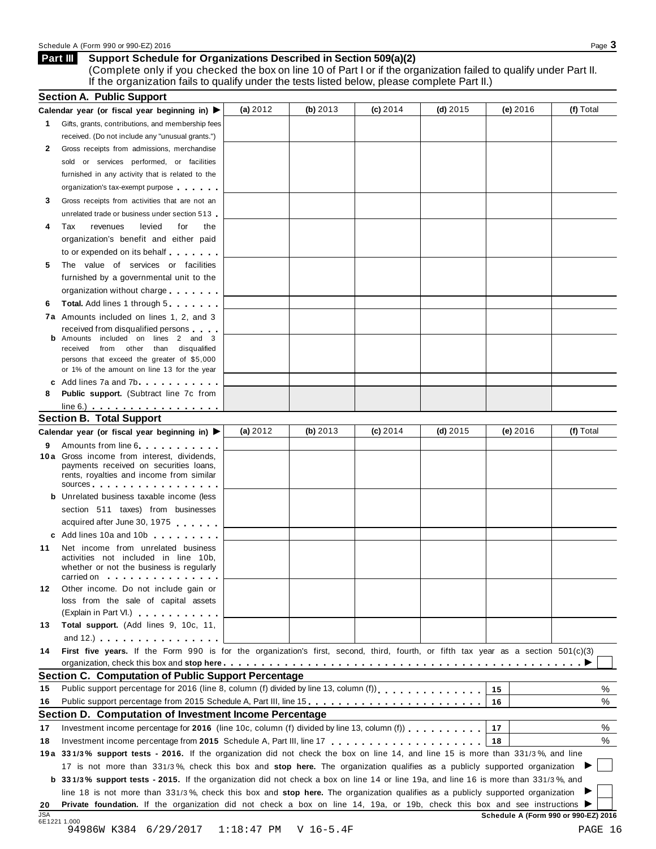### Schedule A (Form 990 or 990-EZ) 2016 Page 3

### **Support Schedule for Organizations Described in Section 509(a)(2) Part III**

(Complete only if you checked the box on line 10 of Part I or if the organization failed to qualify under Part II. If the organization fails to qualify under the tests listed below, please complete Part II.)

|                                  | <b>Section A. Public Support</b>                                                                                                                                                                                               |            |            |            |            |          |                  |
|----------------------------------|--------------------------------------------------------------------------------------------------------------------------------------------------------------------------------------------------------------------------------|------------|------------|------------|------------|----------|------------------|
|                                  | Calendar year (or fiscal year beginning in) $\blacktriangleright$                                                                                                                                                              | (a) 2012   | (b) 2013   | $(c)$ 2014 | $(d)$ 2015 | (e) 2016 | (f) Total        |
| $\mathbf{1}$                     | Gifts, grants, contributions, and membership fees                                                                                                                                                                              |            |            |            |            |          |                  |
|                                  | received. (Do not include any "unusual grants.")                                                                                                                                                                               |            |            |            |            |          |                  |
| 2                                | Gross receipts from admissions, merchandise                                                                                                                                                                                    |            |            |            |            |          |                  |
|                                  | sold or services performed, or facilities                                                                                                                                                                                      |            |            |            |            |          |                  |
|                                  | furnished in any activity that is related to the                                                                                                                                                                               |            |            |            |            |          |                  |
|                                  | organization's tax-exempt purpose                                                                                                                                                                                              |            |            |            |            |          |                  |
| 3                                | Gross receipts from activities that are not an                                                                                                                                                                                 |            |            |            |            |          |                  |
|                                  | unrelated trade or business under section 513                                                                                                                                                                                  |            |            |            |            |          |                  |
| 4                                | Tax<br>revenues<br>levied<br>for<br>the                                                                                                                                                                                        |            |            |            |            |          |                  |
|                                  | organization's benefit and either paid                                                                                                                                                                                         |            |            |            |            |          |                  |
|                                  | to or expended on its behalf                                                                                                                                                                                                   |            |            |            |            |          |                  |
| 5                                | The value of services or facilities                                                                                                                                                                                            |            |            |            |            |          |                  |
|                                  | furnished by a governmental unit to the                                                                                                                                                                                        |            |            |            |            |          |                  |
|                                  |                                                                                                                                                                                                                                |            |            |            |            |          |                  |
|                                  | organization without charge                                                                                                                                                                                                    |            |            |            |            |          |                  |
| 6                                | Total. Add lines 1 through 5                                                                                                                                                                                                   |            |            |            |            |          |                  |
|                                  | <b>7a</b> Amounts included on lines 1, 2, and 3                                                                                                                                                                                |            |            |            |            |          |                  |
|                                  | received from disqualified persons<br><b>b</b> Amounts included on lines 2 and 3                                                                                                                                               |            |            |            |            |          |                  |
|                                  | received from other than disqualified                                                                                                                                                                                          |            |            |            |            |          |                  |
|                                  | persons that exceed the greater of \$5,000                                                                                                                                                                                     |            |            |            |            |          |                  |
|                                  | or 1% of the amount on line 13 for the year                                                                                                                                                                                    |            |            |            |            |          |                  |
|                                  | c Add lines 7a and 7b                                                                                                                                                                                                          |            |            |            |            |          |                  |
| 8                                | <b>Public support.</b> (Subtract line 7c from                                                                                                                                                                                  |            |            |            |            |          |                  |
|                                  | line 6.)                                                                                                                                                                                                                       |            |            |            |            |          |                  |
|                                  | <b>Section B. Total Support</b>                                                                                                                                                                                                |            |            |            |            |          |                  |
|                                  | Calendar year (or fiscal year beginning in) ▶                                                                                                                                                                                  | (a) $2012$ | (b) $2013$ | $(c)$ 2014 | (d) $2015$ | (e) 2016 | (f) Total        |
| 9                                |                                                                                                                                                                                                                                |            |            |            |            |          |                  |
|                                  | 10 a Gross income from interest, dividends,                                                                                                                                                                                    |            |            |            |            |          |                  |
|                                  | payments received on securities loans,<br>rents, royalties and income from similar                                                                                                                                             |            |            |            |            |          |                  |
|                                  | sources entering the set of the set of the set of the set of the set of the set of the set of the set of the set of the set of the set of the set of the set of the set of the set of the set of the set of the set of the set |            |            |            |            |          |                  |
|                                  | <b>b</b> Unrelated business taxable income (less                                                                                                                                                                               |            |            |            |            |          |                  |
|                                  | section 511 taxes) from businesses                                                                                                                                                                                             |            |            |            |            |          |                  |
|                                  | acquired after June 30, 1975                                                                                                                                                                                                   |            |            |            |            |          |                  |
|                                  | c Add lines 10a and 10b                                                                                                                                                                                                        |            |            |            |            |          |                  |
| 11                               | Net income from unrelated business                                                                                                                                                                                             |            |            |            |            |          |                  |
|                                  | activities not included in line 10b,                                                                                                                                                                                           |            |            |            |            |          |                  |
|                                  | whether or not the business is regularly                                                                                                                                                                                       |            |            |            |            |          |                  |
|                                  | carried on the carried on the control of the care of the control of the control of the control of the control of the control of the control of the control of the control of the control of the control of the control of the  |            |            |            |            |          |                  |
| 12                               | Other income. Do not include gain or                                                                                                                                                                                           |            |            |            |            |          |                  |
|                                  |                                                                                                                                                                                                                                |            |            |            |            |          |                  |
|                                  | loss from the sale of capital assets                                                                                                                                                                                           |            |            |            |            |          |                  |
|                                  | (Explain in Part VI.) <b>All Accords</b>                                                                                                                                                                                       |            |            |            |            |          |                  |
|                                  | Total support. (Add lines 9, 10c, 11,                                                                                                                                                                                          |            |            |            |            |          |                  |
|                                  | and 12.) $\cdots$ $\cdots$ $\cdots$ $\cdots$                                                                                                                                                                                   |            |            |            |            |          |                  |
|                                  | First five years. If the Form 990 is for the organization's first, second, third, fourth, or fifth tax year as a section 501(c)(3)                                                                                             |            |            |            |            |          |                  |
|                                  |                                                                                                                                                                                                                                |            |            |            |            |          |                  |
|                                  | <b>Section C. Computation of Public Support Percentage</b>                                                                                                                                                                     |            |            |            |            |          |                  |
|                                  | Public support percentage for 2016 (line 8, column (f) divided by line 13, column (f))                                                                                                                                         |            |            |            |            | 15       |                  |
|                                  | Public support percentage from 2015 Schedule A, Part III, line 15                                                                                                                                                              |            |            |            |            | 16       |                  |
|                                  | Section D. Computation of Investment Income Percentage                                                                                                                                                                         |            |            |            |            |          |                  |
|                                  | Investment income percentage for 2016 (line 10c, column (f) divided by line 13, column (f) $\ldots$ ,,,,,,,,                                                                                                                   |            |            |            |            | 17       |                  |
|                                  |                                                                                                                                                                                                                                |            |            |            |            | 18       |                  |
|                                  | 19a 331/3% support tests - 2016. If the organization did not check the box on line 14, and line 15 is more than 331/3%, and line                                                                                               |            |            |            |            |          |                  |
|                                  | 17 is not more than 331/3%, check this box and stop here. The organization qualifies as a publicly supported organization                                                                                                      |            |            |            |            |          |                  |
| 13<br>14<br>15<br>16<br>17<br>18 | <b>b</b> 331/3% support tests - 2015. If the organization did not check a box on line 14 or line 19a, and line 16 is more than 331/3%, and                                                                                     |            |            |            |            |          |                  |
|                                  | line 18 is not more than 331/3%, check this box and stop here. The organization qualifies as a publicly supported organization                                                                                                 |            |            |            |            |          |                  |
| 20                               | Private foundation. If the organization did not check a box on line 14, 19a, or 19b, check this box and see instructions ▶                                                                                                     |            |            |            |            |          | %<br>%<br>%<br>% |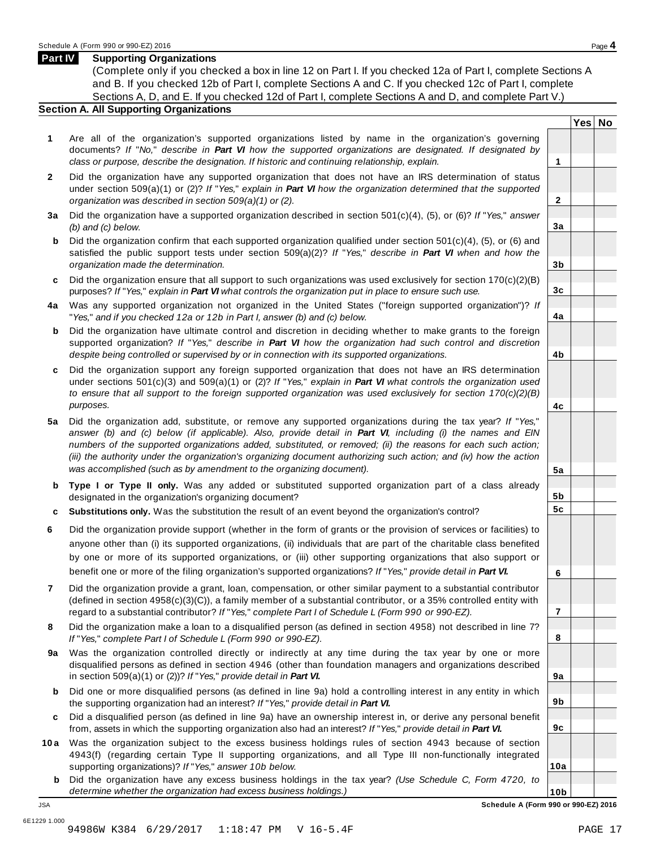**Yes No**

**2**

**3a**

**3b**

**3c**

**4a**

**4b**

**4c**

**5a**

**5b 5c**

**6**

**7**

**8**

**9a**

**9b**

**9c**

**10a**

### **Part IV Supporting Organizations**

(Complete only if you checked a box in line 12 on Part I. If you checked 12a of Part I, complete Sections A and B. If you checked 12b of Part I, complete Sections A and C. If you checked 12c of Part I, complete Sections A, D, and E. If you checked 12d of Part I, complete Sections A and D, and complete Part V.)

### **Section A. All Supporting Organizations**

- **1** Are all of the organization's supported organizations listed by name in the organization's governing documents? *If* "*No,*" *describe in Part VI how the supported organizations are designated. If designated by class or purpose, describe the designation. If historic and continuing relationship, explain.* **1**
- **2** Did the organization have any supported organization that does not have an IRS determination of status under section 509(a)(1) or (2)? *If*"*Yes,*" *explain in Part VI how the organization determined that the supported organization was described in section 509(a)(1) or (2).*
- **3 a** Did the organization have a supported organization described in section 501(c)(4), (5), or (6)? *If* "*Yes,*" *answer (b) and (c) below.*
- **b** Did the organization confirm that each supported organization qualified under section 501(c)(4), (5), or (6) and | satisfied the public support tests under section 509(a)(2)? *If* "*Yes,*" *describe in Part VI when and how the organization made the determination.*
- **c** Did the organization ensure that all support to such organizations was used exclusively for section 170(c)(2)(B) purposes? *If*"*Yes,*" *explain in Part VI what controls the organization put in place to ensure such use.*
- **4 a** Was any supported organization not organized in the United States ("foreign supported organization")? *If* "*Yes,*" *and if you checked 12a or 12b in Part I, answer (b) and (c) below.*
- **b** Did the organization have ultimate control and discretion in deciding whether to make grants to the foreign | supported organization? *If* "*Yes,*" *describe in Part VI how the organization had such control and discretion despite being controlled or supervised by or in connection with its supported organizations.*
- **c** Did the organization support any foreign supported organization that does not have an IRS determination | under sections 501(c)(3) and 509(a)(1) or (2)? *If* "*Yes,*" *explain in Part VI what controls the organization used to ensure that all support to the foreign supported organization was used exclusively for section 170(c)(2)(B) purposes.*
- **5 a** Did the organization add, substitute, or remove any supported organizations during the tax year? *If* "*Yes,*" answer (b) and (c) below (if applicable). Also, provide detail in Part VI, including (i) the names and EIN *numbers of the supported organizations added, substituted, or removed; (ii) the reasons for each such action;* (iii) the authority under the organization's organizing document authorizing such action; and (iv) how the action *was accomplished (such as by amendment to the organizing document).*
- **b** Type I or Type II only. Was any added or substituted supported organization part of a class already | designated in the organization's organizing document?
- **c Substitutions only.** Was the substitution the result of an event beyond the organization's control?
- **6** Did the organization provide support (whether in the form of grants or the provision of services or facilities) to anyone other than (i) its supported organizations, (ii) individuals that are part of the charitable class benefited by one or more of its supported organizations, or (iii) other supporting organizations that also support or benefit one or more of the filing organization's supported organizations? *If*"*Yes,*" *provide detail in Part VI.*
- **7** Did the organization provide a grant, loan, compensation, or other similar payment to a substantial contributor (defined in section 4958(c)(3)(C)), a family member of a substantial contributor, or a 35% controlled entity with regard to a substantial contributor? *If*"*Yes,*" *complete Part I of Schedule L (Form 990 or 990-EZ).*
- **8** Did the organization make a loan to a disqualified person (as defined in section 4958) not described in line 7? *If* "*Yes,*" *complete Part I of Schedule L (Form 990 or 990-EZ).*
- **a** Was the organization controlled directly or indirectly at any time during the tax year by one or more | **9** disqualified persons as defined in section 4946 (other than foundation managers and organizations described in section 509(a)(1) or (2))? *If*"*Yes,*" *provide detail in Part VI.*
- **b** Did one or more disqualified persons (as defined in line 9a) hold a controlling interest in any entity in which | the supporting organization had an interest? *If*"*Yes,*" *provide detail in Part VI.*
- **c** Did a disqualified person (as defined in line 9a) have an ownership interest in, or derive any personal benefit from, assets in which the supporting organization also had an interest? *If*"*Yes,*" *provide detail in Part VI.*
- **10a** Was the organization subject to the excess business holdings rules of section 4943 because of section | 4943(f) (regarding certain Type II supporting organizations, and all Type III non-functionally integrated supporting organizations)? *If*"*Yes,*" *answer 10b below.*
	- **b** Did the organization have any excess business holdings in the tax year? *(Use Schedule C, Form 4720, to determine whether the organization had excess business holdings.)*

**10b** JSA **Schedule A (Form 990 or 990-EZ) 2016**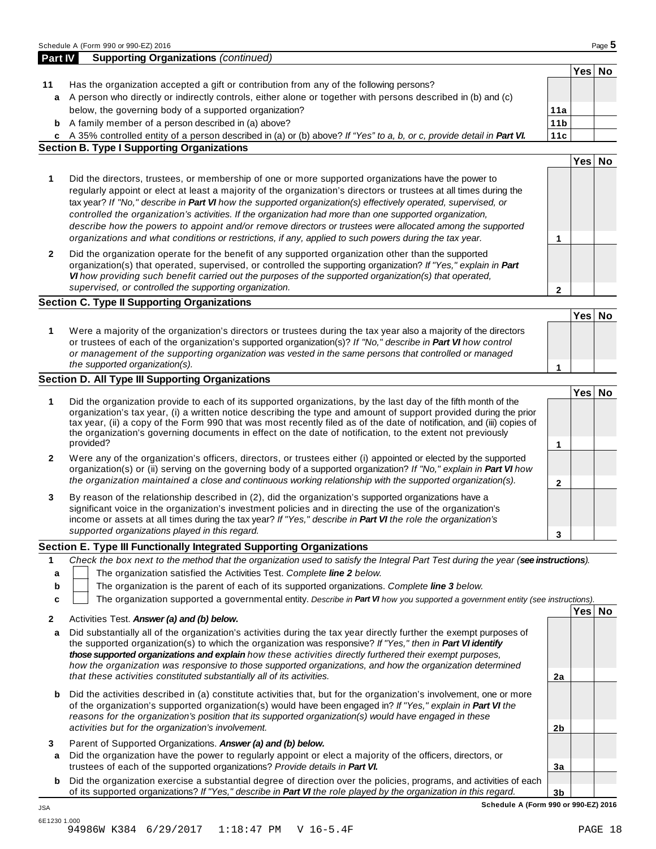| 11 | Has the organization accepted a gift or contribution from any of the following persons?                                                                                                                                                  |                 |        |  |
|----|------------------------------------------------------------------------------------------------------------------------------------------------------------------------------------------------------------------------------------------|-----------------|--------|--|
|    | a A person who directly or indirectly controls, either alone or together with persons described in (b) and (c)                                                                                                                           |                 |        |  |
|    | below, the governing body of a supported organization?                                                                                                                                                                                   | 11a             |        |  |
|    | <b>b</b> A family member of a person described in (a) above?                                                                                                                                                                             | 11 <sub>b</sub> |        |  |
|    | c A 35% controlled entity of a person described in (a) or (b) above? If "Yes" to a, b, or c, provide detail in Part VI.                                                                                                                  | 11c             |        |  |
|    | <b>Section B. Type I Supporting Organizations</b>                                                                                                                                                                                        |                 |        |  |
|    |                                                                                                                                                                                                                                          |                 | Yes No |  |
| 1  | Did the directors, trustees, or membership of one or more supported organizations have the power to                                                                                                                                      |                 |        |  |
|    | regularly appoint or elect at least a majority of the organization's directors or trustees at all times during the                                                                                                                       |                 |        |  |
|    | tax year? If "No," describe in Part VI how the supported organization(s) effectively operated, supervised, or                                                                                                                            |                 |        |  |
|    | controlled the organization's activities. If the organization had more than one supported organization,                                                                                                                                  |                 |        |  |
|    | describe how the powers to appoint and/or remove directors or trustees were allocated among the supported                                                                                                                                |                 |        |  |
|    | organizations and what conditions or restrictions, if any, applied to such powers during the tax year.                                                                                                                                   | 1               |        |  |
| 2  | Did the organization operate for the benefit of any supported organization other than the supported                                                                                                                                      |                 |        |  |
|    | organization(s) that operated, supervised, or controlled the supporting organization? If "Yes," explain in Part                                                                                                                          |                 |        |  |
|    | VI how providing such benefit carried out the purposes of the supported organization(s) that operated,                                                                                                                                   |                 |        |  |
|    | supervised, or controlled the supporting organization.                                                                                                                                                                                   | $\mathbf{2}$    |        |  |
|    | <b>Section C. Type II Supporting Organizations</b>                                                                                                                                                                                       |                 |        |  |
|    |                                                                                                                                                                                                                                          |                 | Yes No |  |
| 1  | Were a majority of the organization's directors or trustees during the tax year also a majority of the directors                                                                                                                         |                 |        |  |
|    | or trustees of each of the organization's supported organization(s)? If "No," describe in Part VI how control                                                                                                                            |                 |        |  |
|    | or management of the supporting organization was vested in the same persons that controlled or managed                                                                                                                                   |                 |        |  |
|    | the supported organization(s).                                                                                                                                                                                                           | 1               |        |  |
|    | <b>Section D. All Type III Supporting Organizations</b>                                                                                                                                                                                  |                 |        |  |
|    |                                                                                                                                                                                                                                          |                 | Yes No |  |
| 1  | Did the organization provide to each of its supported organizations, by the last day of the fifth month of the<br>organization's tax year, (i) a written notice describing the type and amount of support provided during the prior      |                 |        |  |
|    | tax year, (ii) a copy of the Form 990 that was most recently filed as of the date of notification, and (iii) copies of                                                                                                                   |                 |        |  |
|    | the organization's governing documents in effect on the date of notification, to the extent not previously                                                                                                                               |                 |        |  |
|    | provided?                                                                                                                                                                                                                                | $\mathbf{1}$    |        |  |
| 2  | Were any of the organization's officers, directors, or trustees either (i) appointed or elected by the supported                                                                                                                         |                 |        |  |
|    | organization(s) or (ii) serving on the governing body of a supported organization? If "No," explain in Part VI how                                                                                                                       |                 |        |  |
|    | the organization maintained a close and continuous working relationship with the supported organization(s).                                                                                                                              | $\mathbf{2}$    |        |  |
| 3  | By reason of the relationship described in (2), did the organization's supported organizations have a                                                                                                                                    |                 |        |  |
|    | significant voice in the organization's investment policies and in directing the use of the organization's                                                                                                                               |                 |        |  |
|    | income or assets at all times during the tax year? If "Yes," describe in Part VI the role the organization's                                                                                                                             |                 |        |  |
|    | supported organizations played in this regard.                                                                                                                                                                                           | 3               |        |  |
|    | Section E. Type III Functionally Integrated Supporting Organizations                                                                                                                                                                     |                 |        |  |
|    | Check the box next to the method that the organization used to satisfy the Integral Part Test during the year (see instructions).                                                                                                        |                 |        |  |
| a  | The organization satisfied the Activities Test. Complete line 2 below.                                                                                                                                                                   |                 |        |  |
| b  | The organization is the parent of each of its supported organizations. Complete line 3 below.                                                                                                                                            |                 |        |  |
| C  | The organization supported a governmental entity. Describe in Part VI how you supported a government entity (see instructions).                                                                                                          |                 |        |  |
| 2  | Activities Test. Answer (a) and (b) below.                                                                                                                                                                                               |                 | Yes No |  |
| a  | Did substantially all of the organization's activities during the tax year directly further the exempt purposes of                                                                                                                       |                 |        |  |
|    |                                                                                                                                                                                                                                          |                 |        |  |
|    |                                                                                                                                                                                                                                          |                 |        |  |
|    | the supported organization(s) to which the organization was responsive? If "Yes," then in Part VI identify<br>those supported organizations and explain how these activities directly furthered their exempt purposes,                   |                 |        |  |
|    | how the organization was responsive to those supported organizations, and how the organization determined                                                                                                                                |                 |        |  |
|    | that these activities constituted substantially all of its activities.                                                                                                                                                                   | 2a              |        |  |
|    |                                                                                                                                                                                                                                          |                 |        |  |
| b  | Did the activities described in (a) constitute activities that, but for the organization's involvement, one or more<br>of the organization's supported organization(s) would have been engaged in? If "Yes," explain in Part VI the      |                 |        |  |
|    | reasons for the organization's position that its supported organization(s) would have engaged in these                                                                                                                                   |                 |        |  |
|    | activities but for the organization's involvement.                                                                                                                                                                                       | 2 <sub>b</sub>  |        |  |
| 3  | Parent of Supported Organizations. Answer (a) and (b) below.                                                                                                                                                                             |                 |        |  |
| a  | Did the organization have the power to regularly appoint or elect a majority of the officers, directors, or                                                                                                                              |                 |        |  |
|    | trustees of each of the supported organizations? Provide details in Part VI.                                                                                                                                                             | 3a              |        |  |
| b  | Did the organization exercise a substantial degree of direction over the policies, programs, and activities of each<br>of its supported organizations? If "Yes," describe in Part VI the role played by the organization in this regard. |                 |        |  |

**Part IV Supporting Organizations** *(continued)*

**Yes No**

Г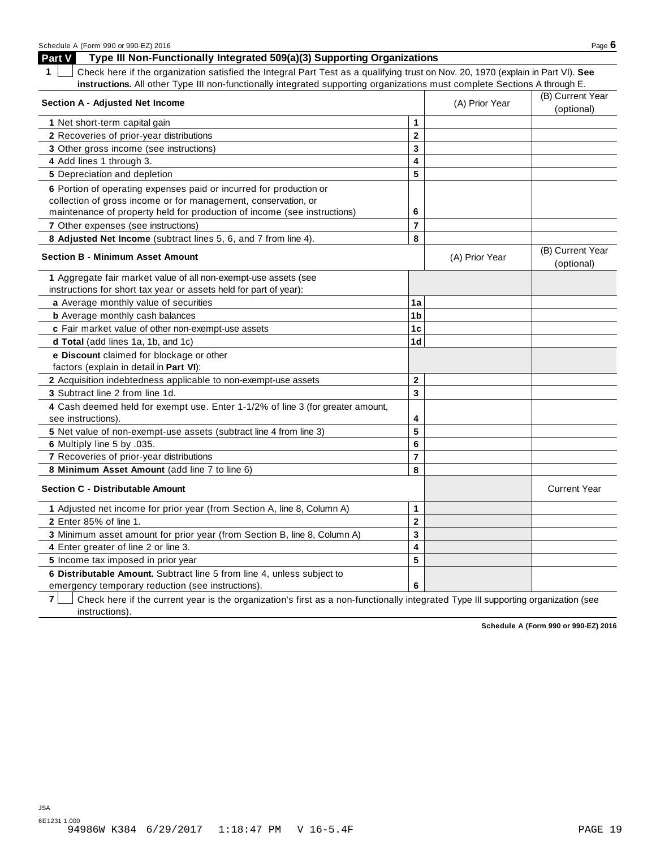| Schedule A (Form 990 or 990-EZ) 2016                                                                                                  |                         |                | Page $6$                       |
|---------------------------------------------------------------------------------------------------------------------------------------|-------------------------|----------------|--------------------------------|
| Part V<br>Type III Non-Functionally Integrated 509(a)(3) Supporting Organizations                                                     |                         |                |                                |
| Check here if the organization satisfied the Integral Part Test as a qualifying trust on Nov. 20, 1970 (explain in Part VI). See<br>1 |                         |                |                                |
| instructions. All other Type III non-functionally integrated supporting organizations must complete Sections A through E.             |                         |                |                                |
| <b>Section A - Adjusted Net Income</b>                                                                                                |                         | (A) Prior Year | (B) Current Year               |
|                                                                                                                                       |                         |                | (optional)                     |
| 1 Net short-term capital gain                                                                                                         | 1                       |                |                                |
| 2 Recoveries of prior-year distributions                                                                                              | $\overline{\mathbf{2}}$ |                |                                |
| 3 Other gross income (see instructions)                                                                                               | 3                       |                |                                |
| 4 Add lines 1 through 3.                                                                                                              | 4                       |                |                                |
| 5 Depreciation and depletion                                                                                                          | 5                       |                |                                |
| 6 Portion of operating expenses paid or incurred for production or                                                                    |                         |                |                                |
| collection of gross income or for management, conservation, or                                                                        |                         |                |                                |
| maintenance of property held for production of income (see instructions)                                                              | 6                       |                |                                |
| 7 Other expenses (see instructions)                                                                                                   | $\overline{7}$          |                |                                |
| 8 Adjusted Net Income (subtract lines 5, 6, and 7 from line 4).                                                                       | 8                       |                |                                |
| <b>Section B - Minimum Asset Amount</b>                                                                                               |                         | (A) Prior Year | (B) Current Year<br>(optional) |
| 1 Aggregate fair market value of all non-exempt-use assets (see                                                                       |                         |                |                                |
| instructions for short tax year or assets held for part of year):                                                                     |                         |                |                                |
| a Average monthly value of securities                                                                                                 | 1a                      |                |                                |
| <b>b</b> Average monthly cash balances                                                                                                | 1b                      |                |                                |
| c Fair market value of other non-exempt-use assets                                                                                    | 1c                      |                |                                |
| d Total (add lines 1a, 1b, and 1c)                                                                                                    | 1 <sub>d</sub>          |                |                                |
| e Discount claimed for blockage or other                                                                                              |                         |                |                                |
| factors (explain in detail in Part VI):                                                                                               |                         |                |                                |
| 2 Acquisition indebtedness applicable to non-exempt-use assets                                                                        | $\mathbf{2}$            |                |                                |
| 3 Subtract line 2 from line 1d.                                                                                                       | 3                       |                |                                |
| 4 Cash deemed held for exempt use. Enter 1-1/2% of line 3 (for greater amount,<br>see instructions).                                  | 4                       |                |                                |
| 5 Net value of non-exempt-use assets (subtract line 4 from line 3)                                                                    | 5                       |                |                                |
| 6 Multiply line 5 by .035.                                                                                                            | 6                       |                |                                |
| 7 Recoveries of prior-year distributions                                                                                              | $\overline{7}$          |                |                                |
| 8 Minimum Asset Amount (add line 7 to line 6)                                                                                         | 8                       |                |                                |
| <b>Section C - Distributable Amount</b>                                                                                               |                         |                | <b>Current Year</b>            |
| 1 Adjusted net income for prior year (from Section A, line 8, Column A)                                                               | 1                       |                |                                |
| 2 Enter 85% of line 1.                                                                                                                | $\mathbf 2$             |                |                                |
| 3 Minimum asset amount for prior year (from Section B, line 8, Column A)                                                              | 3                       |                |                                |
| 4 Enter greater of line 2 or line 3.                                                                                                  | 4                       |                |                                |
| 5 Income tax imposed in prior year                                                                                                    | 5                       |                |                                |
| 6 Distributable Amount. Subtract line 5 from line 4, unless subject to                                                                |                         |                |                                |
| emergency temporary reduction (see instructions).                                                                                     | 6                       |                |                                |

**7**  $\bigsqcup$  Check here if the current year is the organization's first as a non-functionally integrated Type III supporting organization (see instructions).

**Schedule A (Form 990 or 990-EZ) 2016**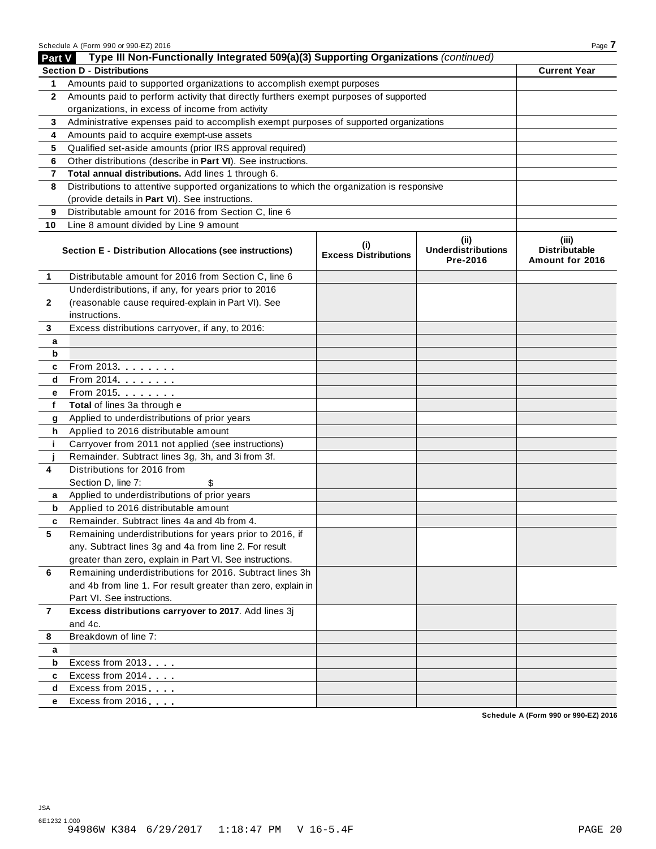|                | Schedule A (Form 990 or 990-EZ) 2016                                                       |                                    |                                               | Page 7                                           |
|----------------|--------------------------------------------------------------------------------------------|------------------------------------|-----------------------------------------------|--------------------------------------------------|
| Part V         | Type III Non-Functionally Integrated 509(a)(3) Supporting Organizations (continued)        |                                    |                                               |                                                  |
|                | <b>Section D - Distributions</b>                                                           |                                    |                                               | <b>Current Year</b>                              |
| 1              | Amounts paid to supported organizations to accomplish exempt purposes                      |                                    |                                               |                                                  |
| $\mathbf{2}$   | Amounts paid to perform activity that directly furthers exempt purposes of supported       |                                    |                                               |                                                  |
|                | organizations, in excess of income from activity                                           |                                    |                                               |                                                  |
| 3              | Administrative expenses paid to accomplish exempt purposes of supported organizations      |                                    |                                               |                                                  |
| 4              | Amounts paid to acquire exempt-use assets                                                  |                                    |                                               |                                                  |
| 5              | Qualified set-aside amounts (prior IRS approval required)                                  |                                    |                                               |                                                  |
| 6              | Other distributions (describe in Part VI). See instructions.                               |                                    |                                               |                                                  |
| 7              | Total annual distributions. Add lines 1 through 6.                                         |                                    |                                               |                                                  |
| 8              | Distributions to attentive supported organizations to which the organization is responsive |                                    |                                               |                                                  |
|                | (provide details in Part VI). See instructions.                                            |                                    |                                               |                                                  |
| 9              | Distributable amount for 2016 from Section C, line 6                                       |                                    |                                               |                                                  |
| 10             | Line 8 amount divided by Line 9 amount                                                     |                                    |                                               |                                                  |
|                | Section E - Distribution Allocations (see instructions)                                    | (i)<br><b>Excess Distributions</b> | (ii)<br><b>Underdistributions</b><br>Pre-2016 | (iii)<br><b>Distributable</b><br>Amount for 2016 |
| 1              | Distributable amount for 2016 from Section C, line 6                                       |                                    |                                               |                                                  |
|                | Underdistributions, if any, for years prior to 2016                                        |                                    |                                               |                                                  |
| $\mathbf{2}$   | (reasonable cause required-explain in Part VI). See                                        |                                    |                                               |                                                  |
|                | instructions.                                                                              |                                    |                                               |                                                  |
| 3              | Excess distributions carryover, if any, to 2016:                                           |                                    |                                               |                                                  |
| a              |                                                                                            |                                    |                                               |                                                  |
| b              |                                                                                            |                                    |                                               |                                                  |
| c              | From 2013                                                                                  |                                    |                                               |                                                  |
| d              | From 2014                                                                                  |                                    |                                               |                                                  |
| е              | From 2015.                                                                                 |                                    |                                               |                                                  |
| f              | Total of lines 3a through e                                                                |                                    |                                               |                                                  |
| g              | Applied to underdistributions of prior years                                               |                                    |                                               |                                                  |
| h              | Applied to 2016 distributable amount                                                       |                                    |                                               |                                                  |
| j.             | Carryover from 2011 not applied (see instructions)                                         |                                    |                                               |                                                  |
|                | Remainder. Subtract lines 3g, 3h, and 3i from 3f.                                          |                                    |                                               |                                                  |
| 4              | Distributions for 2016 from                                                                |                                    |                                               |                                                  |
|                | Section D, line 7:<br>\$                                                                   |                                    |                                               |                                                  |
| a              | Applied to underdistributions of prior years                                               |                                    |                                               |                                                  |
| b              | Applied to 2016 distributable amount                                                       |                                    |                                               |                                                  |
| c              | Remainder. Subtract lines 4a and 4b from 4                                                 |                                    |                                               |                                                  |
| 5              | Remaining underdistributions for years prior to 2016, if                                   |                                    |                                               |                                                  |
|                | any. Subtract lines 3g and 4a from line 2. For result                                      |                                    |                                               |                                                  |
|                | greater than zero, explain in Part VI. See instructions.                                   |                                    |                                               |                                                  |
| 6              | Remaining underdistributions for 2016. Subtract lines 3h                                   |                                    |                                               |                                                  |
|                | and 4b from line 1. For result greater than zero, explain in                               |                                    |                                               |                                                  |
|                | Part VI. See instructions.                                                                 |                                    |                                               |                                                  |
| $\overline{7}$ | Excess distributions carryover to 2017. Add lines 3j                                       |                                    |                                               |                                                  |
|                | and 4c.                                                                                    |                                    |                                               |                                                  |
| 8              | Breakdown of line 7:                                                                       |                                    |                                               |                                                  |
| a              |                                                                                            |                                    |                                               |                                                  |
| b              | Excess from 2013                                                                           |                                    |                                               |                                                  |
| c              | Excess from 2014                                                                           |                                    |                                               |                                                  |
| d              | Excess from 2015                                                                           |                                    |                                               |                                                  |
| е              | Excess from 2016                                                                           |                                    |                                               |                                                  |
|                |                                                                                            |                                    |                                               |                                                  |

**Schedule A (Form 990 or 990-EZ) 2016**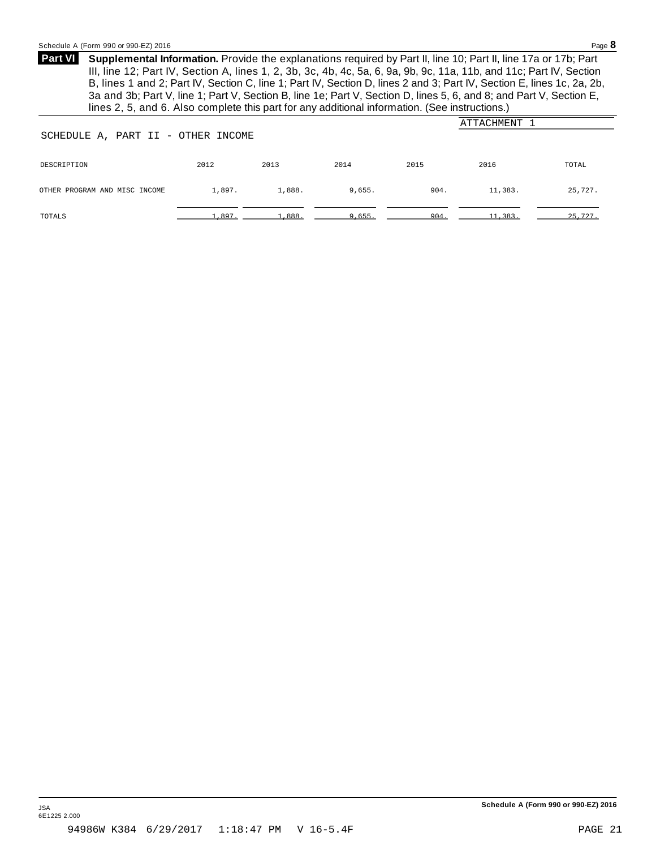<span id="page-19-0"></span>**Supplemental Information.** Provide the explanations required by Part II, line 10; Part II, line 17a or 17b; Part **Part VI** III, line 12; Part IV, Section A, lines 1, 2, 3b, 3c, 4b, 4c, 5a, 6, 9a, 9b, 9c, 11a, 11b, and 11c; Part IV, Section B, lines 1 and 2; Part IV, Section C, line 1; Part IV, Section D, lines 2 and 3; Part IV, Section E, lines 1c, 2a, 2b, 3a and 3b; Part V, line 1; Part V, Section B, line 1e; Part V, Section D, lines 5, 6, and 8; and Part V, Section E, lines 2, 5, and 6. Also complete this part for any additional information. (See instructions.)

|                               |                                    |        |        |      | <b>ATTACHMENT</b> |         |  |  |  |  |  |
|-------------------------------|------------------------------------|--------|--------|------|-------------------|---------|--|--|--|--|--|
|                               | SCHEDULE A, PART II - OTHER INCOME |        |        |      |                   |         |  |  |  |  |  |
|                               |                                    |        |        |      |                   |         |  |  |  |  |  |
| DESCRIPTION                   | 2012                               | 2013   | 2014   | 2015 | 2016              | TOTAL   |  |  |  |  |  |
|                               |                                    |        |        |      |                   |         |  |  |  |  |  |
| OTHER PROGRAM AND MISC INCOME | 1,897.                             | 1,888. | 9,655. | 904. | 11,383.           | 25,727. |  |  |  |  |  |
|                               |                                    |        |        |      |                   |         |  |  |  |  |  |
| TOTALS                        | 1,897.                             | 1,888. | 9,655. | 904. | 11,383.           | 25,727. |  |  |  |  |  |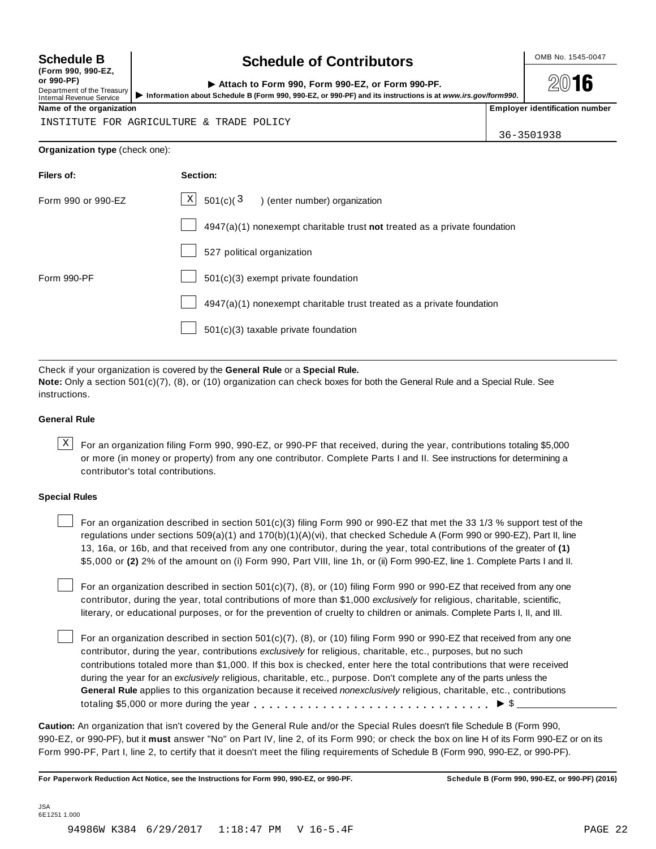| <b>Schedule B</b>             |  |  |
|-------------------------------|--|--|
| $T_{\text{max}}$ and and $F7$ |  |  |

| ILOIIII AAN' AAN-ET'            |
|---------------------------------|
| or 990-PF)                      |
| Department of the Treasury      |
| <b>Internal Revenue Service</b> |

### **Schedule B chedule of Contributors**

**2016** 

or 990-PF)<br>Department of the Treasury<br>Internal Revenue Service has information about Schedule B (Form 990, 990-EZ, or 990-PF) and its instructions is at www.irs.gov/form990.<br>Name of the organization **internal Revenue Servi** 

|  | INSTITUTE FOR AGRICULTURE & TRADE POLICY |  |  |
|--|------------------------------------------|--|--|

36-3501938

### **Organization type** (check one):

| Filers of:         | Section:                                                                    |
|--------------------|-----------------------------------------------------------------------------|
| Form 990 or 990-EZ | $\mathbf{X}$<br>501(c)( $3$<br>) (enter number) organization                |
|                    | $4947(a)(1)$ nonexempt charitable trust not treated as a private foundation |
|                    | 527 political organization                                                  |
| Form 990-PF        | 501(c)(3) exempt private foundation                                         |
|                    | $4947(a)(1)$ nonexempt charitable trust treated as a private foundation     |
|                    | 501(c)(3) taxable private foundation                                        |
|                    |                                                                             |

Check if your organization is covered by the **General Rule** or a **Special Rule.**

**Note:** Only a section 501(c)(7), (8), or (10) organization can check boxes for both the General Rule and a Special Rule. See instructions.

### **General Rule**

 $\text{X}$  For an organization filing Form 990, 990-EZ, or 990-PF that received, during the year, contributions totaling \$5,000 or more (in money or property) from any one contributor. Complete Parts I and II. See instructions for determining a contributor's total contributions.

### **Special Rules**

For an organization described in section 501(c)(3) filing Form 990 or 990-EZ that met the 33 1/3 % support test of the regulations under sections 509(a)(1) and 170(b)(1)(A)(vi), that checked Schedule A (Form 990 or 990-EZ), Part II, line 13, 16a, or 16b, and that received from any one contributor, during the year, total contributions of the greater of **(1)** \$5,000 or **(2)** 2% of the amount on (i) Form 990, Part VIII, line 1h, or (ii) Form 990-EZ, line 1. Complete Parts I and II.

For an organization described in section 501(c)(7), (8), or (10) filing Form 990 or 990-EZ that received from any one contributor, during the year, total contributions of more than \$1,000 *exclusively* for religious, charitable, scientific, literary, or educational purposes, or for the prevention of cruelty to children or animals. Complete Parts I, II, and III.

For an organization described in section 501(c)(7), (8), or (10) filing Form 990 or 990-EZ that received from any one contributor, during the year, contributions *exclusively* for religious, charitable, etc., purposes, but no such contributions totaled more than \$1,000. If this box is checked, enter here the total contributions that were received during the year for an *exclusively* religious, charitable, etc., purpose. Don't complete any of the parts unless the **General Rule** applies to this organization because it received *nonexclusively* religious, charitable, etc., contributions totaling \$5,000 or more during the year m m m m m m m m m m m m m m m m m m m m m m m m m m m m m m m I \$

**Caution:** An organization that isn't covered by the General Rule and/or the Special Rules doesn't file Schedule B (Form 990, 990-EZ, or 990-PF), but it **must** answer "No" on Part IV, line 2, of its Form 990; or check the box on line H of its Form 990-EZ or on its Form 990-PF, Part I, line 2, to certify that it doesn't meet the filing requirements of Schedule B (Form 990, 990-EZ, or 990-PF).

For Paperwork Reduction Act Notice, see the Instructions for Form 990, 990-EZ, or 990-PF. Schedule B (Form 990, 990-EZ, or 990-PF) (2016)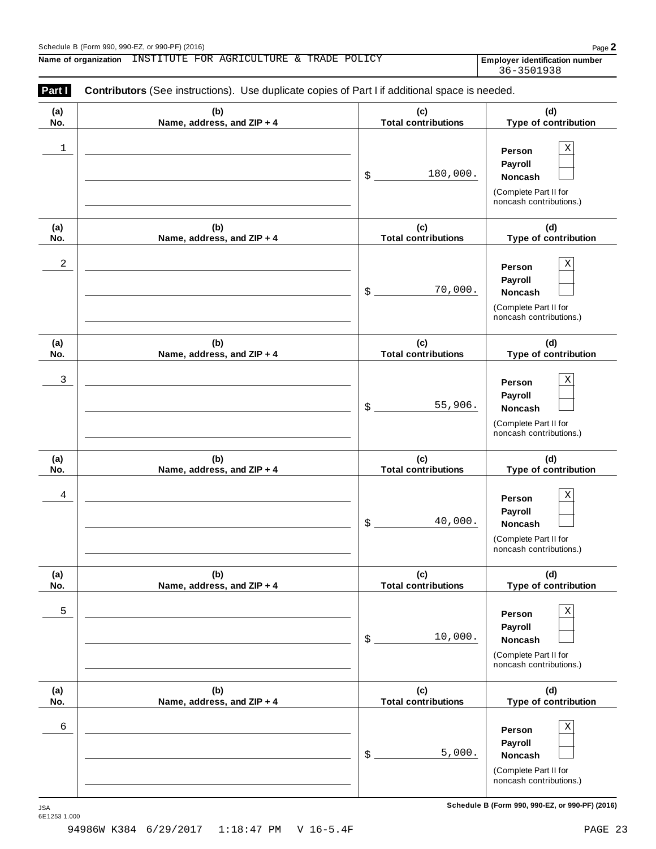36-3501938

| (a) | (b)                        | (c)                        | (d)                                                                                             |
|-----|----------------------------|----------------------------|-------------------------------------------------------------------------------------------------|
| No. | Name, address, and ZIP + 4 | <b>Total contributions</b> | Type of contribution                                                                            |
| 1   |                            | 180,000.<br>\$             | $\mathbf X$<br>Person<br>Payroll<br>Noncash<br>(Complete Part II for<br>noncash contributions.) |
| (a) | (b)                        | (c)                        | (d)                                                                                             |
| No. | Name, address, and ZIP + 4 | <b>Total contributions</b> | Type of contribution                                                                            |
| 2   |                            | 70,000.<br>\$              | $\mathbf X$<br>Person<br>Payroll<br>Noncash<br>(Complete Part II for<br>noncash contributions.) |
| (a) | (b)                        | (c)                        | (d)                                                                                             |
| No. | Name, address, and ZIP + 4 | <b>Total contributions</b> | Type of contribution                                                                            |
| 3   |                            | 55,906.<br>\$              | $\mathbf X$<br>Person<br>Payroll<br>Noncash<br>(Complete Part II for<br>noncash contributions.) |
| (a) | (b)                        | (c)                        | (d)                                                                                             |
| No. | Name, address, and ZIP + 4 | <b>Total contributions</b> | Type of contribution                                                                            |
| 4   |                            | 40,000.<br>\$              | $\mathbf X$<br>Person<br>Payroll<br>Noncash<br>(Complete Part II for<br>noncash contributions.) |
| (a) | (b)                        | (c)                        | (d)                                                                                             |
| No. | Name, address, and ZIP + 4 | <b>Total contributions</b> | Type of contribution                                                                            |
| 5   |                            | 10,000.<br>$\frac{1}{2}$   | Χ<br>Person<br>Payroll<br><b>Noncash</b><br>(Complete Part II for<br>noncash contributions.)    |
| (a) | (b)                        | (c)                        | (d)                                                                                             |
| No. | Name, address, and ZIP + 4 | <b>Total contributions</b> | Type of contribution                                                                            |
| 6   |                            | 5,000.<br>$\frac{1}{2}$    | Χ<br>Person<br>Payroll<br><b>Noncash</b><br>(Complete Part II for<br>noncash contributions.)    |

 $S$ chedule B (Form 990, 990-EZ, or 990-PF) (2016)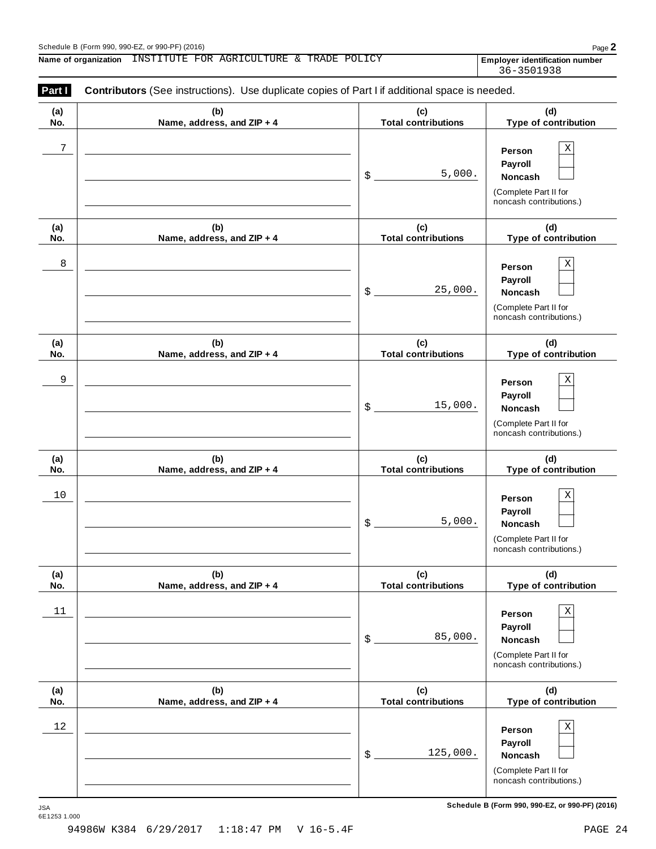36-3501938

| (a)    | (b)                        | (c)                        | (d)                                                                                             |
|--------|----------------------------|----------------------------|-------------------------------------------------------------------------------------------------|
| No.    | Name, address, and ZIP + 4 | <b>Total contributions</b> | Type of contribution                                                                            |
| 7      |                            | 5,000.<br>\$               | Χ<br>Person<br>Payroll<br>Noncash<br>(Complete Part II for<br>noncash contributions.)           |
| (a)    | (b)                        | (c)                        | (d)                                                                                             |
| No.    | Name, address, and ZIP + 4 | <b>Total contributions</b> | Type of contribution                                                                            |
| 8      |                            | 25,000.<br>\$              | $\mathbf X$<br>Person<br>Payroll<br>Noncash<br>(Complete Part II for<br>noncash contributions.) |
| (a)    | (b)                        | (c)                        | (d)                                                                                             |
| No.    | Name, address, and ZIP + 4 | <b>Total contributions</b> | Type of contribution                                                                            |
| 9      |                            | 15,000.<br>\$              | $\mathbf X$<br>Person<br>Payroll<br>Noncash<br>(Complete Part II for<br>noncash contributions.) |
| (a)    | (b)                        | (c)                        | (d)                                                                                             |
| No.    | Name, address, and ZIP + 4 | <b>Total contributions</b> | Type of contribution                                                                            |
| 10     |                            | 5,000.<br>\$               | $\mathbf X$<br>Person<br>Payroll<br>Noncash<br>(Complete Part II for<br>noncash contributions.) |
| (a)    | (b)                        | (c)                        | (d)                                                                                             |
| No.    | Name, address, and ZIP + 4 | <b>Total contributions</b> | Type of contribution                                                                            |
| $11\,$ |                            | 85,000.<br>\$              | Χ<br>Person<br>Payroll<br><b>Noncash</b><br>(Complete Part II for<br>noncash contributions.)    |
| (a)    | (b)                        | (c)                        | (d)                                                                                             |
| No.    | Name, address, and ZIP + 4 | <b>Total contributions</b> | Type of contribution                                                                            |
| $12$   |                            | 125,000.<br>\$             | Χ<br>Person<br>Payroll<br>Noncash<br>(Complete Part II for<br>noncash contributions.)           |

 $S$ chedule B (Form 990, 990-EZ, or 990-PF) (2016)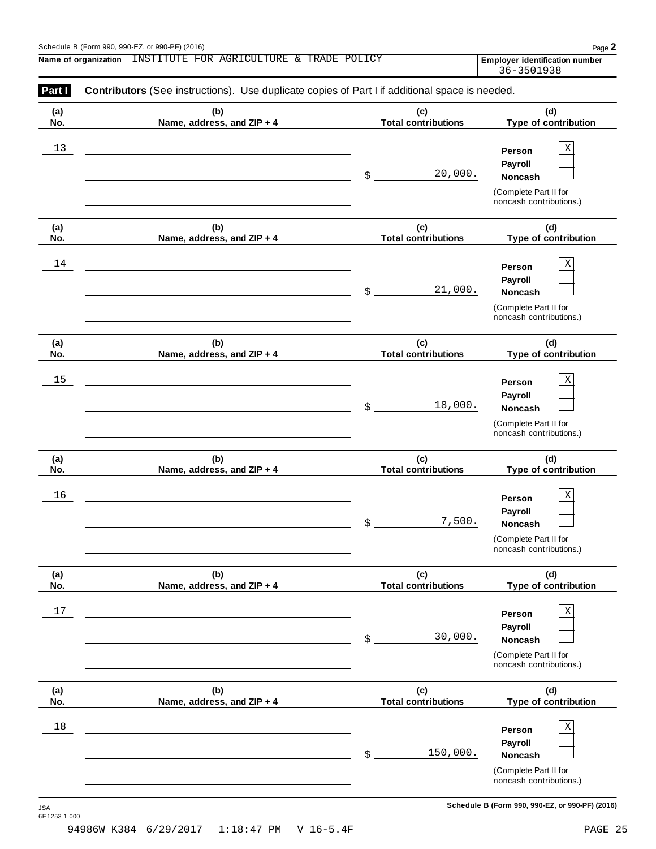36-3501938

| (a)  | (b)                        | (c)                        | (d)                                                                                             |
|------|----------------------------|----------------------------|-------------------------------------------------------------------------------------------------|
| No.  | Name, address, and ZIP + 4 | <b>Total contributions</b> | Type of contribution                                                                            |
| 13   |                            | 20,000.<br>\$              | Χ<br>Person<br>Payroll<br>Noncash<br>(Complete Part II for<br>noncash contributions.)           |
| (a)  | (b)                        | (c)                        | (d)                                                                                             |
| No.  | Name, address, and ZIP + 4 | <b>Total contributions</b> | Type of contribution                                                                            |
| 14   |                            | 21,000.<br>\$              | $\mathbf X$<br>Person<br>Payroll<br>Noncash<br>(Complete Part II for<br>noncash contributions.) |
| (a)  | (b)                        | (c)                        | (d)                                                                                             |
| No.  | Name, address, and ZIP + 4 | <b>Total contributions</b> | Type of contribution                                                                            |
| 15   |                            | 18,000.<br>\$              | $\mathbf X$<br>Person<br>Payroll<br>Noncash<br>(Complete Part II for<br>noncash contributions.) |
| (a)  | (b)                        | (c)                        | (d)                                                                                             |
| No.  | Name, address, and ZIP + 4 | <b>Total contributions</b> | Type of contribution                                                                            |
| 16   |                            | 7,500.<br>\$               | $\mathbf X$<br>Person<br>Payroll<br>Noncash<br>(Complete Part II for<br>noncash contributions.) |
| (a)  | (b)                        | (c)                        | (d)                                                                                             |
| No.  | Name, address, and ZIP + 4 | <b>Total contributions</b> | Type of contribution                                                                            |
| $17$ |                            | 30,000.<br>\$              | Χ<br>Person<br>Payroll<br><b>Noncash</b><br>(Complete Part II for<br>noncash contributions.)    |
| (a)  | (b)                        | (c)                        | (d)                                                                                             |
| No.  | Name, address, and ZIP + 4 | <b>Total contributions</b> | Type of contribution                                                                            |
| 18   |                            | 150,000.<br>\$             | Χ<br>Person<br>Payroll<br>Noncash<br>(Complete Part II for<br>noncash contributions.)           |

 $S$ chedule B (Form 990, 990-EZ, or 990-PF) (2016)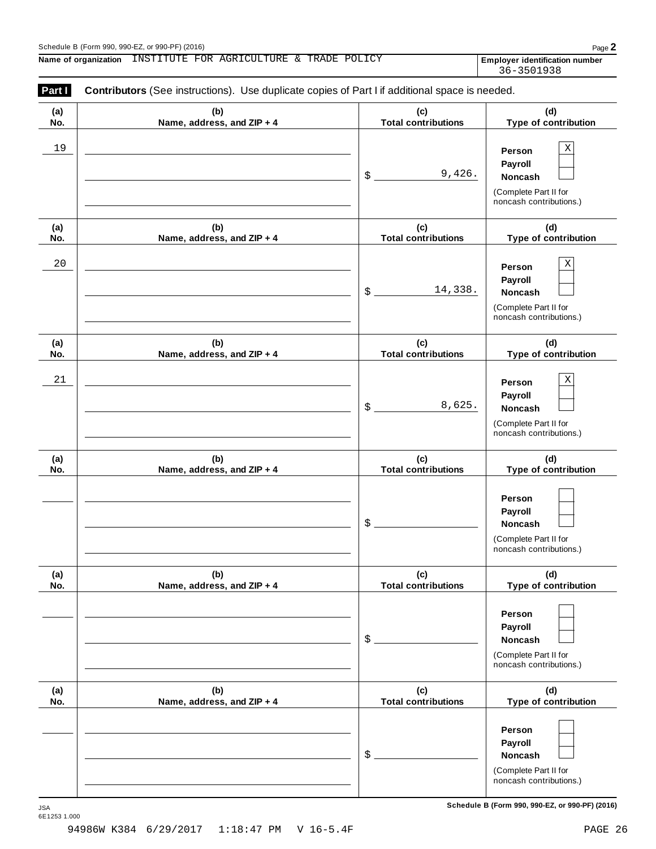36-3501938

| (a)  | (b)                        | (c)                                  | (d)                                                                                                    |
|------|----------------------------|--------------------------------------|--------------------------------------------------------------------------------------------------------|
| No.  | Name, address, and ZIP + 4 | <b>Total contributions</b>           | Type of contribution                                                                                   |
| 19   |                            | 9,426.<br>$\boldsymbol{\mathsf{S}}$  | $\mathbf X$<br>Person<br>Payroll<br><b>Noncash</b><br>(Complete Part II for<br>noncash contributions.) |
| (a)  | (b)                        | (c)                                  | (d)                                                                                                    |
| No.  | Name, address, and ZIP + 4 | <b>Total contributions</b>           | Type of contribution                                                                                   |
| $20$ |                            | 14,338.<br>$\boldsymbol{\mathsf{S}}$ | $\mathbf X$<br>Person<br>Payroll<br>Noncash<br>(Complete Part II for<br>noncash contributions.)        |
| (a)  | (b)                        | (c)                                  | (d)                                                                                                    |
| No.  | Name, address, and ZIP + 4 | <b>Total contributions</b>           | Type of contribution                                                                                   |
| 21   |                            | 8,625.<br>$\boldsymbol{\mathsf{S}}$  | $\mathbf X$<br>Person<br>Payroll<br>Noncash<br>(Complete Part II for<br>noncash contributions.)        |
| (a)  | (b)                        | (c)                                  | (d)                                                                                                    |
| No.  | Name, address, and ZIP + 4 | <b>Total contributions</b>           | Type of contribution                                                                                   |
|      |                            | \$                                   | Person<br>Payroll<br>Noncash<br>(Complete Part II for<br>noncash contributions.)                       |
| (a)  | (b)                        | (c)                                  | (d)                                                                                                    |
| No.  | Name, address, and ZIP + 4 | <b>Total contributions</b>           | Type of contribution                                                                                   |
|      |                            | \$                                   | Person<br>Payroll<br>Noncash<br>(Complete Part II for<br>noncash contributions.)                       |
| (a)  | (b)                        | (c)                                  | (d)                                                                                                    |
| No.  | Name, address, and ZIP + 4 | <b>Total contributions</b>           | Type of contribution                                                                                   |
|      |                            | \$                                   | Person<br>Payroll<br>Noncash<br>(Complete Part II for<br>noncash contributions.)                       |

 $S$ chedule B (Form 990, 990-EZ, or 990-PF) (2016)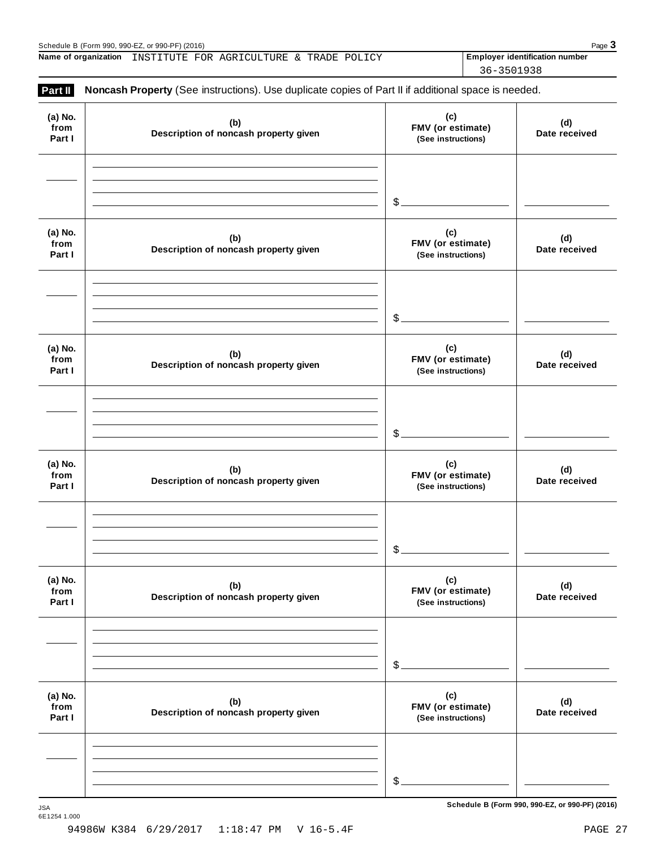| (a) No.                   |                                              | (c)                                            |                      |
|---------------------------|----------------------------------------------|------------------------------------------------|----------------------|
| from<br>Part I            | (b)<br>Description of noncash property given | FMV (or estimate)<br>(See instructions)        | (d)<br>Date received |
|                           |                                              |                                                |                      |
|                           |                                              | $\frac{2}{2}$                                  |                      |
| (a) No.<br>from<br>Part I | (b)<br>Description of noncash property given | (c)<br>FMV (or estimate)<br>(See instructions) | (d)<br>Date received |
|                           |                                              |                                                |                      |
|                           |                                              | $\frac{1}{2}$                                  |                      |
| (a) No.<br>from<br>Part I | (b)<br>Description of noncash property given | (c)<br>FMV (or estimate)<br>(See instructions) | (d)<br>Date received |
|                           |                                              |                                                |                      |
|                           |                                              | $\frac{1}{2}$                                  |                      |
| (a) No.<br>from<br>Part I | (b)<br>Description of noncash property given | (c)<br>FMV (or estimate)<br>(See instructions) | (d)<br>Date received |
|                           |                                              |                                                |                      |
|                           |                                              | \$                                             |                      |
| (a) No.<br>from<br>Part I | (b)<br>Description of noncash property given | (c)<br>FMV (or estimate)<br>(See instructions) | (d)<br>Date received |
|                           |                                              |                                                |                      |
|                           |                                              | \$                                             |                      |
| (a) No.<br>from<br>Part I | (b)<br>Description of noncash property given | (c)<br>FMV (or estimate)<br>(See instructions) | (d)<br>Date received |
|                           |                                              |                                                |                      |
|                           |                                              | $\$\$                                          |                      |

 $S$ chedule B (Form 990, 990-EZ, or 990-PF) (2016)

6E1254 1.000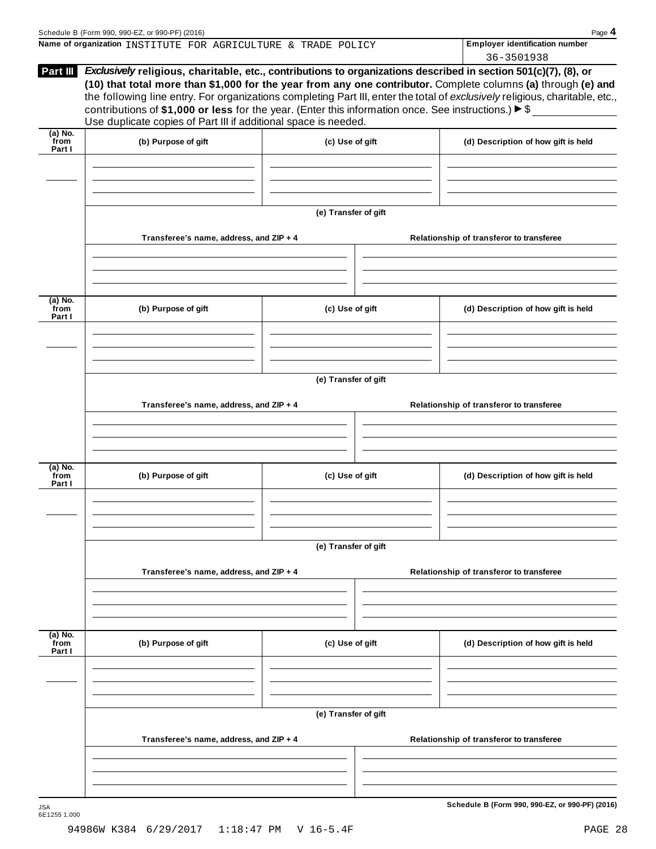|                     |                     |                                                                                                                                                                                                                                             | 36-3501938                                                                                                                                                                                                                                                                                                                                                                                                                                                                                                                                                                                                                                                               |
|---------------------|---------------------|---------------------------------------------------------------------------------------------------------------------------------------------------------------------------------------------------------------------------------------------|--------------------------------------------------------------------------------------------------------------------------------------------------------------------------------------------------------------------------------------------------------------------------------------------------------------------------------------------------------------------------------------------------------------------------------------------------------------------------------------------------------------------------------------------------------------------------------------------------------------------------------------------------------------------------|
|                     |                     |                                                                                                                                                                                                                                             |                                                                                                                                                                                                                                                                                                                                                                                                                                                                                                                                                                                                                                                                          |
| (b) Purpose of gift |                     |                                                                                                                                                                                                                                             | (d) Description of how gift is held                                                                                                                                                                                                                                                                                                                                                                                                                                                                                                                                                                                                                                      |
|                     |                     |                                                                                                                                                                                                                                             |                                                                                                                                                                                                                                                                                                                                                                                                                                                                                                                                                                                                                                                                          |
|                     |                     |                                                                                                                                                                                                                                             | Relationship of transferor to transferee                                                                                                                                                                                                                                                                                                                                                                                                                                                                                                                                                                                                                                 |
|                     |                     |                                                                                                                                                                                                                                             |                                                                                                                                                                                                                                                                                                                                                                                                                                                                                                                                                                                                                                                                          |
|                     |                     |                                                                                                                                                                                                                                             | (d) Description of how gift is held                                                                                                                                                                                                                                                                                                                                                                                                                                                                                                                                                                                                                                      |
|                     |                     |                                                                                                                                                                                                                                             |                                                                                                                                                                                                                                                                                                                                                                                                                                                                                                                                                                                                                                                                          |
|                     |                     |                                                                                                                                                                                                                                             | Relationship of transferor to transferee                                                                                                                                                                                                                                                                                                                                                                                                                                                                                                                                                                                                                                 |
| (b) Purpose of gift |                     |                                                                                                                                                                                                                                             | (d) Description of how gift is held                                                                                                                                                                                                                                                                                                                                                                                                                                                                                                                                                                                                                                      |
|                     |                     |                                                                                                                                                                                                                                             |                                                                                                                                                                                                                                                                                                                                                                                                                                                                                                                                                                                                                                                                          |
|                     |                     |                                                                                                                                                                                                                                             | Relationship of transferor to transferee                                                                                                                                                                                                                                                                                                                                                                                                                                                                                                                                                                                                                                 |
| (b) Purpose of gift |                     |                                                                                                                                                                                                                                             | (d) Description of how gift is held                                                                                                                                                                                                                                                                                                                                                                                                                                                                                                                                                                                                                                      |
|                     |                     |                                                                                                                                                                                                                                             |                                                                                                                                                                                                                                                                                                                                                                                                                                                                                                                                                                                                                                                                          |
|                     |                     |                                                                                                                                                                                                                                             |                                                                                                                                                                                                                                                                                                                                                                                                                                                                                                                                                                                                                                                                          |
|                     |                     |                                                                                                                                                                                                                                             | Relationship of transferor to transferee                                                                                                                                                                                                                                                                                                                                                                                                                                                                                                                                                                                                                                 |
|                     |                     |                                                                                                                                                                                                                                             | Schedule B (Form 990, 990-EZ, or 990-PF) (2016)                                                                                                                                                                                                                                                                                                                                                                                                                                                                                                                                                                                                                          |
|                     | (b) Purpose of gift | Use duplicate copies of Part III if additional space is needed.<br>Transferee's name, address, and ZIP + 4<br>Transferee's name, address, and ZIP + 4<br>Transferee's name, address, and ZIP + 4<br>Transferee's name, address, and ZIP + 4 | Exclusively religious, charitable, etc., contributions to organizations described in section 501(c)(7), (8), or<br>(10) that total more than \$1,000 for the year from any one contributor. Complete columns (a) through (e) and<br>the following line entry. For organizations completing Part III, enter the total of exclusively religious, charitable, etc.,<br>contributions of \$1,000 or less for the year. (Enter this information once. See instructions.) $\blacktriangleright$ \$<br>(c) Use of gift<br>(e) Transfer of gift<br>(c) Use of gift<br>(e) Transfer of gift<br>(c) Use of gift<br>(e) Transfer of gift<br>(c) Use of gift<br>(e) Transfer of gift |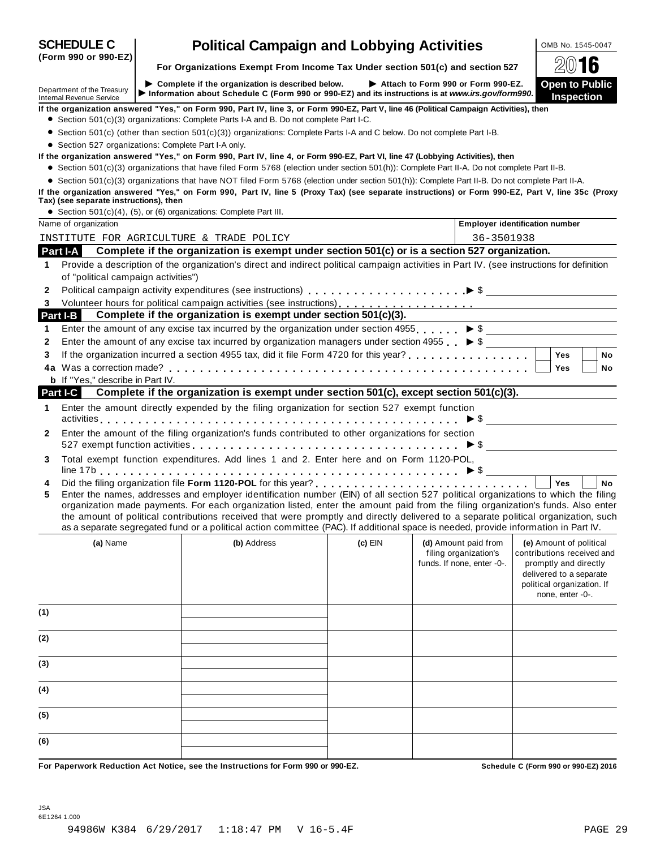|               | <b>SCHEDULE C</b>                                                                                     |  | <b>Political Campaign and Lobbying Activities</b>                                                                                                                                                                                                                                                                                                                                                                                                                                                                                                    |           |                                                                             | OMB No. 1545-0047                                                                                                                                           |
|---------------|-------------------------------------------------------------------------------------------------------|--|------------------------------------------------------------------------------------------------------------------------------------------------------------------------------------------------------------------------------------------------------------------------------------------------------------------------------------------------------------------------------------------------------------------------------------------------------------------------------------------------------------------------------------------------------|-----------|-----------------------------------------------------------------------------|-------------------------------------------------------------------------------------------------------------------------------------------------------------|
|               | (Form 990 or 990-EZ)<br>For Organizations Exempt From Income Tax Under section 501(c) and section 527 |  |                                                                                                                                                                                                                                                                                                                                                                                                                                                                                                                                                      | 2016      |                                                                             |                                                                                                                                                             |
|               | Department of the Treasury                                                                            |  | Complete if the organization is described below.<br>Information about Schedule C (Form 990 or 990-EZ) and its instructions is at www.irs.gov/form990.                                                                                                                                                                                                                                                                                                                                                                                                |           | Attach to Form 990 or Form 990-EZ.                                          | <b>Open to Public</b><br><b>Inspection</b>                                                                                                                  |
|               | <b>Internal Revenue Service</b>                                                                       |  | If the organization answered "Yes," on Form 990, Part IV, line 3, or Form 990-EZ, Part V, line 46 (Political Campaign Activities), then<br>• Section 501(c)(3) organizations: Complete Parts I-A and B. Do not complete Part I-C.                                                                                                                                                                                                                                                                                                                    |           |                                                                             |                                                                                                                                                             |
|               |                                                                                                       |  | • Section 501(c) (other than section 501(c)(3)) organizations: Complete Parts I-A and C below. Do not complete Part I-B.                                                                                                                                                                                                                                                                                                                                                                                                                             |           |                                                                             |                                                                                                                                                             |
|               |                                                                                                       |  | • Section 527 organizations: Complete Part I-A only.                                                                                                                                                                                                                                                                                                                                                                                                                                                                                                 |           |                                                                             |                                                                                                                                                             |
|               |                                                                                                       |  | If the organization answered "Yes," on Form 990, Part IV, line 4, or Form 990-EZ, Part VI, line 47 (Lobbying Activities), then                                                                                                                                                                                                                                                                                                                                                                                                                       |           |                                                                             |                                                                                                                                                             |
|               |                                                                                                       |  | • Section 501(c)(3) organizations that have filed Form 5768 (election under section 501(h)): Complete Part II-A. Do not complete Part II-B.                                                                                                                                                                                                                                                                                                                                                                                                          |           |                                                                             |                                                                                                                                                             |
|               | Tax) (see separate instructions), then                                                                |  | • Section 501(c)(3) organizations that have NOT filed Form 5768 (election under section 501(h)): Complete Part II-B. Do not complete Part II-A.<br>If the organization answered "Yes," on Form 990, Part IV, line 5 (Proxy Tax) (see separate instructions) or Form 990-EZ, Part V, line 35c (Proxy                                                                                                                                                                                                                                                  |           |                                                                             |                                                                                                                                                             |
|               | Name of organization                                                                                  |  | • Section 501(c)(4), (5), or (6) organizations: Complete Part III.                                                                                                                                                                                                                                                                                                                                                                                                                                                                                   |           | <b>Employer identification number</b>                                       |                                                                                                                                                             |
|               |                                                                                                       |  | INSTITUTE FOR AGRICULTURE & TRADE POLICY                                                                                                                                                                                                                                                                                                                                                                                                                                                                                                             |           | 36-3501938                                                                  |                                                                                                                                                             |
| Part I-A      |                                                                                                       |  | Complete if the organization is exempt under section 501(c) or is a section 527 organization.                                                                                                                                                                                                                                                                                                                                                                                                                                                        |           |                                                                             |                                                                                                                                                             |
| 1             |                                                                                                       |  | Provide a description of the organization's direct and indirect political campaign activities in Part IV. (see instructions for definition                                                                                                                                                                                                                                                                                                                                                                                                           |           |                                                                             |                                                                                                                                                             |
|               | of "political campaign activities")                                                                   |  |                                                                                                                                                                                                                                                                                                                                                                                                                                                                                                                                                      |           |                                                                             |                                                                                                                                                             |
|               |                                                                                                       |  |                                                                                                                                                                                                                                                                                                                                                                                                                                                                                                                                                      |           |                                                                             |                                                                                                                                                             |
| 2             |                                                                                                       |  |                                                                                                                                                                                                                                                                                                                                                                                                                                                                                                                                                      |           |                                                                             |                                                                                                                                                             |
| 3<br>Part I-B |                                                                                                       |  | Volunteer hours for political campaign activities (see instructions)<br>and the set of the set of the set of the set of the set of the set of the set of the set of the set of the set of the set of the set of the set of the s<br>Complete if the organization is exempt under section 501(c)(3).                                                                                                                                                                                                                                                  |           |                                                                             |                                                                                                                                                             |
| 1             |                                                                                                       |  | Enter the amount of any excise tax incurred by the organization under section 4955. ▶ \$                                                                                                                                                                                                                                                                                                                                                                                                                                                             |           |                                                                             | <u> 1989 - Johann Barn, mars et al. (b. 1989)</u>                                                                                                           |
| 2             |                                                                                                       |  | Enter the amount of any excise tax incurred by organization managers under section 4955 $\bullet$ \$                                                                                                                                                                                                                                                                                                                                                                                                                                                 |           |                                                                             |                                                                                                                                                             |
| 3             |                                                                                                       |  |                                                                                                                                                                                                                                                                                                                                                                                                                                                                                                                                                      |           |                                                                             | No<br>Yes                                                                                                                                                   |
|               |                                                                                                       |  |                                                                                                                                                                                                                                                                                                                                                                                                                                                                                                                                                      |           |                                                                             | No<br>Yes                                                                                                                                                   |
|               | <b>b</b> If "Yes," describe in Part IV.                                                               |  |                                                                                                                                                                                                                                                                                                                                                                                                                                                                                                                                                      |           |                                                                             |                                                                                                                                                             |
| Part I-C      |                                                                                                       |  | Complete if the organization is exempt under section 501(c), except section 501(c)(3).                                                                                                                                                                                                                                                                                                                                                                                                                                                               |           |                                                                             |                                                                                                                                                             |
|               |                                                                                                       |  |                                                                                                                                                                                                                                                                                                                                                                                                                                                                                                                                                      |           |                                                                             |                                                                                                                                                             |
| 1             |                                                                                                       |  | Enter the amount directly expended by the filing organization for section 527 exempt function                                                                                                                                                                                                                                                                                                                                                                                                                                                        |           |                                                                             |                                                                                                                                                             |
| 2             |                                                                                                       |  | Enter the amount of the filing organization's funds contributed to other organizations for section                                                                                                                                                                                                                                                                                                                                                                                                                                                   |           |                                                                             |                                                                                                                                                             |
|               |                                                                                                       |  | 527 exempt function activities $\ldots \ldots \ldots \ldots \ldots \ldots \ldots \ldots \ldots \ldots \ldots$                                                                                                                                                                                                                                                                                                                                                                                                                                        |           |                                                                             |                                                                                                                                                             |
| 3             |                                                                                                       |  | Total exempt function expenditures. Add lines 1 and 2. Enter here and on Form 1120-POL,                                                                                                                                                                                                                                                                                                                                                                                                                                                              |           |                                                                             |                                                                                                                                                             |
| 4<br>5        |                                                                                                       |  | Enter the names, addresses and employer identification number (EIN) of all section 527 political organizations to which the filing<br>organization made payments. For each organization listed, enter the amount paid from the filing organization's funds. Also enter<br>the amount of political contributions received that were promptly and directly delivered to a separate political organization, such<br>as a separate segregated fund or a political action committee (PAC). If additional space is needed, provide information in Part IV. |           |                                                                             | <b>No</b><br><b>Yes</b>                                                                                                                                     |
|               | (a) Name                                                                                              |  | (b) Address                                                                                                                                                                                                                                                                                                                                                                                                                                                                                                                                          | $(c)$ EIN | (d) Amount paid from<br>filing organization's<br>funds. If none, enter -0-. | (e) Amount of political<br>contributions received and<br>promptly and directly<br>delivered to a separate<br>political organization. If<br>none, enter -0-. |
| (1)           |                                                                                                       |  |                                                                                                                                                                                                                                                                                                                                                                                                                                                                                                                                                      |           |                                                                             |                                                                                                                                                             |
| (2)           |                                                                                                       |  |                                                                                                                                                                                                                                                                                                                                                                                                                                                                                                                                                      |           |                                                                             |                                                                                                                                                             |
| (3)           |                                                                                                       |  |                                                                                                                                                                                                                                                                                                                                                                                                                                                                                                                                                      |           |                                                                             |                                                                                                                                                             |
| (4)           |                                                                                                       |  |                                                                                                                                                                                                                                                                                                                                                                                                                                                                                                                                                      |           |                                                                             |                                                                                                                                                             |
| (5)           |                                                                                                       |  |                                                                                                                                                                                                                                                                                                                                                                                                                                                                                                                                                      |           |                                                                             |                                                                                                                                                             |
| (6)           |                                                                                                       |  |                                                                                                                                                                                                                                                                                                                                                                                                                                                                                                                                                      |           |                                                                             |                                                                                                                                                             |
|               |                                                                                                       |  | For Paperwork Reduction Act Notice, see the Instructions for Form 990 or 990-EZ.                                                                                                                                                                                                                                                                                                                                                                                                                                                                     |           |                                                                             | Schedule C (Form 990 or 990-EZ) 2016                                                                                                                        |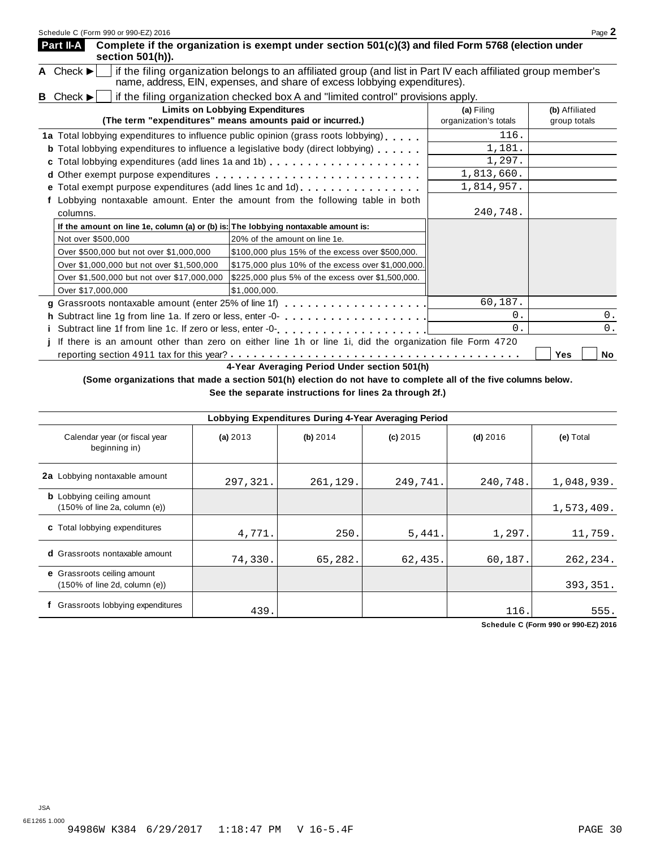| Schedule C (Form 990 or 990-EZ) 2016                                               |                                                                                                                                                                                            |                                     | Page 2                         |
|------------------------------------------------------------------------------------|--------------------------------------------------------------------------------------------------------------------------------------------------------------------------------------------|-------------------------------------|--------------------------------|
| Part II-A<br>section 501(h)).                                                      | Complete if the organization is exempt under section 501(c)(3) and filed Form 5768 (election under                                                                                         |                                     |                                |
| A Check $\blacktriangleright$                                                      | if the filing organization belongs to an affiliated group (and list in Part IV each affiliated group member's<br>name, address, EIN, expenses, and share of excess lobbying expenditures). |                                     |                                |
| Check $\blacktriangleright$<br>В                                                   | if the filing organization checked box A and "limited control" provisions apply.                                                                                                           |                                     |                                |
|                                                                                    | <b>Limits on Lobbying Expenditures</b><br>(The term "expenditures" means amounts paid or incurred.)                                                                                        | (a) Filing<br>organization's totals | (b) Affiliated<br>group totals |
|                                                                                    | 1a Total lobbying expenditures to influence public opinion (grass roots lobbying)                                                                                                          | 116.                                |                                |
|                                                                                    | <b>b</b> Total lobbying expenditures to influence a legislative body (direct lobbying)                                                                                                     | 1,181.                              |                                |
|                                                                                    |                                                                                                                                                                                            | 1,297.                              |                                |
|                                                                                    |                                                                                                                                                                                            | 1,813,660.                          |                                |
|                                                                                    | Total exempt purpose expenditures (add lines 1c and 1d)                                                                                                                                    | 1,814,957.                          |                                |
|                                                                                    | Lobbying nontaxable amount. Enter the amount from the following table in both                                                                                                              |                                     |                                |
| columns.                                                                           |                                                                                                                                                                                            | 240,748.                            |                                |
| If the amount on line 1e, column (a) or (b) is: The lobbying nontaxable amount is: |                                                                                                                                                                                            |                                     |                                |
| Not over \$500,000                                                                 | 20% of the amount on line 1e.                                                                                                                                                              |                                     |                                |
| Over \$500,000 but not over \$1,000,000                                            | \$100,000 plus 15% of the excess over \$500,000.                                                                                                                                           |                                     |                                |
| Over \$1,000,000 but not over \$1,500,000                                          | \$175,000 plus 10% of the excess over \$1,000,000.                                                                                                                                         |                                     |                                |
| Over \$1,500,000 but not over \$17,000,000                                         | \$225,000 plus 5% of the excess over \$1,500,000.                                                                                                                                          |                                     |                                |
| Over \$17,000,000                                                                  | \$1,000,000.                                                                                                                                                                               |                                     |                                |
|                                                                                    | g Grassroots nontaxable amount (enter 25% of line 1f)                                                                                                                                      | 60,187.                             |                                |
|                                                                                    | h Subtract line 1g from line 1a. If zero or less, enter -0-                                                                                                                                | 0.                                  | 0.                             |
|                                                                                    |                                                                                                                                                                                            | $\Omega$ .                          | 0.                             |
|                                                                                    | If there is an amount other than zero on either line 1h or line 1i, did the organization file Form 4720                                                                                    |                                     |                                |
|                                                                                    |                                                                                                                                                                                            |                                     | <b>No</b><br>Yes               |

**4-Year Averaging Period Under section 501(h)**

(Some organizations that made a section 501(h) election do not have to complete all of the five columns below.

**See the separate instructions for lines 2a through 2f.)**

| Lobbying Expenditures During 4-Year Averaging Period              |            |          |            |            |            |  |
|-------------------------------------------------------------------|------------|----------|------------|------------|------------|--|
| Calendar year (or fiscal year<br>beginning in)                    | (a) $2013$ | (b) 2014 | $(c)$ 2015 | $(d)$ 2016 | (e) Total  |  |
| 2a Lobbying nontaxable amount                                     | 297,321.   | 261,129. | 249,741.   | 240,748.   | 1,048,939. |  |
| <b>b</b> Lobbying ceiling amount<br>(150% of line 2a, column (e)) |            |          |            |            | 1,573,409. |  |
| c Total lobbying expenditures                                     | 4,771.     | 250.     | 5,441      | 1,297.     | 11,759.    |  |
| <b>d</b> Grassroots nontaxable amount                             | 74,330.    | 65,282.  | 62,435.    | 60,187.    | 262,234.   |  |
| e Grassroots ceiling amount<br>(150% of line 2d, column (e))      |            |          |            |            | 393,351.   |  |
| Grassroots lobbying expenditures                                  | 439.       |          |            | 116.       | 555.       |  |

**Schedule C (Form 990 or 990-EZ) 2016**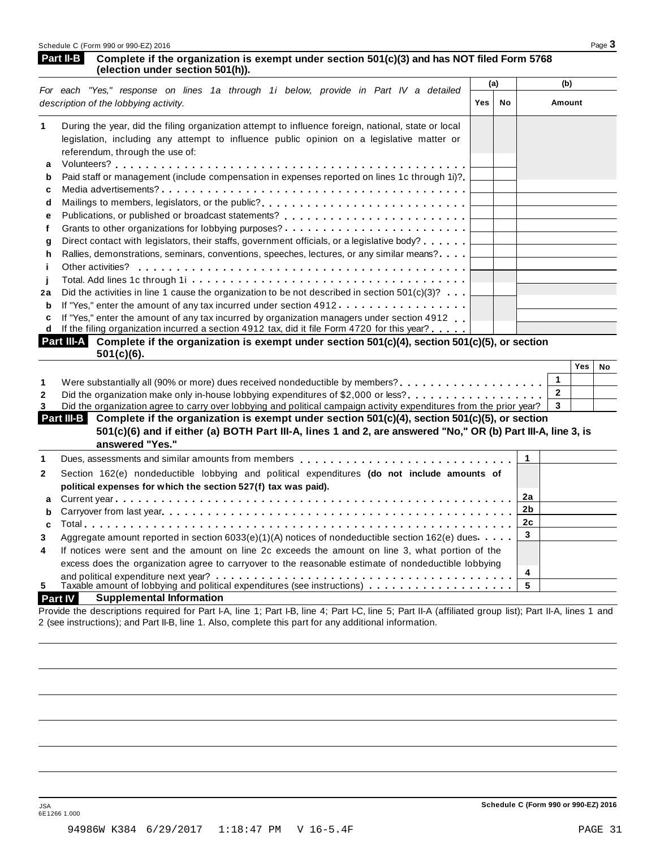| Schedule C (Form 990 or 990-EZ) 2016 | $P$ aqe $\bullet$ |  |
|--------------------------------------|-------------------|--|
|                                      |                   |  |

### **Complete if the organization is exempt under section 501(c)(3) and has NOT filed Form 5768 (Part II-B** Complete if the organization is (election under section 501(h)).

|    |                                                                                                                               | (a)  |           | (b)    |
|----|-------------------------------------------------------------------------------------------------------------------------------|------|-----------|--------|
|    | For each "Yes," response on lines 1a through 1i below, provide in Part IV a detailed<br>description of the lobbying activity. | Yes. | <b>No</b> | Amount |
| 1  | During the year, did the filing organization attempt to influence foreign, national, state or local                           |      |           |        |
|    | legislation, including any attempt to influence public opinion on a legislative matter or                                     |      |           |        |
|    | referendum, through the use of:                                                                                               |      |           |        |
| a  |                                                                                                                               |      |           |        |
| b  | Paid staff or management (include compensation in expenses reported on lines 1c through 1i)?                                  |      |           |        |
| c  |                                                                                                                               |      |           |        |
| d  |                                                                                                                               |      |           |        |
| е  |                                                                                                                               |      |           |        |
| f  | Grants to other organizations for lobbying purposes?                                                                          |      |           |        |
| q  | Direct contact with legislators, their staffs, government officials, or a legislative body?                                   |      |           |        |
| h. | Rallies, demonstrations, seminars, conventions, speeches, lectures, or any similar means?                                     |      |           |        |
|    | Other activities?                                                                                                             |      |           |        |
|    |                                                                                                                               |      |           |        |
| 2a | Did the activities in line 1 cause the organization to be not described in section $501(c)(3)?$ .                             |      |           |        |
| b  | If "Yes," enter the amount of any tax incurred under section $4912$                                                           |      |           |        |
| c  | If "Yes," enter the amount of any tax incurred by organization managers under section 4912.                                   |      |           |        |
| d  | If the filing organization incurred a section 4912 tax, did it file Form 4720 for this year?                                  |      |           |        |
|    | <b>Part III-A</b><br>Complete if the organization is exempt under section $501(c)(4)$ , section $501(c)(5)$ , or section      |      |           |        |
|    | $501(c)(6)$ .                                                                                                                 |      |           |        |

|                                                                                                                               | <b>Yes</b> | No |
|-------------------------------------------------------------------------------------------------------------------------------|------------|----|
| Were substantially all (90% or more) dues received nondeductible by members?                                                  |            |    |
|                                                                                                                               |            |    |
| Did the organization agree to carry over lobbying and political campaign activity expenditures from the prior year? $\vert$ 3 |            |    |

| <b>Part III-B</b> Complete if the organization is exempt under section $501(c)(4)$ , section $501(c)(5)$ , or section |  |
|-----------------------------------------------------------------------------------------------------------------------|--|
| 501(c)(6) and if either (a) BOTH Part III-A, lines 1 and 2, are answered "No," OR (b) Part III-A, line 3, is          |  |
| answered "Yes."                                                                                                       |  |
|                                                                                                                       |  |

|              | answered res.                                                                                                               |    |  |
|--------------|-----------------------------------------------------------------------------------------------------------------------------|----|--|
|              | Dues, assessments and similar amounts from members $\ldots \ldots \ldots \ldots \ldots \ldots \ldots \ldots \ldots \perp 1$ |    |  |
| $\mathbf{2}$ | Section 162(e) nondeductible lobbying and political expenditures (do not include amounts of                                 |    |  |
|              | political expenses for which the section 527(f) tax was paid).                                                              |    |  |
|              |                                                                                                                             | 2a |  |
|              |                                                                                                                             |    |  |
|              |                                                                                                                             | 2c |  |
| 3            | Aggregate amount reported in section 6033(e)(1)(A) notices of nondeductible section 162(e) dues.                            |    |  |
| 4            | If notices were sent and the amount on line 2c exceeds the amount on line 3, what portion of the                            |    |  |
|              | excess does the organization agree to carryover to the reasonable estimate of nondeductible lobbying                        |    |  |
|              |                                                                                                                             | 4  |  |
| 5            |                                                                                                                             |    |  |
|              |                                                                                                                             |    |  |

### **Part IV Supplemental Information**

Provide the descriptions required for Part I-A, line 1; Part I-B, line 4; Part I-C, line 5; Part II-A (affiliated group list); Part II-A, lines 1 and 2 (see instructions); and Part II-B, line 1. Also, complete this part for any additional information.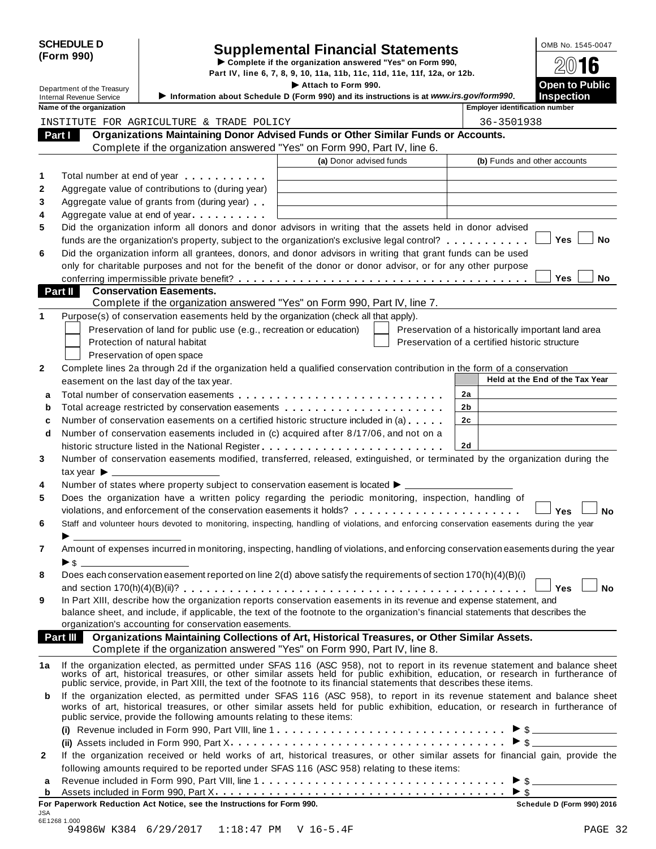| <b>SCHEDULE D</b> |  |
|-------------------|--|
| (Form 990)        |  |

# Supplemental Financial Statements<br>  $\triangleright$  Complete if the organization answered "Yes" on Form 990,<br>
Part IV, line 6, 7, 8, 9, 10, 11a, 11b, 11c, 11d, 11e, 11f, 12a, or 12b.

Department of the Treasury<br>Department of the Treasury Information about School is a section of the Information about School in Commence of the School and the instructions is at unusuing courier model in the Instruction of Internal Revenue Service I**Information about Schedule <sup>D</sup> (Form 990) and its instructions is at** *www.irs.gov/form990***. Inspection Name of the organization intervalse the control of the control of the control of the control of the control of the control of the control of the control of the control of the control of the control of the control of the Organizations Maintaining Donor Advised Funds or Other Similar Funds or Accounts. Part I Property:** Organizations Maintaining Donor Advised Funds or Other Similar Funds<br>Complete if the organization answered "Yes" on Form 990, Part IV, line 6. **(a)** Donor advised funds **(b)** Funds and other accounts **1 2 3 4 5 6** Total number at end of year  $\dots\dots\dots\dots$ Aggregate value of contributions to (during year) Aggregate value of contributions to (during year)<br>Aggregate value of grants from (during year) Aggregate value of grants from (during year)<br>Aggregate value at end of year Did the organization inform all donors and donor advisors in writing that the assets held in donor advised funds are the organization's property, subject to the organization's exclusive legal control? **matures**  $\Box$  Yes  $\Box$  Yes Did the organization inform all grantees, donors, and donor advisors in writing that grant funds can be used only for charitable purposes and not for the benefit of the donor or donor advisor, or for any other purpose **conferring impermissible private benefit?** metals are metals and more matured more metals of  $\blacksquare$  The  $\blacksquare$  Noor **Conservation Easements. Part II** Conservation Easements.<br>Complete if the organization answered "Yes" on Form 990, Part IV, line 7. **1** Purpose(s) of conservation easements held by the organization (check all that apply). Preservation of land for public use (e.g., recreation or education) Protection of natural habitat Preservation of open space Preservation of a historically important land area Preservation of a certified historic structure **2** Complete lines 2a through 2d if the organization held a qualified conservation contribution in the form of a conservation easement on the last day of the tax year. **Held at the End** of the Tax Year **2a 2b 2c 2d a** Total number of conservation easements m m m m m m m m m m m m m m m m m m m m m m m m m m m **a** Total number of conservation easements ............................<br>**b** Total acreage restricted by conservation easements ..................... **b** Total acreage restricted by conservation easements<br>**c** Number of conservation easements on a certified historic structure included in (a) . . . . . . **d** Number of conservation easements included in (c) acquired after 8/17/06, and not on a  $\mid$ historic structure listed in the National Register m m m m m m m m m m m m m m m m m m m m m m m m **3 4 5 6 7 8 9** Number of conservation easements modified, transferred, released, extinguished, or terminated by the organization during the tax vear  $\blacktriangleright$ Number of states where property subject to conservation easement is located  $\blacktriangleright$ . Does the organization have a written policy regarding the periodic monitoring, inspection, handling of violations, and enforcement of the conservation easements it holds? musical manager mann m m m m **y** es  $\Box$  No Staff and volunteer hours devoted to monitoring, inspecting, handling of violations, and enforcing conservation easements during the year <br>
> Amount of expenses incurred in monitoring, inspecting, handling of violations, and enforcing conservation easements during the year  $\blacktriangleright$  \$ Does each conservation easement reported on line 2(d) above satisfy the requirements of section 170(h)(4)(B)(i) and section 170(h)(4)(B)(ii)? m m m m m m m m m m m m m m m m m m m m m m m m m m m m m m m m m m m m m m m m m m m m m **Yes No** In Part XIII, describe how the organization reports conservation easements in its revenue and expense statement, and balance sheet, and include, if applicable, the text of the footnote to the organization's financial statements that describes the organization's accounting for conservation easements. **Organizations Maintaining Collections of Art, Historical Treasures, or Other Similar Assets. Part III Organizations Maintaining Collections of Art, Historical Treasures, or Organization answered "Yes" on Form 990, Part IV, line 8.** 1a If the organization elected, as permitted under SFAS 116 (ASC 958), not to report in its revenue statement and balance sheet<br>works of art, historical treasures, or other similar assets held for public exhibition, educat public service, provide, in Part XIII, the text of the footnote to its financial statements that describes these items. **b** If the organization elected, as permitted under SFAS 116 (ASC 958), to report in its revenue statement and balance sheet works of art, historical treasures, or other similar assets held for public exhibition, education, or research in furtherance of public service, provide the following amounts relating to these items: **(i)** I Revenue included in Form 990, Part VIII, line 1 m m m m m m m m m m m m m m m m m m m m m m m m m m m m m m \$ **(ii)** Assets included in Form 990, Part X m m m m m m m m m m m m m m m m m m m m m m m m m m m m m m m m m m m m I \$ **2** If the organization received or held works of art, historical treasures, or other similar assets for financial gain, provide the following amounts required to be reported under SFAS 116 (ASC 958) relating to these items: following amounts required to be reported under SFAS 116 (ASC 958) relating to these items:<br>**a** Revenue included in Form 990, Part VIII, line 1 **a** a more contained in Form 200, Dart Y. Assets included in Form 990, Part X **a** Revenue included in Form 990, Part VIII, line 1<br>**b** Assets included in Form 990, Part X. **For Paperwork Reduction Act Notice, see the Instructions for Form 990. Schedule D (Form 990) 2016** INSTITUTE FOR AGRICULTURE & TRADE POLICY 36-3501938

JSA 6E1268 1.000<br>94986W K384 6/29/2017 1:18:47 PM V 16-5.4F PAGE 32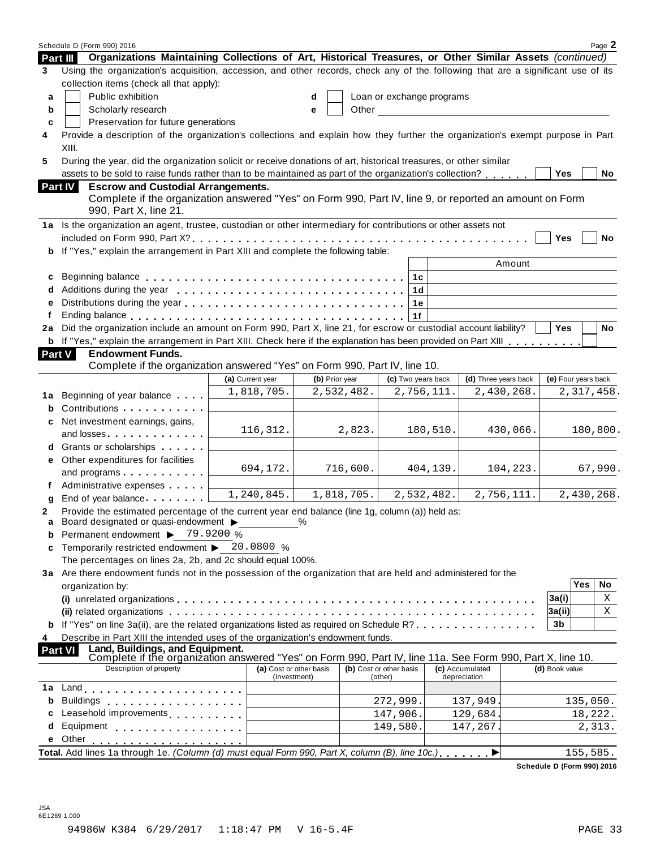|               | Schedule D (Form 990) 2016<br>Organizations Maintaining Collections of Art, Historical Treasures, or Other Similar Assets (continued)<br><b>Part III</b> |                                         |                |          |                         |            |                                 |                |                     |          | Page 2   |
|---------------|----------------------------------------------------------------------------------------------------------------------------------------------------------|-----------------------------------------|----------------|----------|-------------------------|------------|---------------------------------|----------------|---------------------|----------|----------|
| 3             | Using the organization's acquisition, accession, and other records, check any of the following that are a significant use of its                         |                                         |                |          |                         |            |                                 |                |                     |          |          |
|               | collection items (check all that apply):                                                                                                                 |                                         |                |          |                         |            |                                 |                |                     |          |          |
|               | Public exhibition<br>Loan or exchange programs<br>a                                                                                                      |                                         |                |          |                         |            |                                 |                |                     |          |          |
| b             | Scholarly research<br>Other<br>e                                                                                                                         |                                         |                |          |                         |            |                                 |                |                     |          |          |
|               | Preservation for future generations                                                                                                                      |                                         |                |          |                         |            |                                 |                |                     |          |          |
| c             |                                                                                                                                                          |                                         |                |          |                         |            |                                 |                |                     |          |          |
| 4             | Provide a description of the organization's collections and explain how they further the organization's exempt purpose in Part                           |                                         |                |          |                         |            |                                 |                |                     |          |          |
|               | XIII.                                                                                                                                                    |                                         |                |          |                         |            |                                 |                |                     |          |          |
| 5             | During the year, did the organization solicit or receive donations of art, historical treasures, or other similar                                        |                                         |                |          |                         |            |                                 |                |                     |          |          |
|               | assets to be sold to raise funds rather than to be maintained as part of the organization's collection?                                                  |                                         |                |          |                         |            |                                 |                | Yes                 |          | No       |
|               | <b>Escrow and Custodial Arrangements.</b><br>Part IV                                                                                                     |                                         |                |          |                         |            |                                 |                |                     |          |          |
|               | Complete if the organization answered "Yes" on Form 990, Part IV, line 9, or reported an amount on Form                                                  |                                         |                |          |                         |            |                                 |                |                     |          |          |
|               | 990, Part X, line 21.                                                                                                                                    |                                         |                |          |                         |            |                                 |                |                     |          |          |
|               | 1a Is the organization an agent, trustee, custodian or other intermediary for contributions or other assets not                                          |                                         |                |          |                         |            |                                 |                |                     |          |          |
|               |                                                                                                                                                          |                                         |                |          |                         |            |                                 |                | Yes                 |          | No       |
|               | b If "Yes," explain the arrangement in Part XIII and complete the following table:                                                                       |                                         |                |          |                         |            |                                 |                |                     |          |          |
|               |                                                                                                                                                          |                                         |                |          |                         |            | Amount                          |                |                     |          |          |
| c             |                                                                                                                                                          |                                         |                |          | 1c                      |            |                                 |                |                     |          |          |
|               |                                                                                                                                                          |                                         |                |          | 1d                      |            |                                 |                |                     |          |          |
| е             |                                                                                                                                                          |                                         |                |          | 1e                      |            |                                 |                |                     |          |          |
|               |                                                                                                                                                          |                                         |                |          | 1f                      |            |                                 |                |                     |          |          |
|               | 2a Did the organization include an amount on Form 990, Part X, line 21, for escrow or custodial account liability?                                       |                                         |                |          |                         |            |                                 |                | <b>Yes</b>          |          | No       |
|               | <b>b</b> If "Yes," explain the arrangement in Part XIII. Check here if the explanation has been provided on Part XIII                                    |                                         |                |          |                         |            |                                 |                |                     |          |          |
| <b>Part V</b> | <b>Endowment Funds.</b>                                                                                                                                  |                                         |                |          |                         |            |                                 |                |                     |          |          |
|               | Complete if the organization answered "Yes" on Form 990, Part IV, line 10.                                                                               |                                         |                |          |                         |            |                                 |                |                     |          |          |
|               |                                                                                                                                                          | (a) Current year                        | (b) Prior year |          | (c) Two years back      |            | (d) Three years back            |                | (e) Four years back |          |          |
|               |                                                                                                                                                          | 1,818,705.                              | 2,532,482.     |          |                         | 2,756,111. | 2,430,268.                      |                | 2,317,458.          |          |          |
| 1а            | Beginning of year balance                                                                                                                                |                                         |                |          |                         |            |                                 |                |                     |          |          |
| b             |                                                                                                                                                          |                                         |                |          |                         |            |                                 |                |                     |          |          |
|               | c Net investment earnings, gains,                                                                                                                        |                                         |                |          |                         |            |                                 |                |                     |          |          |
|               | and losses                                                                                                                                               | 116,312.                                |                | 2,823.   |                         | 180,510.   | 430,066.                        |                |                     |          | 180,800. |
|               | d Grants or scholarships                                                                                                                                 |                                         |                |          |                         |            |                                 |                |                     |          |          |
|               | e Other expenditures for facilities                                                                                                                      |                                         |                |          |                         |            |                                 |                |                     |          |          |
|               | and programs                                                                                                                                             | 694,172.                                |                | 716,600. |                         | 404,139.   | 104,223.                        |                |                     |          | 67,990.  |
|               | Administrative expenses                                                                                                                                  |                                         |                |          |                         |            |                                 |                |                     |          |          |
| g             | End of year balance expansion of year balance                                                                                                            | 1, 240, 845.                            | 1,818,705.     |          |                         | 2,532,482. | 2,756,111.                      |                | 2,430,268.          |          |          |
| 2             | Provide the estimated percentage of the current year end balance (line 1g, column (a)) held as:                                                          |                                         |                |          |                         |            |                                 |                |                     |          |          |
| a             | Board designated or quasi-endowment >                                                                                                                    |                                         | $\%$           |          |                         |            |                                 |                |                     |          |          |
| b             | Permanent endowment > 79.9200 %                                                                                                                          |                                         |                |          |                         |            |                                 |                |                     |          |          |
| c             | Temporarily restricted endowment > 20.0800 %                                                                                                             |                                         |                |          |                         |            |                                 |                |                     |          |          |
|               | The percentages on lines 2a, 2b, and 2c should equal 100%.                                                                                               |                                         |                |          |                         |            |                                 |                |                     |          |          |
|               | 3a Are there endowment funds not in the possession of the organization that are held and administered for the                                            |                                         |                |          |                         |            |                                 |                |                     |          |          |
|               | organization by:                                                                                                                                         |                                         |                |          |                         |            |                                 |                | Yes                 |          | No       |
|               |                                                                                                                                                          |                                         |                |          |                         |            |                                 |                | 3a(i)               |          | Χ        |
|               |                                                                                                                                                          |                                         |                |          |                         |            |                                 |                | 3a(ii)              |          | Χ        |
|               | If "Yes" on line 3a(ii), are the related organizations listed as required on Schedule R?                                                                 |                                         |                |          |                         |            |                                 |                | 3 <sub>b</sub>      |          |          |
| 4             | Describe in Part XIII the intended uses of the organization's endowment funds.                                                                           |                                         |                |          |                         |            |                                 |                |                     |          |          |
|               | Land, Buildings, and Equipment.<br><b>Part VI</b>                                                                                                        |                                         |                |          |                         |            |                                 |                |                     |          |          |
|               | Complete if the organization answered "Yes" on Form 990, Part IV, line 11a. See Form 990, Part X, line 10.                                               |                                         |                |          |                         |            |                                 |                |                     |          |          |
|               | Description of property                                                                                                                                  | (a) Cost or other basis<br>(investment) |                |          | (b) Cost or other basis |            | (c) Accumulated<br>depreciation | (d) Book value |                     |          |          |
| 1a            |                                                                                                                                                          |                                         |                |          | (other)                 |            |                                 |                |                     |          |          |
| b             | <b>Buildings</b>                                                                                                                                         |                                         |                |          | 272,999.                |            | 137,949.                        |                |                     | 135,050. |          |
| c             | .<br>Leasehold improvements <b>Leasehold</b> improvements                                                                                                |                                         |                |          |                         |            |                                 |                |                     |          |          |
|               |                                                                                                                                                          |                                         |                |          | 147,906.                |            | 129,684.                        |                |                     | 18,222.  |          |
| d             | Equipment<br>.                                                                                                                                           |                                         |                |          | 149,580.                |            | 147,267                         |                |                     | 2,313.   |          |
| е             | Other                                                                                                                                                    |                                         |                |          |                         |            |                                 |                |                     |          |          |
|               | Total. Add lines 1a through 1e. (Column (d) must equal Form 990, Part X, column (B), line 10c.)                                                          |                                         |                |          |                         |            |                                 |                |                     | 155,585. |          |

**Schedule D (Form 990) 2016**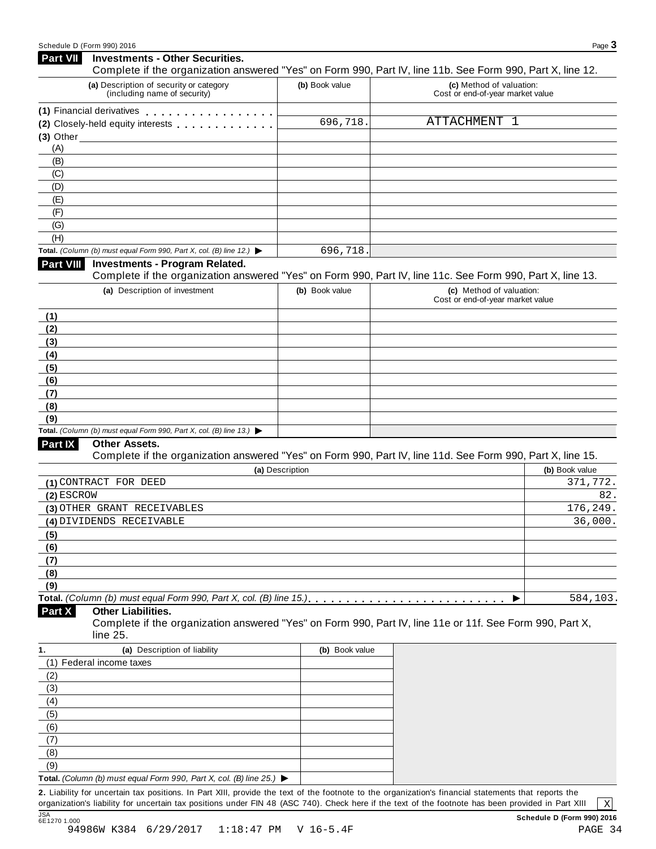### **Investments - Other Securities. Part VII** Investments - Other Securities.<br>Complete if the organization answered "Yes" on Form 990, Part IV, line 11b. See Form 990, Part X, line 12. **(a)** Description of security or category (including name of security) **(b)** Book value **(c)** Method of valuation: Cost or end-of-year market value **(1)** Financial derivatives m m m m m m m m m m m m m m m m m **(1)** Financial derivatives **maturity of minimum metallicity** Closely-held equity interests **maturity of momental (3)** Other (A) (B) (C) (D) (E) (F) (G) (H) **Total.** *(Column (b) must equal Form 990, Part X, col. (B) line 12.)* I **Investments - Program Related.** Complete if the organization answered "Yes" on Form 990, Part IV, line 11c. See Form 990, Part X, line 13. **(a)** Description of investment **(b)** Book value **(c)** Method of valuation: Cost or end-of-year market value **(1) (2) (3) (4) (5) (6) (7) (8) (9) Total.** *(Column (b) must equal Form 990, Part X, col. (B) line 13.)* I **Other Assets.** Complete if the organization answered "Yes" on Form 990, Part IV, line 11d. See Form 990, Part X, line 15. **(a)** Description **(b)** Book value **(1)** CONTRACT FOR DEED 371,772. **(2) (3)** OTHER GRANT RECEIVABLES 176,249. **(4)** DIVIDENDS RECEIVABLE 36,000. **(5) (6) (7) (8) (9)**  $\blacksquare$   $\blacksquare$   $\blacksquare$   $\blacksquare$   $\lozenge$   $\lozenge$   $\blacksquare$   $\blacksquare$   $\blacksquare$   $\blacksquare$   $\blacksquare$   $\blacksquare$   $\blacksquare$   $\blacksquare$   $\blacksquare$   $\blacksquare$   $\blacksquare$   $\blacksquare$   $\blacksquare$   $\blacksquare$   $\blacksquare$   $\blacksquare$   $\blacksquare$   $\blacksquare$   $\blacksquare$   $\blacksquare$   $\blacksquare$   $\blacksquare$   $\blacksquare$   $\blacksquare$   $\blacksquare$   $\blacks$ **Other Liabilities.** Complete if the organization answered "Yes" on Form 990, Part IV, line 11e or 11f. See Form 990, Part X, line 25. **Part X 1. (a)** Description of liability **(b)** Book value (1) Federal income taxes (2) (3) (4) (5) (6) (7) (8) (9) 696,718. [ATTACHMENT 1](#page-34-0) 696,718.  $\blacksquare$  SCROW  $\blacksquare$  82. 584,103.

**Total.** *(Column (b) must equal Form 990, Part X, col. (B) line 25.)* I **2.** Liability for uncertain tax positions. In Part XIII, provide the text of the footnote to the organization's financial statements that reports the organization's liability for uncertain tax positions under FIN 48 (ASC 740). Check here if the text of the footnote has been provided in Part XIII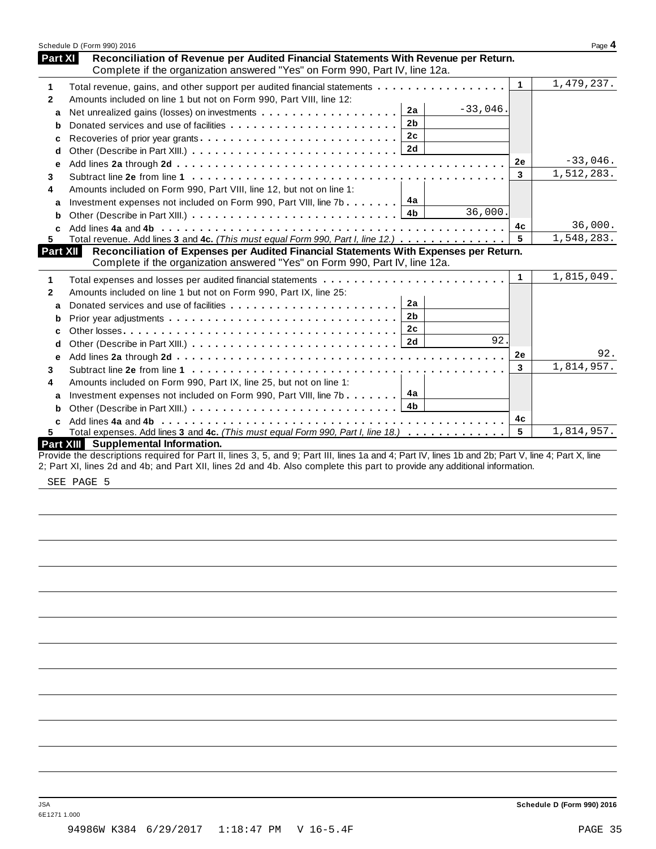|                 | Schedule D (Form 990) 2016                                                                                                                                                                                                                                                       |                | Page 4     |
|-----------------|----------------------------------------------------------------------------------------------------------------------------------------------------------------------------------------------------------------------------------------------------------------------------------|----------------|------------|
| Part XI         | Reconciliation of Revenue per Audited Financial Statements With Revenue per Return.<br>Complete if the organization answered "Yes" on Form 990, Part IV, line 12a.                                                                                                               |                |            |
| 1               | Total revenue, gains, and other support per audited financial statements                                                                                                                                                                                                         | 1              | 1,479,237. |
| $\mathbf{2}$    | Amounts included on line 1 but not on Form 990, Part VIII, line 12:                                                                                                                                                                                                              |                |            |
| a               | $-33,046.$<br>2a<br>Net unrealized gains (losses) on investments                                                                                                                                                                                                                 |                |            |
| b               | 2 <sub>b</sub>                                                                                                                                                                                                                                                                   |                |            |
| c               | 2c<br>Recoveries of prior year grants                                                                                                                                                                                                                                            |                |            |
| d               |                                                                                                                                                                                                                                                                                  |                |            |
| е               |                                                                                                                                                                                                                                                                                  | 2e             | $-33,046.$ |
| 3               |                                                                                                                                                                                                                                                                                  | $\overline{3}$ | 1,512,283. |
| 4               | Amounts included on Form 990, Part VIII, line 12, but not on line 1:                                                                                                                                                                                                             |                |            |
| a               | 4a<br>Investment expenses not included on Form 990, Part VIII, line 7b                                                                                                                                                                                                           |                |            |
| b               | 36,000.<br>4b                                                                                                                                                                                                                                                                    |                |            |
| C               |                                                                                                                                                                                                                                                                                  | 4c             | 36,000.    |
| 5.              | Total revenue. Add lines 3 and 4c. (This must equal Form 990, Part I, line 12.)                                                                                                                                                                                                  | 5              | 1,548,283. |
| <b>Part XII</b> | Reconciliation of Expenses per Audited Financial Statements With Expenses per Return.                                                                                                                                                                                            |                |            |
|                 | Complete if the organization answered "Yes" on Form 990, Part IV, line 12a.                                                                                                                                                                                                      |                |            |
| 1               | Total expenses and losses per audited financial statements                                                                                                                                                                                                                       | $\mathbf{1}$   | 1,815,049. |
| $\mathbf{2}$    | Amounts included on line 1 but not on Form 990, Part IX, line 25:                                                                                                                                                                                                                |                |            |
| a               | 2a                                                                                                                                                                                                                                                                               |                |            |
| b               | 2 <sub>b</sub>                                                                                                                                                                                                                                                                   |                |            |
| c               | 2c                                                                                                                                                                                                                                                                               |                |            |
| d               | 92.                                                                                                                                                                                                                                                                              |                |            |
| е               |                                                                                                                                                                                                                                                                                  | 2e             | 92.        |
| 3               |                                                                                                                                                                                                                                                                                  | 3              | 1,814,957. |
| 4               | Amounts included on Form 990, Part IX, line 25, but not on line 1:                                                                                                                                                                                                               |                |            |
| a               | 4a<br>Investment expenses not included on Form 990, Part VIII, line 7b                                                                                                                                                                                                           |                |            |
| b               | 4b                                                                                                                                                                                                                                                                               |                |            |
| C               |                                                                                                                                                                                                                                                                                  | 4с             |            |
| 5.              | Total expenses. Add lines 3 and 4c. (This must equal Form 990, Part I, line 18.)                                                                                                                                                                                                 | 5              | 1,814,957. |
|                 | Part XIII Supplemental Information.                                                                                                                                                                                                                                              |                |            |
|                 | Provide the descriptions required for Part II, lines 3, 5, and 9; Part III, lines 1a and 4; Part IV, lines 1b and 2b; Part V, line 4; Part X, line<br>2; Part XI, lines 2d and 4b; and Part XII, lines 2d and 4b. Also complete this part to provide any additional information. |                |            |

SEE PAGE 5

6E1271 1.000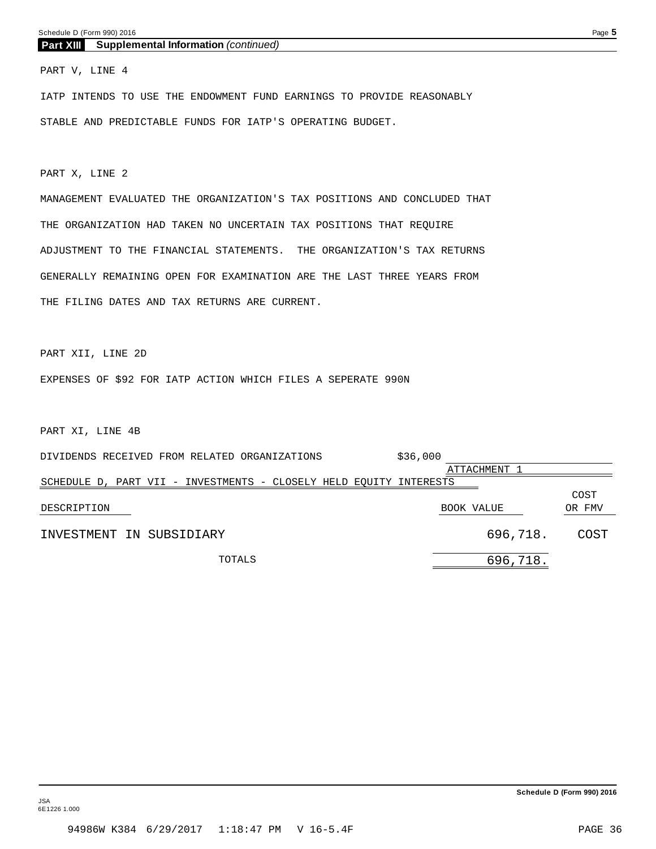### <span id="page-34-0"></span>**Part XIII Supplemental Information** *(continued)*

PART V, LINE 4

IATP INTENDS TO USE THE ENDOWMENT FUND EARNINGS TO PROVIDE REASONABLY STABLE AND PREDICTABLE FUNDS FOR IATP'S OPERATING BUDGET.

PART X, LINE 2

MANAGEMENT EVALUATED THE ORGANIZATION'S TAX POSITIONS AND CONCLUDED THAT THE ORGANIZATION HAD TAKEN NO UNCERTAIN TAX POSITIONS THAT REQUIRE ADJUSTMENT TO THE FINANCIAL STATEMENTS. THE ORGANIZATION'S TAX RETURNS GENERALLY REMAINING OPEN FOR EXAMINATION ARE THE LAST THREE YEARS FROM THE FILING DATES AND TAX RETURNS ARE CURRENT.

PART XII, LINE 2D

EXPENSES OF \$92 FOR IATP ACTION WHICH FILES A SEPERATE 990N

PART XI, LINE 4B

| DIVIDENDS RECEIVED FROM RELATED ORGANIZATIONS                      | \$36,000     |        |
|--------------------------------------------------------------------|--------------|--------|
|                                                                    | ATTACHMENT 1 |        |
| SCHEDULE D, PART VII - INVESTMENTS - CLOSELY HELD EOUITY INTERESTS |              |        |
|                                                                    |              | COST   |
| DESCRIPTION                                                        | BOOK VALUE   | OR FMV |
| INVESTMENT IN SUBSIDIARY                                           | 696,718.     | COST   |
| TOTALS                                                             | 696,718.     |        |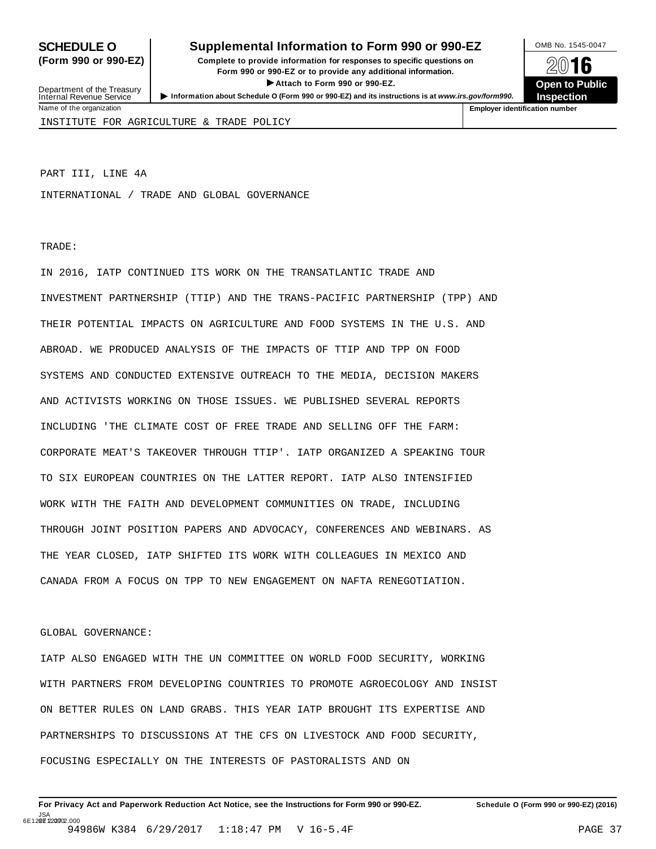### **SCHEDULE O** Supplemental Information to Form 990 or 990-EZ DMB No. 1545-0047

**(Form 990 or 990-EZ) Complete to provide information for responses to specific questions on** plete to provide information for responses to specific questions on  $\mathbb{Z}^{\square}$  **16 EXECUTE:** Attach to Form 990 or 990-EZ.<br>
Attach to Form 990 or 990-EZ.<br> **Company of the Company of the Company of the Company of the Company of the Company of the Company of the Company of the Company of the Company of th** 



Department of the Treasury<br>Internal Revenue Service

Department of the Treasury <br>Depen to Public<br>Name of the organization<br>Name of the organization<br>Name of the organization<br>Name of the organization

INSTITUTE FOR AGRICULTURE & TRADE POLICY

PART III, LINE 4A

INTERNATIONAL / TRADE AND GLOBAL GOVERNANCE

### TRADE:

IN 2016, IATP CONTINUED ITS WORK ON THE TRANSATLANTIC TRADE AND INVESTMENT PARTNERSHIP (TTIP) AND THE TRANS-PACIFIC PARTNERSHIP (TPP) AND THEIR POTENTIAL IMPACTS ON AGRICULTURE AND FOOD SYSTEMS IN THE U.S. AND ABROAD. WE PRODUCED ANALYSIS OF THE IMPACTS OF TTIP AND TPP ON FOOD SYSTEMS AND CONDUCTED EXTENSIVE OUTREACH TO THE MEDIA, DECISION MAKERS AND ACTIVISTS WORKING ON THOSE ISSUES. WE PUBLISHED SEVERAL REPORTS INCLUDING 'THE CLIMATE COST OF FREE TRADE AND SELLING OFF THE FARM: CORPORATE MEAT'S TAKEOVER THROUGH TTIP'. IATP ORGANIZED A SPEAKING TOUR TO SIX EUROPEAN COUNTRIES ON THE LATTER REPORT. IATP ALSO INTENSIFIED WORK WITH THE FAITH AND DEVELOPMENT COMMUNITIES ON TRADE, INCLUDING THROUGH JOINT POSITION PAPERS AND ADVOCACY, CONFERENCES AND WEBINARS. AS THE YEAR CLOSED, IATP SHIFTED ITS WORK WITH COLLEAGUES IN MEXICO AND CANADA FROM A FOCUS ON TPP TO NEW ENGAGEMENT ON NAFTA RENEGOTIATION.

### GLOBAL GOVERNANCE:

IATP ALSO ENGAGED WITH THE UN COMMITTEE ON WORLD FOOD SECURITY, WORKING WITH PARTNERS FROM DEVELOPING COUNTRIES TO PROMOTE AGROECOLOGY AND INSIST ON BETTER RULES ON LAND GRABS. THIS YEAR IATP BROUGHT ITS EXPERTISE AND PARTNERSHIPS TO DISCUSSIONS AT THE CFS ON LIVESTOCK AND FOOD SECURITY, FOCUSING ESPECIALLY ON THE INTERESTS OF PASTORALISTS AND ON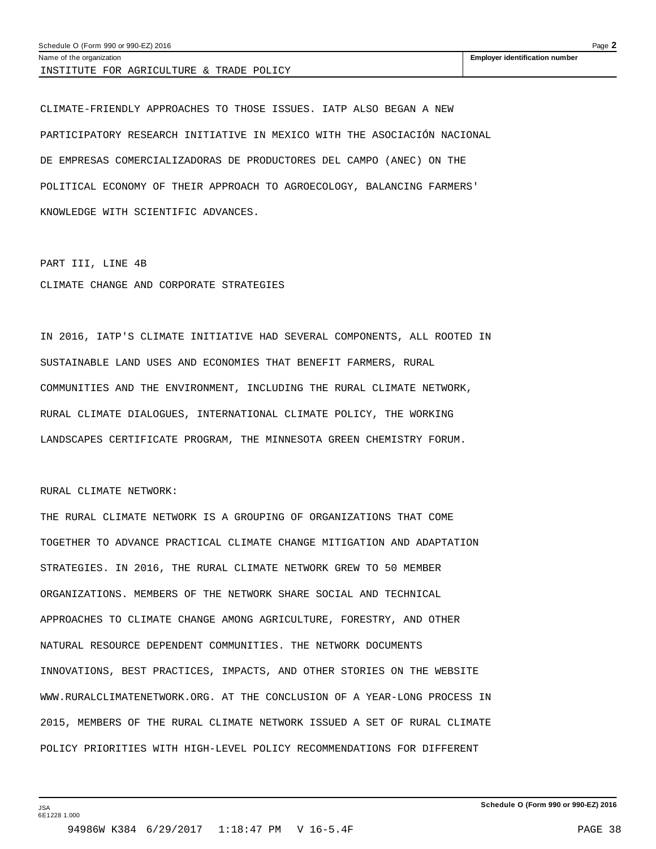| Schedule O (Form 990 or 990-EZ) 2016     |                                       | $P$ age $\blacktriangle$ |
|------------------------------------------|---------------------------------------|--------------------------|
| Name of the organization                 | <b>Employer identification number</b> |                          |
| INSTITUTE FOR AGRICULTURE & TRADE POLICY |                                       |                          |

CLIMATE-FRIENDLY APPROACHES TO THOSE ISSUES. IATP ALSO BEGAN A NEW PARTICIPATORY RESEARCH INITIATIVE IN MEXICO WITH THE ASOCIACIÓN NACIONAL DE EMPRESAS COMERCIALIZADORAS DE PRODUCTORES DEL CAMPO (ANEC) ON THE POLITICAL ECONOMY OF THEIR APPROACH TO AGROECOLOGY, BALANCING FARMERS' KNOWLEDGE WITH SCIENTIFIC ADVANCES.

PART III, LINE 4B CLIMATE CHANGE AND CORPORATE STRATEGIES

IN 2016, IATP'S CLIMATE INITIATIVE HAD SEVERAL COMPONENTS, ALL ROOTED IN SUSTAINABLE LAND USES AND ECONOMIES THAT BENEFIT FARMERS, RURAL COMMUNITIES AND THE ENVIRONMENT, INCLUDING THE RURAL CLIMATE NETWORK, RURAL CLIMATE DIALOGUES, INTERNATIONAL CLIMATE POLICY, THE WORKING LANDSCAPES CERTIFICATE PROGRAM, THE MINNESOTA GREEN CHEMISTRY FORUM.

### RURAL CLIMATE NETWORK:

JSA 6E1228 1.000

THE RURAL CLIMATE NETWORK IS A GROUPING OF ORGANIZATIONS THAT COME TOGETHER TO ADVANCE PRACTICAL CLIMATE CHANGE MITIGATION AND ADAPTATION STRATEGIES. IN 2016, THE RURAL CLIMATE NETWORK GREW TO 50 MEMBER ORGANIZATIONS. MEMBERS OF THE NETWORK SHARE SOCIAL AND TECHNICAL APPROACHES TO CLIMATE CHANGE AMONG AGRICULTURE, FORESTRY, AND OTHER NATURAL RESOURCE DEPENDENT COMMUNITIES. THE NETWORK DOCUMENTS INNOVATIONS, BEST PRACTICES, IMPACTS, AND OTHER STORIES ON THE WEBSITE WWW.RURALCLIMATENETWORK.ORG. AT THE CONCLUSION OF A YEAR-LONG PROCESS IN 2015, MEMBERS OF THE RURAL CLIMATE NETWORK ISSUED A SET OF RURAL CLIMATE POLICY PRIORITIES WITH HIGH-LEVEL POLICY RECOMMENDATIONS FOR DIFFERENT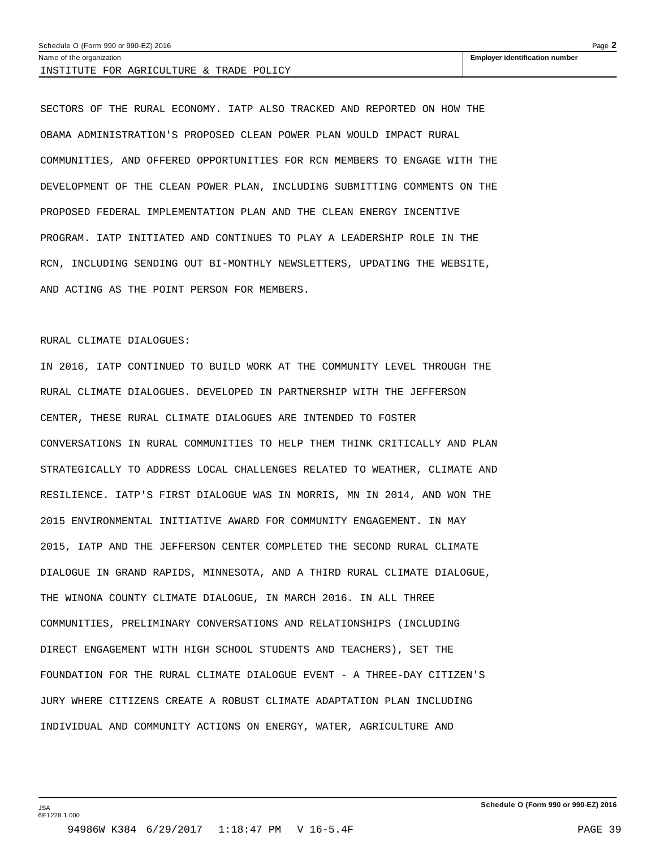| Schedule O (Form 990 or 990-EZ) 2016     | Page                                  |
|------------------------------------------|---------------------------------------|
| Name of the organization                 | <b>Employer identification number</b> |
| INSTITUTE FOR AGRICULTURE & TRADE POLICY |                                       |

SECTORS OF THE RURAL ECONOMY. IATP ALSO TRACKED AND REPORTED ON HOW THE OBAMA ADMINISTRATION'S PROPOSED CLEAN POWER PLAN WOULD IMPACT RURAL COMMUNITIES, AND OFFERED OPPORTUNITIES FOR RCN MEMBERS TO ENGAGE WITH THE DEVELOPMENT OF THE CLEAN POWER PLAN, INCLUDING SUBMITTING COMMENTS ON THE PROPOSED FEDERAL IMPLEMENTATION PLAN AND THE CLEAN ENERGY INCENTIVE PROGRAM. IATP INITIATED AND CONTINUES TO PLAY A LEADERSHIP ROLE IN THE RCN, INCLUDING SENDING OUT BI-MONTHLY NEWSLETTERS, UPDATING THE WEBSITE, AND ACTING AS THE POINT PERSON FOR MEMBERS.

### RURAL CLIMATE DIALOGUES:

IN 2016, IATP CONTINUED TO BUILD WORK AT THE COMMUNITY LEVEL THROUGH THE RURAL CLIMATE DIALOGUES. DEVELOPED IN PARTNERSHIP WITH THE JEFFERSON CENTER, THESE RURAL CLIMATE DIALOGUES ARE INTENDED TO FOSTER CONVERSATIONS IN RURAL COMMUNITIES TO HELP THEM THINK CRITICALLY AND PLAN STRATEGICALLY TO ADDRESS LOCAL CHALLENGES RELATED TO WEATHER, CLIMATE AND RESILIENCE. IATP'S FIRST DIALOGUE WAS IN MORRIS, MN IN 2014, AND WON THE 2015 ENVIRONMENTAL INITIATIVE AWARD FOR COMMUNITY ENGAGEMENT. IN MAY 2015, IATP AND THE JEFFERSON CENTER COMPLETED THE SECOND RURAL CLIMATE DIALOGUE IN GRAND RAPIDS, MINNESOTA, AND A THIRD RURAL CLIMATE DIALOGUE, THE WINONA COUNTY CLIMATE DIALOGUE, IN MARCH 2016. IN ALL THREE COMMUNITIES, PRELIMINARY CONVERSATIONS AND RELATIONSHIPS (INCLUDING DIRECT ENGAGEMENT WITH HIGH SCHOOL STUDENTS AND TEACHERS), SET THE FOUNDATION FOR THE RURAL CLIMATE DIALOGUE EVENT - A THREE-DAY CITIZEN'S JURY WHERE CITIZENS CREATE A ROBUST CLIMATE ADAPTATION PLAN INCLUDING INDIVIDUAL AND COMMUNITY ACTIONS ON ENERGY, WATER, AGRICULTURE AND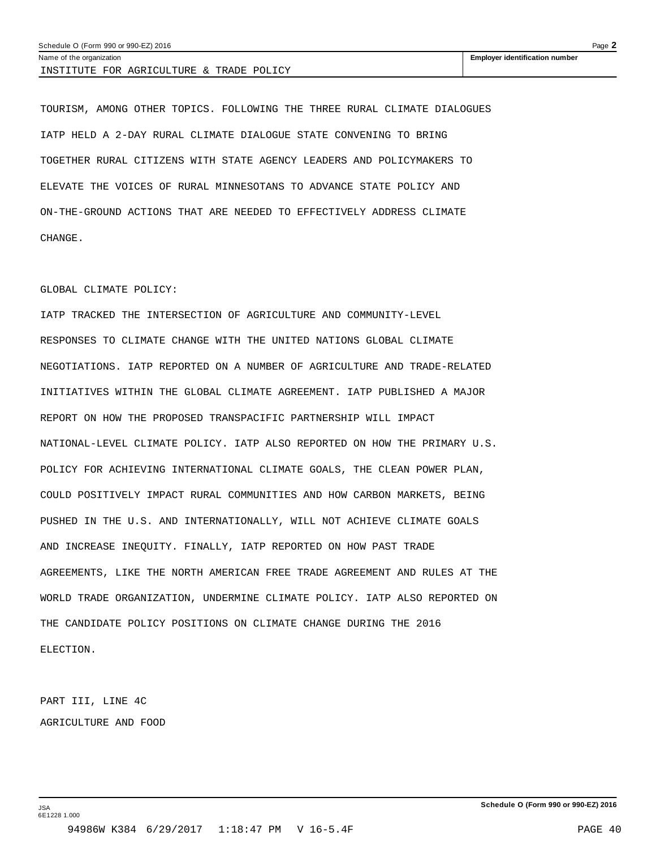| Schedule O (Form 990 or 990-EZ) 2016     |                                       |  |
|------------------------------------------|---------------------------------------|--|
| Name of the organization                 | <b>Employer identification number</b> |  |
| INSTITUTE FOR AGRICULTURE & TRADE POLICY |                                       |  |

TOURISM, AMONG OTHER TOPICS. FOLLOWING THE THREE RURAL CLIMATE DIALOGUES IATP HELD A 2-DAY RURAL CLIMATE DIALOGUE STATE CONVENING TO BRING TOGETHER RURAL CITIZENS WITH STATE AGENCY LEADERS AND POLICYMAKERS TO ELEVATE THE VOICES OF RURAL MINNESOTANS TO ADVANCE STATE POLICY AND ON-THE-GROUND ACTIONS THAT ARE NEEDED TO EFFECTIVELY ADDRESS CLIMATE CHANGE.

### GLOBAL CLIMATE POLICY:

IATP TRACKED THE INTERSECTION OF AGRICULTURE AND COMMUNITY-LEVEL RESPONSES TO CLIMATE CHANGE WITH THE UNITED NATIONS GLOBAL CLIMATE NEGOTIATIONS. IATP REPORTED ON A NUMBER OF AGRICULTURE AND TRADE-RELATED INITIATIVES WITHIN THE GLOBAL CLIMATE AGREEMENT. IATP PUBLISHED A MAJOR REPORT ON HOW THE PROPOSED TRANSPACIFIC PARTNERSHIP WILL IMPACT NATIONAL-LEVEL CLIMATE POLICY. IATP ALSO REPORTED ON HOW THE PRIMARY U.S. POLICY FOR ACHIEVING INTERNATIONAL CLIMATE GOALS, THE CLEAN POWER PLAN, COULD POSITIVELY IMPACT RURAL COMMUNITIES AND HOW CARBON MARKETS, BEING PUSHED IN THE U.S. AND INTERNATIONALLY, WILL NOT ACHIEVE CLIMATE GOALS AND INCREASE INEQUITY. FINALLY, IATP REPORTED ON HOW PAST TRADE AGREEMENTS, LIKE THE NORTH AMERICAN FREE TRADE AGREEMENT AND RULES AT THE WORLD TRADE ORGANIZATION, UNDERMINE CLIMATE POLICY. IATP ALSO REPORTED ON THE CANDIDATE POLICY POSITIONS ON CLIMATE CHANGE DURING THE 2016 ELECTION.

PART III, LINE 4C AGRICULTURE AND FOOD

JSA 6E1228 1.000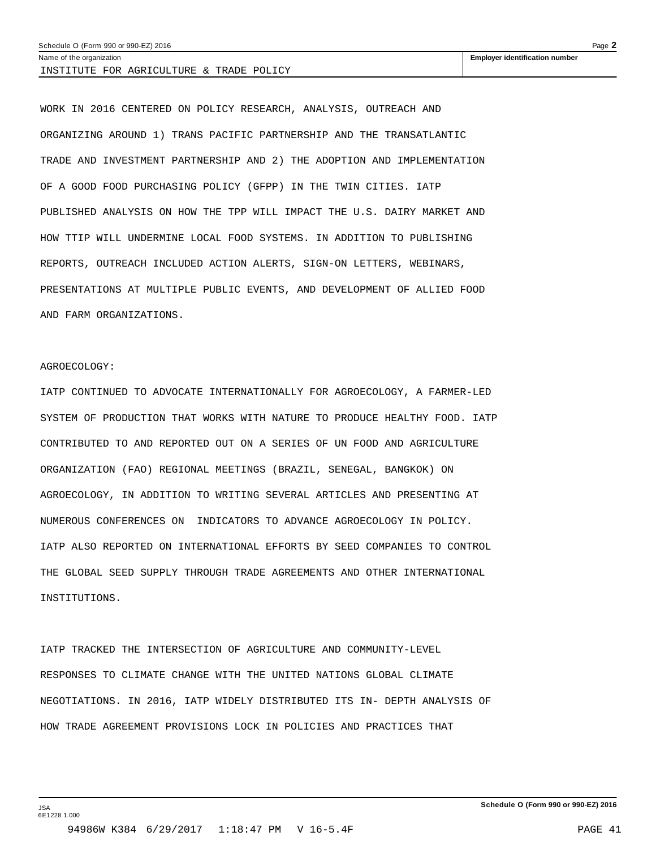| Schedule O (Form 990 or 990-EZ) 2016 | Page |
|--------------------------------------|------|
|--------------------------------------|------|

Name of the organization **Employer identification number**

### INSTITUTE FOR AGRICULTURE & TRADE POLICY

WORK IN 2016 CENTERED ON POLICY RESEARCH, ANALYSIS, OUTREACH AND ORGANIZING AROUND 1) TRANS PACIFIC PARTNERSHIP AND THE TRANSATLANTIC TRADE AND INVESTMENT PARTNERSHIP AND 2) THE ADOPTION AND IMPLEMENTATION OF A GOOD FOOD PURCHASING POLICY (GFPP) IN THE TWIN CITIES. IATP PUBLISHED ANALYSIS ON HOW THE TPP WILL IMPACT THE U.S. DAIRY MARKET AND HOW TTIP WILL UNDERMINE LOCAL FOOD SYSTEMS. IN ADDITION TO PUBLISHING REPORTS, OUTREACH INCLUDED ACTION ALERTS, SIGN-ON LETTERS, WEBINARS, PRESENTATIONS AT MULTIPLE PUBLIC EVENTS, AND DEVELOPMENT OF ALLIED FOOD AND FARM ORGANIZATIONS.

### AGROECOLOGY:

IATP CONTINUED TO ADVOCATE INTERNATIONALLY FOR AGROECOLOGY, A FARMER-LED SYSTEM OF PRODUCTION THAT WORKS WITH NATURE TO PRODUCE HEALTHY FOOD. IATP CONTRIBUTED TO AND REPORTED OUT ON A SERIES OF UN FOOD AND AGRICULTURE ORGANIZATION (FAO) REGIONAL MEETINGS (BRAZIL, SENEGAL, BANGKOK) ON AGROECOLOGY, IN ADDITION TO WRITING SEVERAL ARTICLES AND PRESENTING AT NUMEROUS CONFERENCES ON INDICATORS TO ADVANCE AGROECOLOGY IN POLICY. IATP ALSO REPORTED ON INTERNATIONAL EFFORTS BY SEED COMPANIES TO CONTROL THE GLOBAL SEED SUPPLY THROUGH TRADE AGREEMENTS AND OTHER INTERNATIONAL INSTITUTIONS.

IATP TRACKED THE INTERSECTION OF AGRICULTURE AND COMMUNITY-LEVEL RESPONSES TO CLIMATE CHANGE WITH THE UNITED NATIONS GLOBAL CLIMATE NEGOTIATIONS. IN 2016, IATP WIDELY DISTRIBUTED ITS IN- DEPTH ANALYSIS OF HOW TRADE AGREEMENT PROVISIONS LOCK IN POLICIES AND PRACTICES THAT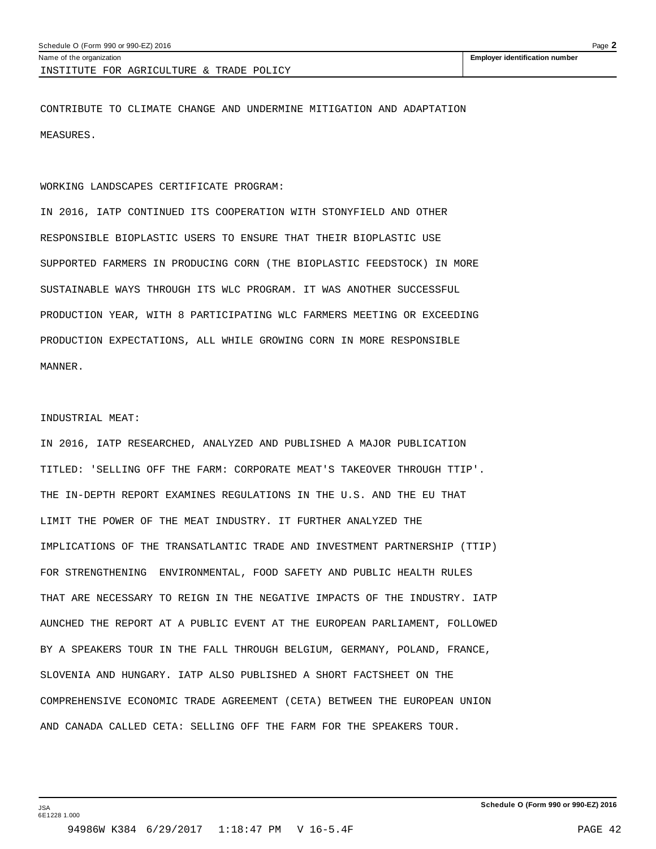INSTITUTE FOR AGRICULTURE & TRADE POLICY

CONTRIBUTE TO CLIMATE CHANGE AND UNDERMINE MITIGATION AND ADAPTATION MEASURES.

### WORKING LANDSCAPES CERTIFICATE PROGRAM:

IN 2016, IATP CONTINUED ITS COOPERATION WITH STONYFIELD AND OTHER RESPONSIBLE BIOPLASTIC USERS TO ENSURE THAT THEIR BIOPLASTIC USE SUPPORTED FARMERS IN PRODUCING CORN (THE BIOPLASTIC FEEDSTOCK) IN MORE SUSTAINABLE WAYS THROUGH ITS WLC PROGRAM. IT WAS ANOTHER SUCCESSFUL PRODUCTION YEAR, WITH 8 PARTICIPATING WLC FARMERS MEETING OR EXCEEDING PRODUCTION EXPECTATIONS, ALL WHILE GROWING CORN IN MORE RESPONSIBLE MANNER.

### INDUSTRIAL MEAT:

IN 2016, IATP RESEARCHED, ANALYZED AND PUBLISHED A MAJOR PUBLICATION TITLED: 'SELLING OFF THE FARM: CORPORATE MEAT'S TAKEOVER THROUGH TTIP'. THE IN-DEPTH REPORT EXAMINES REGULATIONS IN THE U.S. AND THE EU THAT LIMIT THE POWER OF THE MEAT INDUSTRY. IT FURTHER ANALYZED THE IMPLICATIONS OF THE TRANSATLANTIC TRADE AND INVESTMENT PARTNERSHIP (TTIP) FOR STRENGTHENING ENVIRONMENTAL, FOOD SAFETY AND PUBLIC HEALTH RULES THAT ARE NECESSARY TO REIGN IN THE NEGATIVE IMPACTS OF THE INDUSTRY. IATP AUNCHED THE REPORT AT A PUBLIC EVENT AT THE EUROPEAN PARLIAMENT, FOLLOWED BY A SPEAKERS TOUR IN THE FALL THROUGH BELGIUM, GERMANY, POLAND, FRANCE, SLOVENIA AND HUNGARY. IATP ALSO PUBLISHED A SHORT FACTSHEET ON THE COMPREHENSIVE ECONOMIC TRADE AGREEMENT (CETA) BETWEEN THE EUROPEAN UNION AND CANADA CALLED CETA: SELLING OFF THE FARM FOR THE SPEAKERS TOUR.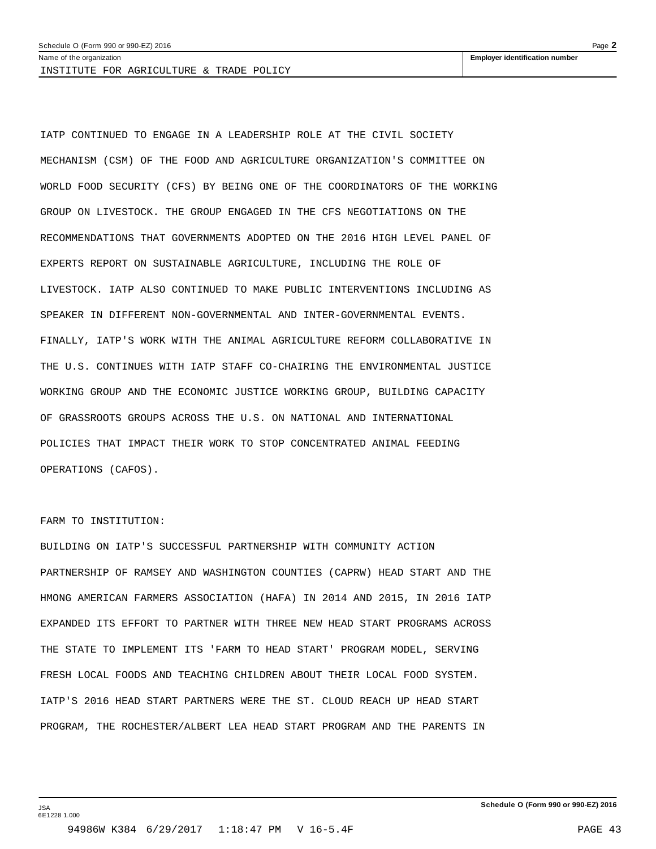INSTITUTE FOR AGRICULTURE & TRADE POLICY

Name of the organization **Employer identification number**

IATP CONTINUED TO ENGAGE IN A LEADERSHIP ROLE AT THE CIVIL SOCIETY MECHANISM (CSM) OF THE FOOD AND AGRICULTURE ORGANIZATION'S COMMITTEE ON WORLD FOOD SECURITY (CFS) BY BEING ONE OF THE COORDINATORS OF THE WORKING GROUP ON LIVESTOCK. THE GROUP ENGAGED IN THE CFS NEGOTIATIONS ON THE RECOMMENDATIONS THAT GOVERNMENTS ADOPTED ON THE 2016 HIGH LEVEL PANEL OF EXPERTS REPORT ON SUSTAINABLE AGRICULTURE, INCLUDING THE ROLE OF LIVESTOCK. IATP ALSO CONTINUED TO MAKE PUBLIC INTERVENTIONS INCLUDING AS SPEAKER IN DIFFERENT NON-GOVERNMENTAL AND INTER-GOVERNMENTAL EVENTS. FINALLY, IATP'S WORK WITH THE ANIMAL AGRICULTURE REFORM COLLABORATIVE IN THE U.S. CONTINUES WITH IATP STAFF CO-CHAIRING THE ENVIRONMENTAL JUSTICE WORKING GROUP AND THE ECONOMIC JUSTICE WORKING GROUP, BUILDING CAPACITY OF GRASSROOTS GROUPS ACROSS THE U.S. ON NATIONAL AND INTERNATIONAL POLICIES THAT IMPACT THEIR WORK TO STOP CONCENTRATED ANIMAL FEEDING OPERATIONS (CAFOS).

### FARM TO INSTITUTION:

JSA 6E1228 1.000

BUILDING ON IATP'S SUCCESSFUL PARTNERSHIP WITH COMMUNITY ACTION PARTNERSHIP OF RAMSEY AND WASHINGTON COUNTIES (CAPRW) HEAD START AND THE HMONG AMERICAN FARMERS ASSOCIATION (HAFA) IN 2014 AND 2015, IN 2016 IATP EXPANDED ITS EFFORT TO PARTNER WITH THREE NEW HEAD START PROGRAMS ACROSS THE STATE TO IMPLEMENT ITS 'FARM TO HEAD START' PROGRAM MODEL, SERVING FRESH LOCAL FOODS AND TEACHING CHILDREN ABOUT THEIR LOCAL FOOD SYSTEM. IATP'S 2016 HEAD START PARTNERS WERE THE ST. CLOUD REACH UP HEAD START PROGRAM, THE ROCHESTER/ALBERT LEA HEAD START PROGRAM AND THE PARENTS IN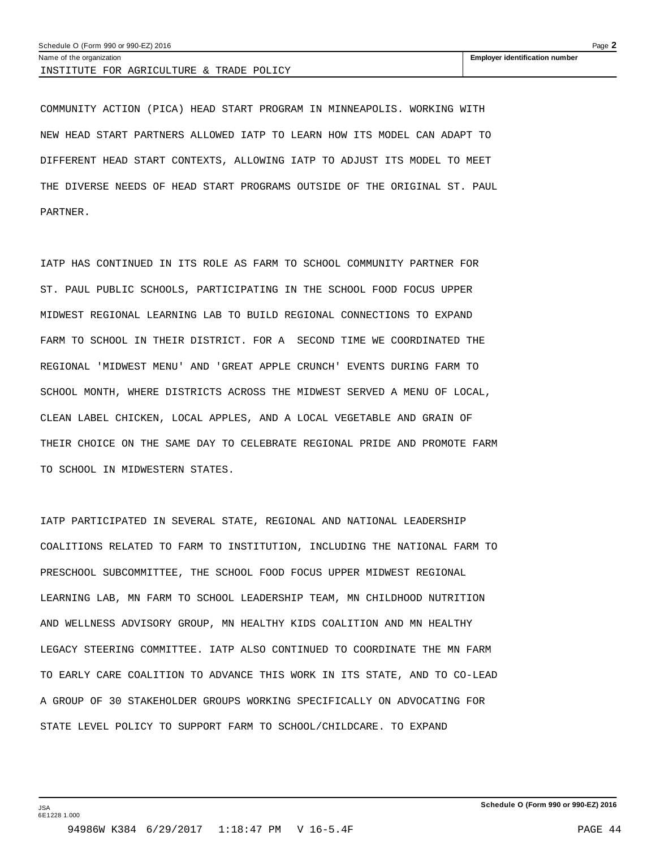COMMUNITY ACTION (PICA) HEAD START PROGRAM IN MINNEAPOLIS. WORKING WITH NEW HEAD START PARTNERS ALLOWED IATP TO LEARN HOW ITS MODEL CAN ADAPT TO DIFFERENT HEAD START CONTEXTS, ALLOWING IATP TO ADJUST ITS MODEL TO MEET THE DIVERSE NEEDS OF HEAD START PROGRAMS OUTSIDE OF THE ORIGINAL ST. PAUL PARTNER.

IATP HAS CONTINUED IN ITS ROLE AS FARM TO SCHOOL COMMUNITY PARTNER FOR ST. PAUL PUBLIC SCHOOLS, PARTICIPATING IN THE SCHOOL FOOD FOCUS UPPER MIDWEST REGIONAL LEARNING LAB TO BUILD REGIONAL CONNECTIONS TO EXPAND FARM TO SCHOOL IN THEIR DISTRICT. FOR A SECOND TIME WE COORDINATED THE REGIONAL 'MIDWEST MENU' AND 'GREAT APPLE CRUNCH' EVENTS DURING FARM TO SCHOOL MONTH, WHERE DISTRICTS ACROSS THE MIDWEST SERVED A MENU OF LOCAL, CLEAN LABEL CHICKEN, LOCAL APPLES, AND A LOCAL VEGETABLE AND GRAIN OF THEIR CHOICE ON THE SAME DAY TO CELEBRATE REGIONAL PRIDE AND PROMOTE FARM TO SCHOOL IN MIDWESTERN STATES.

IATP PARTICIPATED IN SEVERAL STATE, REGIONAL AND NATIONAL LEADERSHIP COALITIONS RELATED TO FARM TO INSTITUTION, INCLUDING THE NATIONAL FARM TO PRESCHOOL SUBCOMMITTEE, THE SCHOOL FOOD FOCUS UPPER MIDWEST REGIONAL LEARNING LAB, MN FARM TO SCHOOL LEADERSHIP TEAM, MN CHILDHOOD NUTRITION AND WELLNESS ADVISORY GROUP, MN HEALTHY KIDS COALITION AND MN HEALTHY LEGACY STEERING COMMITTEE. IATP ALSO CONTINUED TO COORDINATE THE MN FARM TO EARLY CARE COALITION TO ADVANCE THIS WORK IN ITS STATE, AND TO CO-LEAD A GROUP OF 30 STAKEHOLDER GROUPS WORKING SPECIFICALLY ON ADVOCATING FOR STATE LEVEL POLICY TO SUPPORT FARM TO SCHOOL/CHILDCARE. TO EXPAND

JSA 6E1228 1.000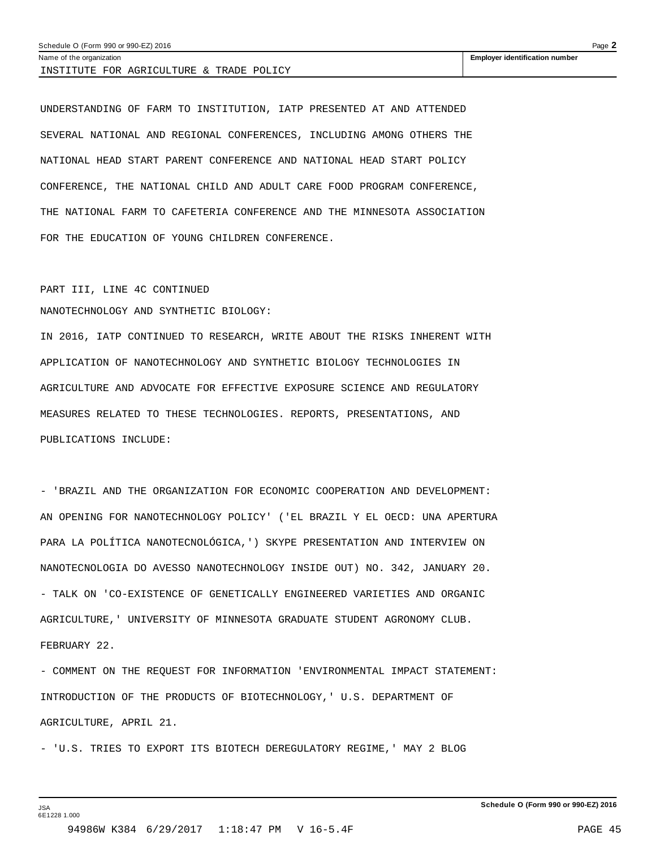| Schedule O (Form 990 or 990-EZ) 2016                |                                       |  |
|-----------------------------------------------------|---------------------------------------|--|
| Name of the organization                            | <b>Employer identification number</b> |  |
| AGR TOULTHER<br>POLTAL<br>TNSTTTITE<br>모∪프<br>TRADE |                                       |  |

UNDERSTANDING OF FARM TO INSTITUTION, IATP PRESENTED AT AND ATTENDED SEVERAL NATIONAL AND REGIONAL CONFERENCES, INCLUDING AMONG OTHERS THE NATIONAL HEAD START PARENT CONFERENCE AND NATIONAL HEAD START POLICY CONFERENCE, THE NATIONAL CHILD AND ADULT CARE FOOD PROGRAM CONFERENCE, THE NATIONAL FARM TO CAFETERIA CONFERENCE AND THE MINNESOTA ASSOCIATION FOR THE EDUCATION OF YOUNG CHILDREN CONFERENCE.

PART III, LINE 4C CONTINUED

NANOTECHNOLOGY AND SYNTHETIC BIOLOGY:

IN 2016, IATP CONTINUED TO RESEARCH, WRITE ABOUT THE RISKS INHERENT WITH APPLICATION OF NANOTECHNOLOGY AND SYNTHETIC BIOLOGY TECHNOLOGIES IN AGRICULTURE AND ADVOCATE FOR EFFECTIVE EXPOSURE SCIENCE AND REGULATORY MEASURES RELATED TO THESE TECHNOLOGIES. REPORTS, PRESENTATIONS, AND PUBLICATIONS INCLUDE:

- 'BRAZIL AND THE ORGANIZATION FOR ECONOMIC COOPERATION AND DEVELOPMENT: AN OPENING FOR NANOTECHNOLOGY POLICY' ('EL BRAZIL Y EL OECD: UNA APERTURA PARA LA POLÍTICA NANOTECNOLÓGICA,') SKYPE PRESENTATION AND INTERVIEW ON NANOTECNOLOGIA DO AVESSO NANOTECHNOLOGY INSIDE OUT) NO. 342, JANUARY 20. - TALK ON 'CO-EXISTENCE OF GENETICALLY ENGINEERED VARIETIES AND ORGANIC AGRICULTURE,' UNIVERSITY OF MINNESOTA GRADUATE STUDENT AGRONOMY CLUB. FEBRUARY 22.

- COMMENT ON THE REQUEST FOR INFORMATION 'ENVIRONMENTAL IMPACT STATEMENT: INTRODUCTION OF THE PRODUCTS OF BIOTECHNOLOGY,' U.S. DEPARTMENT OF AGRICULTURE, APRIL 21.

- 'U.S. TRIES TO EXPORT ITS BIOTECH DEREGULATORY REGIME,' MAY 2 BLOG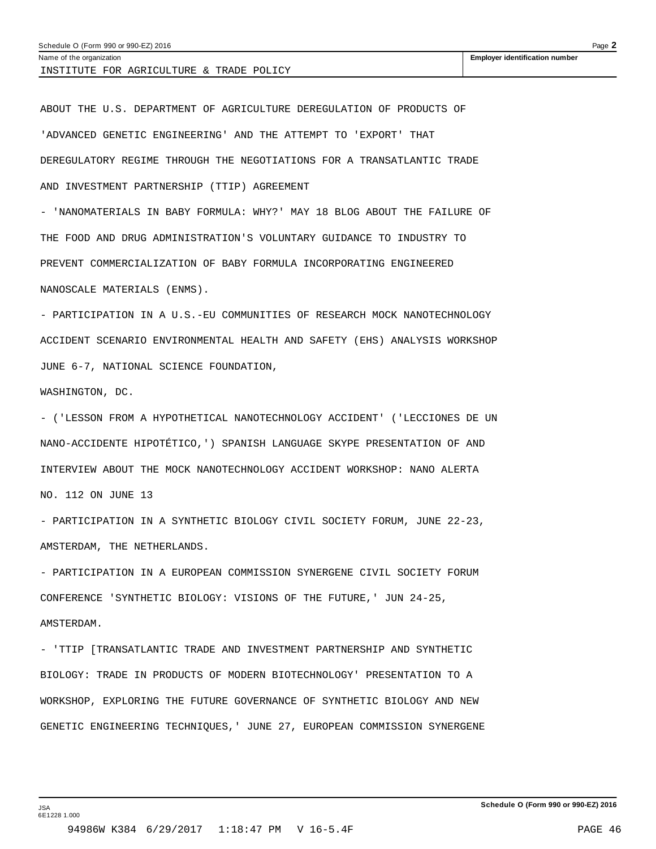| Schedule O (Form 990 or 990-EZ) 2016     |                                       |  |
|------------------------------------------|---------------------------------------|--|
| Name of the organization                 | <b>Employer identification number</b> |  |
| INSTITUTE FOR AGRICULTURE & TRADE POLICY |                                       |  |

ABOUT THE U.S. DEPARTMENT OF AGRICULTURE DEREGULATION OF PRODUCTS OF 'ADVANCED GENETIC ENGINEERING' AND THE ATTEMPT TO 'EXPORT' THAT DEREGULATORY REGIME THROUGH THE NEGOTIATIONS FOR A TRANSATLANTIC TRADE AND INVESTMENT PARTNERSHIP (TTIP) AGREEMENT

- 'NANOMATERIALS IN BABY FORMULA: WHY?' MAY 18 BLOG ABOUT THE FAILURE OF THE FOOD AND DRUG ADMINISTRATION'S VOLUNTARY GUIDANCE TO INDUSTRY TO PREVENT COMMERCIALIZATION OF BABY FORMULA INCORPORATING ENGINEERED NANOSCALE MATERIALS (ENMS).

- PARTICIPATION IN A U.S.-EU COMMUNITIES OF RESEARCH MOCK NANOTECHNOLOGY ACCIDENT SCENARIO ENVIRONMENTAL HEALTH AND SAFETY (EHS) ANALYSIS WORKSHOP JUNE 6-7, NATIONAL SCIENCE FOUNDATION,

WASHINGTON, DC.

JSA 6E1228 1.000

- ('LESSON FROM A HYPOTHETICAL NANOTECHNOLOGY ACCIDENT' ('LECCIONES DE UN NANO-ACCIDENTE HIPOTÉTICO,') SPANISH LANGUAGE SKYPE PRESENTATION OF AND INTERVIEW ABOUT THE MOCK NANOTECHNOLOGY ACCIDENT WORKSHOP: NANO ALERTA NO. 112 ON JUNE 13

- PARTICIPATION IN A SYNTHETIC BIOLOGY CIVIL SOCIETY FORUM, JUNE 22-23, AMSTERDAM, THE NETHERLANDS.

- PARTICIPATION IN A EUROPEAN COMMISSION SYNERGENE CIVIL SOCIETY FORUM CONFERENCE 'SYNTHETIC BIOLOGY: VISIONS OF THE FUTURE,' JUN 24-25, AMSTERDAM.

- 'TTIP [TRANSATLANTIC TRADE AND INVESTMENT PARTNERSHIP AND SYNTHETIC BIOLOGY: TRADE IN PRODUCTS OF MODERN BIOTECHNOLOGY' PRESENTATION TO A WORKSHOP, EXPLORING THE FUTURE GOVERNANCE OF SYNTHETIC BIOLOGY AND NEW GENETIC ENGINEERING TECHNIQUES,' JUNE 27, EUROPEAN COMMISSION SYNERGENE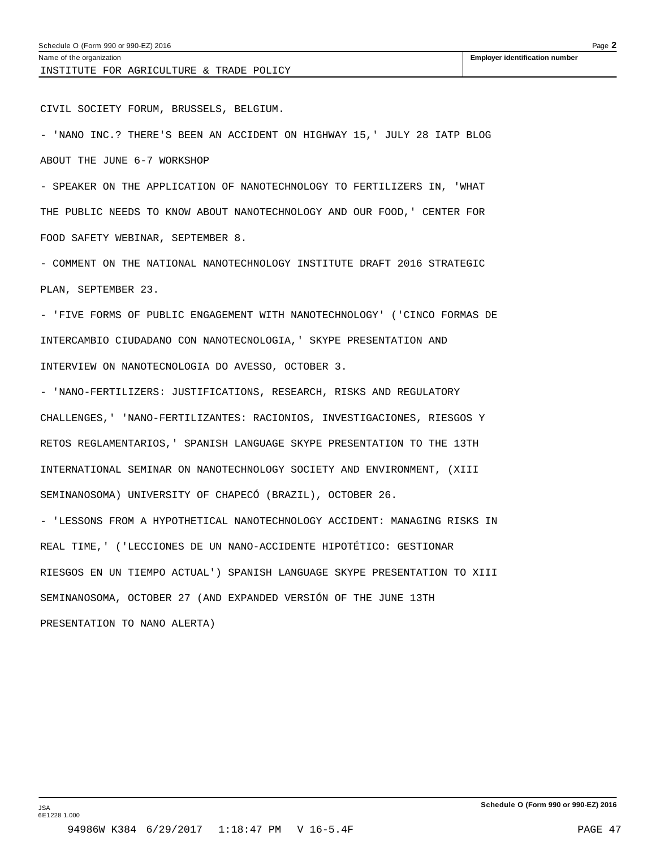INSTITUTE FOR AGRICULTURE & TRADE POLICY

CIVIL SOCIETY FORUM, BRUSSELS, BELGIUM.

- 'NANO INC.? THERE'S BEEN AN ACCIDENT ON HIGHWAY 15,' JULY 28 IATP BLOG ABOUT THE JUNE 6-7 WORKSHOP

- SPEAKER ON THE APPLICATION OF NANOTECHNOLOGY TO FERTILIZERS IN, 'WHAT THE PUBLIC NEEDS TO KNOW ABOUT NANOTECHNOLOGY AND OUR FOOD,' CENTER FOR FOOD SAFETY WEBINAR, SEPTEMBER 8.

- COMMENT ON THE NATIONAL NANOTECHNOLOGY INSTITUTE DRAFT 2016 STRATEGIC PLAN, SEPTEMBER 23.

- 'FIVE FORMS OF PUBLIC ENGAGEMENT WITH NANOTECHNOLOGY' ('CINCO FORMAS DE INTERCAMBIO CIUDADANO CON NANOTECNOLOGIA,' SKYPE PRESENTATION AND INTERVIEW ON NANOTECNOLOGIA DO AVESSO, OCTOBER 3.

- 'NANO-FERTILIZERS: JUSTIFICATIONS, RESEARCH, RISKS AND REGULATORY CHALLENGES,' 'NANO-FERTILIZANTES: RACIONIOS, INVESTIGACIONES, RIESGOS Y RETOS REGLAMENTARIOS,' SPANISH LANGUAGE SKYPE PRESENTATION TO THE 13TH INTERNATIONAL SEMINAR ON NANOTECHNOLOGY SOCIETY AND ENVIRONMENT, (XIII SEMINANOSOMA) UNIVERSITY OF CHAPECÓ (BRAZIL), OCTOBER 26.

- 'LESSONS FROM A HYPOTHETICAL NANOTECHNOLOGY ACCIDENT: MANAGING RISKS IN REAL TIME,' ('LECCIONES DE UN NANO-ACCIDENTE HIPOTÉTICO: GESTIONAR RIESGOS EN UN TIEMPO ACTUAL') SPANISH LANGUAGE SKYPE PRESENTATION TO XIII SEMINANOSOMA, OCTOBER 27 (AND EXPANDED VERSIÓN OF THE JUNE 13TH PRESENTATION TO NANO ALERTA)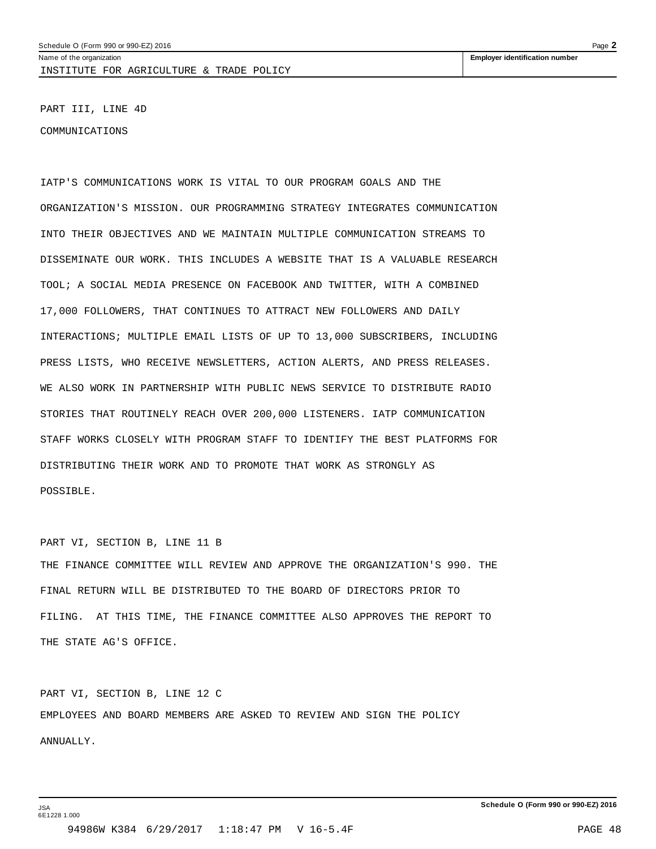INSTITUTE FOR AGRICULTURE & TRADE POLICY

Name of the organization **Employer identification number**

PART III, LINE 4D

COMMUNICATIONS

IATP'S COMMUNICATIONS WORK IS VITAL TO OUR PROGRAM GOALS AND THE ORGANIZATION'S MISSION. OUR PROGRAMMING STRATEGY INTEGRATES COMMUNICATION INTO THEIR OBJECTIVES AND WE MAINTAIN MULTIPLE COMMUNICATION STREAMS TO DISSEMINATE OUR WORK. THIS INCLUDES A WEBSITE THAT IS A VALUABLE RESEARCH TOOL; A SOCIAL MEDIA PRESENCE ON FACEBOOK AND TWITTER, WITH A COMBINED 17,000 FOLLOWERS, THAT CONTINUES TO ATTRACT NEW FOLLOWERS AND DAILY INTERACTIONS; MULTIPLE EMAIL LISTS OF UP TO 13,000 SUBSCRIBERS, INCLUDING PRESS LISTS, WHO RECEIVE NEWSLETTERS, ACTION ALERTS, AND PRESS RELEASES. WE ALSO WORK IN PARTNERSHIP WITH PUBLIC NEWS SERVICE TO DISTRIBUTE RADIO STORIES THAT ROUTINELY REACH OVER 200,000 LISTENERS. IATP COMMUNICATION STAFF WORKS CLOSELY WITH PROGRAM STAFF TO IDENTIFY THE BEST PLATFORMS FOR DISTRIBUTING THEIR WORK AND TO PROMOTE THAT WORK AS STRONGLY AS POSSIBLE.

### PART VI, SECTION B, LINE 11 B

THE FINANCE COMMITTEE WILL REVIEW AND APPROVE THE ORGANIZATION'S 990. THE FINAL RETURN WILL BE DISTRIBUTED TO THE BOARD OF DIRECTORS PRIOR TO FILING. AT THIS TIME, THE FINANCE COMMITTEE ALSO APPROVES THE REPORT TO THE STATE AG'S OFFICE.

PART VI, SECTION B, LINE 12 C EMPLOYEES AND BOARD MEMBERS ARE ASKED TO REVIEW AND SIGN THE POLICY ANNUALLY.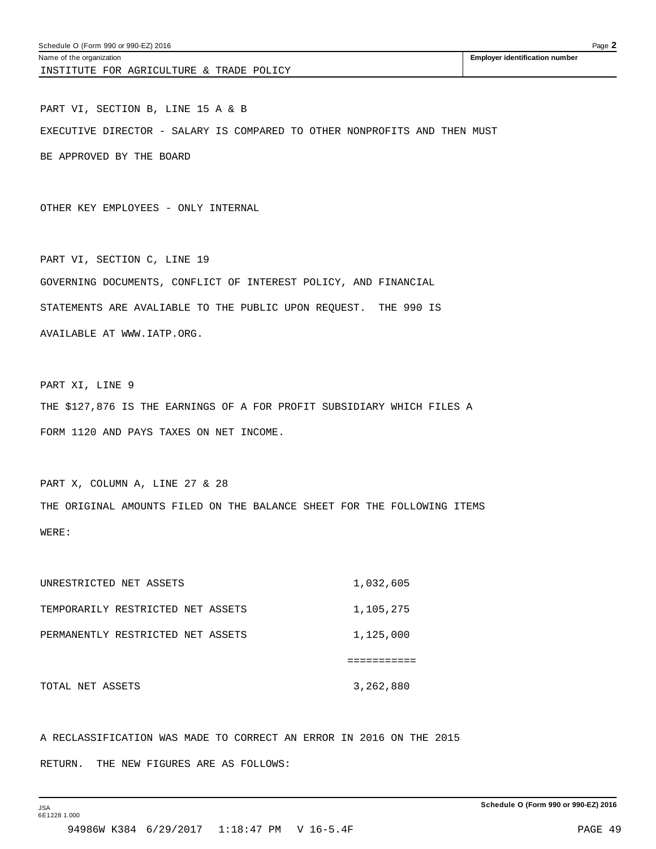Schedule O (Form 990 or 990-EZ) 2016 Page **2**

INSTITUTE FOR AGRICULTURE & TRADE POLICY

Name of the organization **intervalse of the organization number Employer identification number** 

PART VI, SECTION B, LINE 15 A & B EXECUTIVE DIRECTOR - SALARY IS COMPARED TO OTHER NONPROFITS AND THEN MUST BE APPROVED BY THE BOARD

OTHER KEY EMPLOYEES - ONLY INTERNAL

PART VI, SECTION C, LINE 19 GOVERNING DOCUMENTS, CONFLICT OF INTEREST POLICY, AND FINANCIAL STATEMENTS ARE AVALIABLE TO THE PUBLIC UPON REQUEST. THE 990 IS AVAILABLE AT WWW.IATP.ORG.

PART XI, LINE 9 THE \$127,876 IS THE EARNINGS OF A FOR PROFIT SUBSIDIARY WHICH FILES A FORM 1120 AND PAYS TAXES ON NET INCOME.

PART X, COLUMN A, LINE 27 & 28 THE ORIGINAL AMOUNTS FILED ON THE BALANCE SHEET FOR THE FOLLOWING ITEMS WERE:

| TOTAL NET ASSETS                  | 3,262,880 |
|-----------------------------------|-----------|
|                                   |           |
| PERMANENTLY RESTRICTED NET ASSETS | 1,125,000 |
| TEMPORARILY RESTRICTED NET ASSETS | 1,105,275 |
| UNRESTRICTED NET ASSETS           | 1,032,605 |

A RECLASSIFICATION WAS MADE TO CORRECT AN ERROR IN 2016 ON THE 2015

RETURN. THE NEW FIGURES ARE AS FOLLOWS: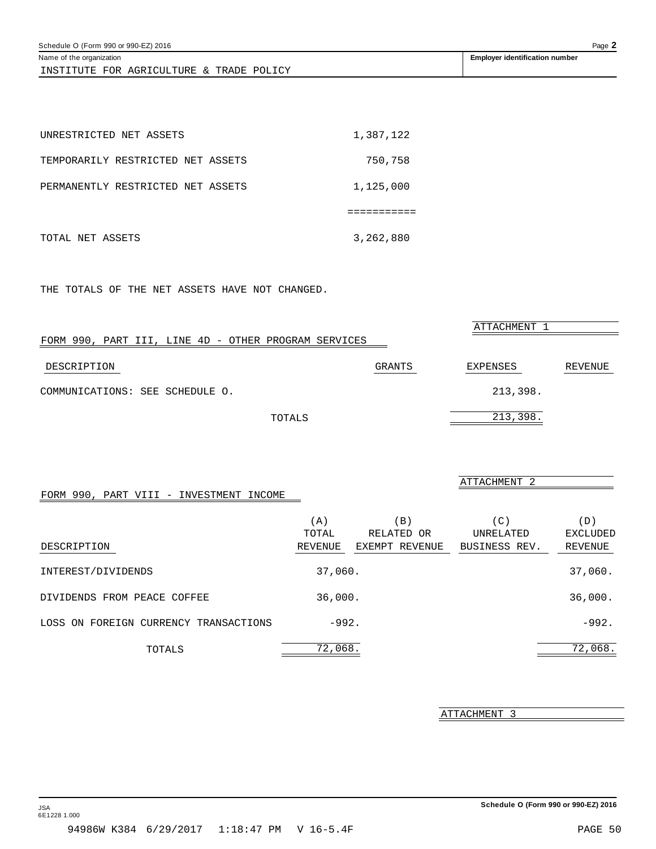| Name of the organization                             |         |                | <b>Employer identification number</b> |          |
|------------------------------------------------------|---------|----------------|---------------------------------------|----------|
| INSTITUTE FOR AGRICULTURE & TRADE POLICY             |         |                |                                       |          |
|                                                      |         |                |                                       |          |
|                                                      |         |                |                                       |          |
|                                                      |         |                |                                       |          |
|                                                      |         |                |                                       |          |
| UNRESTRICTED NET ASSETS                              |         | 1,387,122      |                                       |          |
|                                                      |         |                |                                       |          |
| TEMPORARILY RESTRICTED NET ASSETS                    |         | 750,758        |                                       |          |
| PERMANENTLY RESTRICTED NET ASSETS                    |         | 1,125,000      |                                       |          |
|                                                      |         |                |                                       |          |
|                                                      |         | ===========    |                                       |          |
|                                                      |         |                |                                       |          |
| TOTAL NET ASSETS                                     |         | 3,262,880      |                                       |          |
|                                                      |         |                |                                       |          |
|                                                      |         |                |                                       |          |
|                                                      |         |                |                                       |          |
| THE TOTALS OF THE NET ASSETS HAVE NOT CHANGED.       |         |                |                                       |          |
|                                                      |         |                |                                       |          |
|                                                      |         |                |                                       |          |
|                                                      |         |                | ATTACHMENT 1                          |          |
| FORM 990, PART III, LINE 4D - OTHER PROGRAM SERVICES |         |                |                                       |          |
| DESCRIPTION                                          |         | GRANTS         | EXPENSES                              | REVENUE  |
|                                                      |         |                |                                       |          |
| COMMUNICATIONS: SEE SCHEDULE O.                      |         |                | 213,398.                              |          |
|                                                      |         |                |                                       |          |
|                                                      | TOTALS  |                | $\overline{213}$ , 398.               |          |
|                                                      |         |                |                                       |          |
|                                                      |         |                |                                       |          |
|                                                      |         |                |                                       |          |
|                                                      |         |                |                                       |          |
|                                                      |         |                | ATTACHMENT 2                          |          |
| FORM 990, PART VIII - INVESTMENT INCOME              |         |                |                                       |          |
|                                                      |         |                |                                       |          |
|                                                      | (A)     | (B)            | (C)                                   | (D)      |
|                                                      | TOTAL   | RELATED OR     | UNRELATED                             | EXCLUDED |
| DESCRIPTION                                          | REVENUE | EXEMPT REVENUE | BUSINESS REV.                         | REVENUE  |
| INTEREST/DIVIDENDS                                   | 37,060. |                |                                       | 37,060.  |
|                                                      |         |                |                                       |          |
| DIVIDENDS FROM PEACE COFFEE                          | 36,000. |                |                                       | 36,000.  |
|                                                      |         |                |                                       |          |
| LOSS ON FOREIGN CURRENCY TRANSACTIONS                | $-992.$ |                |                                       | $-992.$  |
|                                                      |         |                |                                       |          |
| TOTALS                                               | 72,068. |                |                                       | 72,068.  |
|                                                      |         |                |                                       |          |

<span id="page-48-0"></span>Schedule O (Form 990 or 990-EZ) 2016 Page **2**

ATTACHMENT 3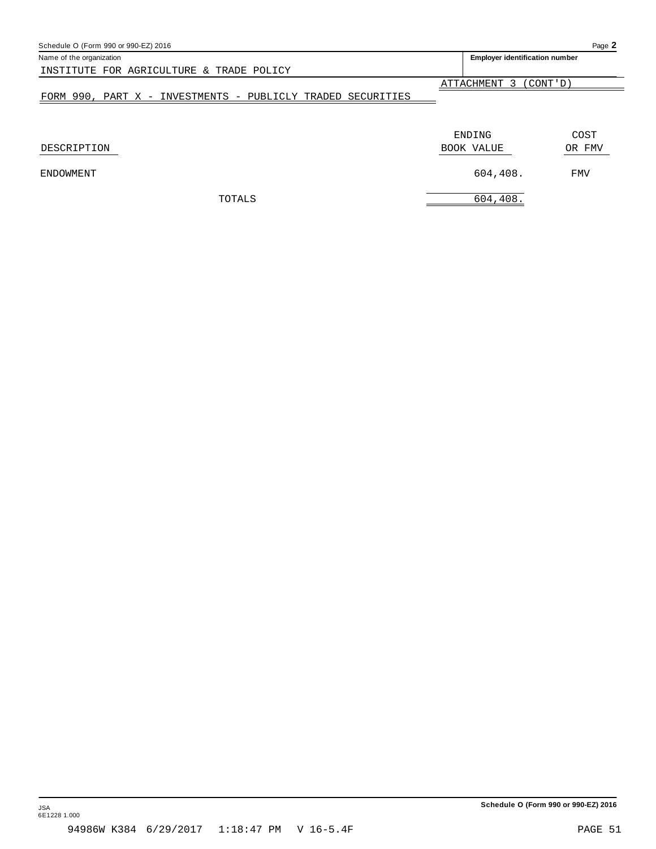| Schedule O (Form 990 or 990-EZ) 2016                        |                                       | Page 2      |
|-------------------------------------------------------------|---------------------------------------|-------------|
| Name of the organization                                    | <b>Employer identification number</b> |             |
| INSTITUTE FOR AGRICULTURE & TRADE POLICY                    |                                       |             |
|                                                             | ATTACHMENT 3                          | (CONT ' D ) |
| FORM 990, PART X - INVESTMENTS - PUBLICLY TRADED SECURITIES |                                       |             |
|                                                             |                                       |             |
|                                                             |                                       |             |
|                                                             | ENDING                                | COST        |
| DESCRIPTION                                                 | <b>BOOK VALUE</b>                     | OR FMV      |
| ENDOWMENT                                                   | 604,408.                              | FMV         |
| TOTALS                                                      | 604,408.                              |             |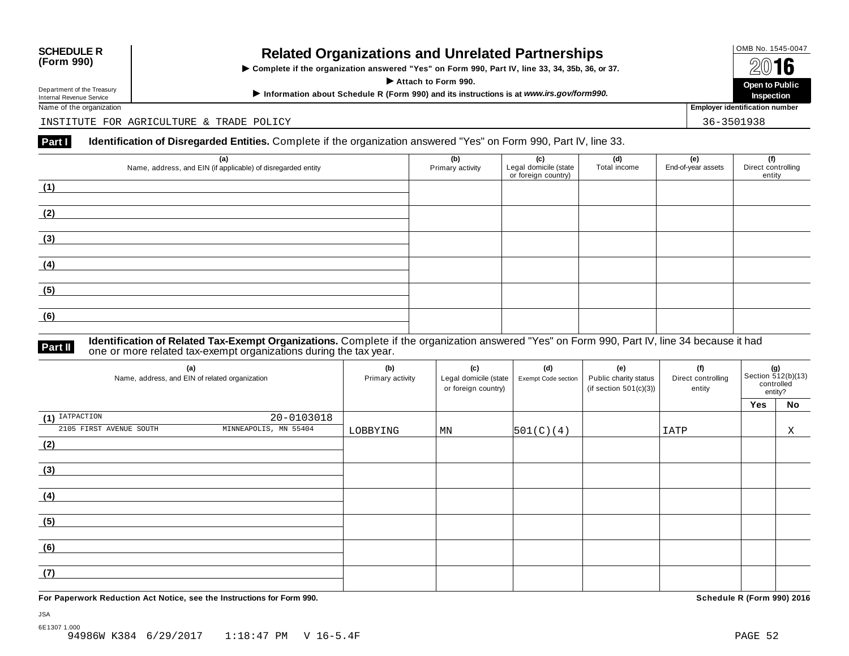## OMB No. 1545-0047 **SCHEDULE R (Form 990) Related Organizations and Unrelated Partnerships**

 $\triangleright$  Complete if the organization answered "Yes" on Form 990, Part IV, line 33, 34, 35b, 36, or 37.  $\overline{A}$  **CONTRES** on Form 990, Part IV, line 33, 34, 35b, 36, or 37.

**Inspection**

Department of the Treasury Department of the Treasury<br>
Department of the Treasury Depart to Fublic<br>
Inspection<br>
Name of the organization<br>
Name of the organization

INSTITUTE FOR AGRICULTURE & TRADE POLICY 36-3501938

### **Part I Identification of Disregarded Entities.** Complete if the organization answered "Yes" on Form 990, Part IV, line 33.

| (a)<br>Name, address, and EIN (if applicable) of disregarded entity | (b)<br>Primary activity | (c)<br>Legal domicile (state<br>or foreign country) | (d)<br>Total income | (e)<br>End-of-year assets | (f)<br>Direct controlling<br>entity |
|---------------------------------------------------------------------|-------------------------|-----------------------------------------------------|---------------------|---------------------------|-------------------------------------|
| (1)                                                                 |                         |                                                     |                     |                           |                                     |
|                                                                     |                         |                                                     |                     |                           |                                     |
| (2)                                                                 |                         |                                                     |                     |                           |                                     |
|                                                                     |                         |                                                     |                     |                           |                                     |
| (3)                                                                 |                         |                                                     |                     |                           |                                     |
|                                                                     |                         |                                                     |                     |                           |                                     |
| (4)                                                                 |                         |                                                     |                     |                           |                                     |
| (5)                                                                 |                         |                                                     |                     |                           |                                     |
|                                                                     |                         |                                                     |                     |                           |                                     |
| (6)                                                                 |                         |                                                     |                     |                           |                                     |
|                                                                     |                         |                                                     |                     |                           |                                     |

**Identification of Related Tax-Exempt Organizations.** Complete if the organization answered "Yes" on Form 990, Part IV, line 34 because it had **Part II** one or more related tax-exempt organizations during the tax year.

| (a)<br>Name, address, and EIN of related organization |                       | (b)<br>Primary activity | (c)<br>Legal domicile (state<br>Exempt Code section<br>or foreign country) |           | (e)<br>Public charity status<br>(if section $501(c)(3)$ ) | (f)<br>Direct controlling<br>entity | (g)<br>Section $\frac{3}{12(b)(13)}$<br>controlled<br>entity? |    |
|-------------------------------------------------------|-----------------------|-------------------------|----------------------------------------------------------------------------|-----------|-----------------------------------------------------------|-------------------------------------|---------------------------------------------------------------|----|
|                                                       |                       |                         |                                                                            |           |                                                           |                                     | Yes                                                           | No |
| $(1)$ LATPACTION                                      | 20-0103018            |                         |                                                                            |           |                                                           |                                     |                                                               |    |
| 2105 FIRST AVENUE SOUTH                               | MINNEAPOLIS, MN 55404 | LOBBYING                | MN                                                                         | 501(C)(4) |                                                           | IATP                                |                                                               | Χ  |
| (2)                                                   |                       |                         |                                                                            |           |                                                           |                                     |                                                               |    |
|                                                       |                       |                         |                                                                            |           |                                                           |                                     |                                                               |    |
| (3)                                                   |                       |                         |                                                                            |           |                                                           |                                     |                                                               |    |
|                                                       |                       |                         |                                                                            |           |                                                           |                                     |                                                               |    |
| (4)                                                   |                       |                         |                                                                            |           |                                                           |                                     |                                                               |    |
|                                                       |                       |                         |                                                                            |           |                                                           |                                     |                                                               |    |
| (5)                                                   |                       |                         |                                                                            |           |                                                           |                                     |                                                               |    |
|                                                       |                       |                         |                                                                            |           |                                                           |                                     |                                                               |    |
| (6)                                                   |                       |                         |                                                                            |           |                                                           |                                     |                                                               |    |
|                                                       |                       |                         |                                                                            |           |                                                           |                                     |                                                               |    |
| (7)                                                   |                       |                         |                                                                            |           |                                                           |                                     |                                                               |    |
|                                                       |                       |                         |                                                                            |           |                                                           |                                     |                                                               |    |

**For Paperwork Reduction Act Notice, see the Instructions for Form 990. Schedule R (Form 990) 2016**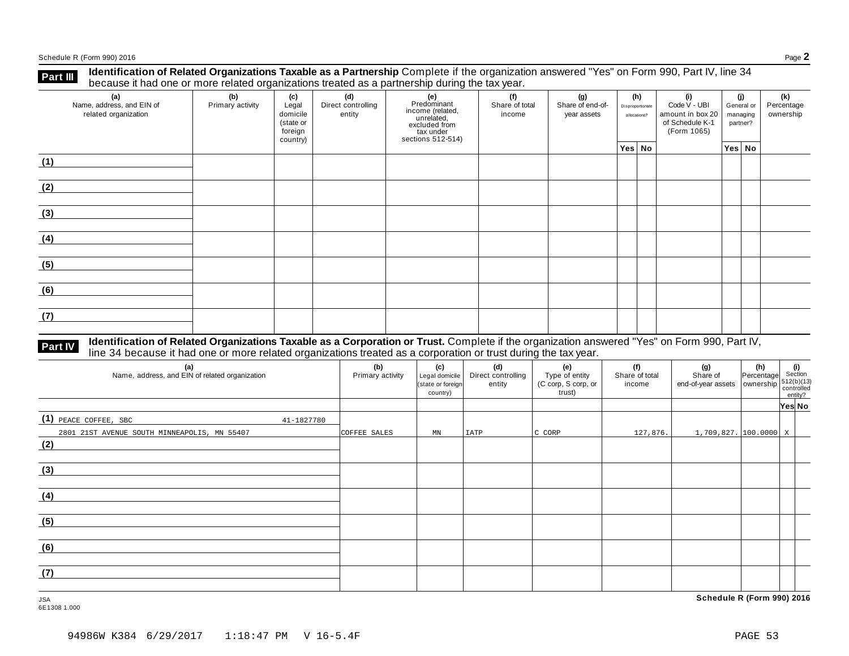Schedule <sup>R</sup> (Form 990) <sup>2016</sup> Page **2**

| (a)<br>Name, address, and EIN of<br>related organization | (b)<br>Primary activity | (c)<br>Legal<br>domicile<br>(state or<br>foreign<br>country) | (d)<br>Direct controlling<br>entity | (e)<br>Predominant<br>income (related,<br>unrelated,<br>excluded from<br>tax under<br>sections 512-514) | (f)<br>Share of total<br>income | (g)<br>Share of end-of-<br>year assets | (h)<br>Disproportionate<br>allocations? | (i)<br>Code V - UBI<br>amount in box 20<br>of Schedule K-1<br>(Form 1065) | managing | (j)<br>General or<br>partner? | (k)<br>Percentage<br>ownership |
|----------------------------------------------------------|-------------------------|--------------------------------------------------------------|-------------------------------------|---------------------------------------------------------------------------------------------------------|---------------------------------|----------------------------------------|-----------------------------------------|---------------------------------------------------------------------------|----------|-------------------------------|--------------------------------|
|                                                          |                         |                                                              |                                     |                                                                                                         |                                 |                                        | Yes No                                  |                                                                           | Yes No   |                               |                                |
| (1)                                                      |                         |                                                              |                                     |                                                                                                         |                                 |                                        |                                         |                                                                           |          |                               |                                |
| (2)                                                      |                         |                                                              |                                     |                                                                                                         |                                 |                                        |                                         |                                                                           |          |                               |                                |
| (3)                                                      |                         |                                                              |                                     |                                                                                                         |                                 |                                        |                                         |                                                                           |          |                               |                                |
| (4)                                                      |                         |                                                              |                                     |                                                                                                         |                                 |                                        |                                         |                                                                           |          |                               |                                |
| (5)                                                      |                         |                                                              |                                     |                                                                                                         |                                 |                                        |                                         |                                                                           |          |                               |                                |
| (6)                                                      |                         |                                                              |                                     |                                                                                                         |                                 |                                        |                                         |                                                                           |          |                               |                                |
| (7)                                                      |                         |                                                              |                                     |                                                                                                         |                                 |                                        |                                         |                                                                           |          |                               |                                |

# **Part IV** Identification of Related Organizations Taxable as a Corporation or Trust. Complete if the organization answered "Yes" on Form 990, Part IV,<br>line 34 because it had one or more related organizations treated as a c

| (a)<br>Name, address, and EIN of related organization                               | (b)<br>Primary activity | (c)<br>Legal domicile<br>(state or foreign<br>country) | (d)<br>Direct controlling<br>entity | (e)<br>Type of entity<br>(C corp, S corp, or<br>trust) | (f)<br>Share of total<br>income | (g)<br>Share of<br>end-of-year assets ownership 512(b)(13) | (h)<br>Percentage | (i)<br>Section<br>entity? |  |
|-------------------------------------------------------------------------------------|-------------------------|--------------------------------------------------------|-------------------------------------|--------------------------------------------------------|---------------------------------|------------------------------------------------------------|-------------------|---------------------------|--|
|                                                                                     |                         |                                                        |                                     |                                                        |                                 |                                                            |                   | Yes No                    |  |
| (1) PEACE COFFEE, SBC<br>41-1827780<br>2801 21ST AVENUE SOUTH MINNEAPOLIS, MN 55407 | COFFEE SALES            | MN                                                     | IATP                                | C CORP                                                 | 127,876.                        | $1,709,827.$ 100.0000 X                                    |                   |                           |  |
| (2)                                                                                 |                         |                                                        |                                     |                                                        |                                 |                                                            |                   |                           |  |
| (3)                                                                                 |                         |                                                        |                                     |                                                        |                                 |                                                            |                   |                           |  |
| (4)                                                                                 |                         |                                                        |                                     |                                                        |                                 |                                                            |                   |                           |  |
| (5)                                                                                 |                         |                                                        |                                     |                                                        |                                 |                                                            |                   |                           |  |
| (6)                                                                                 |                         |                                                        |                                     |                                                        |                                 |                                                            |                   |                           |  |
| (7)                                                                                 |                         |                                                        |                                     |                                                        |                                 |                                                            |                   |                           |  |

JSA **Schedule R (Form 990) 2016**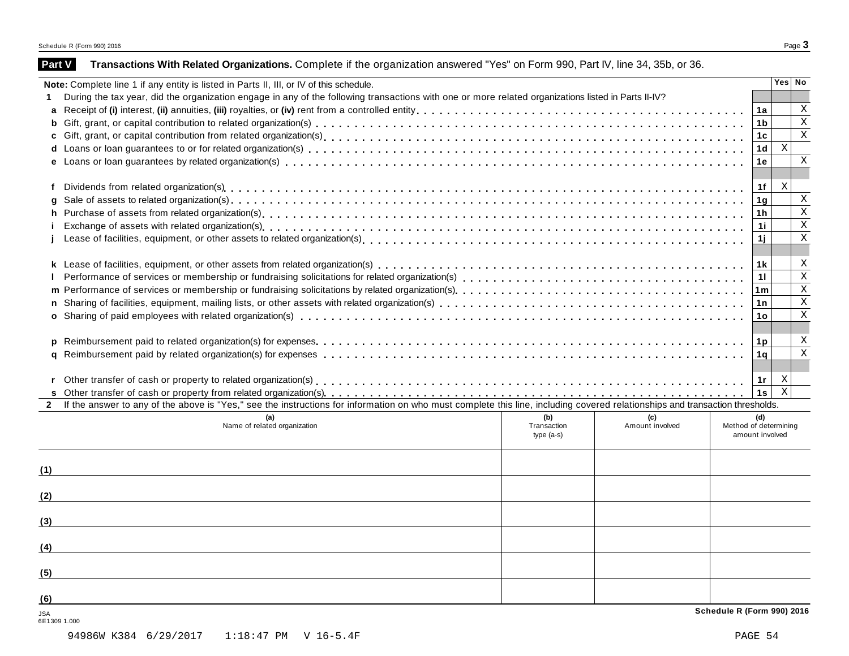| Part V I |  |  | Transactions With Related Organizations. Complete if the organization answered "Yes" on Form 990, Part IV, line 34, 35b, or 36. |
|----------|--|--|---------------------------------------------------------------------------------------------------------------------------------|
|----------|--|--|---------------------------------------------------------------------------------------------------------------------------------|

|     | Note: Complete line 1 if any entity is listed in Parts II, III, or IV of this schedule.                                                                                      |                                          | Yes No       |              |
|-----|------------------------------------------------------------------------------------------------------------------------------------------------------------------------------|------------------------------------------|--------------|--------------|
| 1   | During the tax year, did the organization engage in any of the following transactions with one or more related organizations listed in Parts II-IV?                          |                                          |              |              |
|     |                                                                                                                                                                              | 1a                                       |              | X            |
| b   |                                                                                                                                                                              | 1 <sub>b</sub>                           |              | $\mathbf X$  |
| C   |                                                                                                                                                                              | 1c                                       |              | $\mathbf X$  |
|     |                                                                                                                                                                              | 1 <sub>d</sub>                           | $\mathbf x$  |              |
|     |                                                                                                                                                                              | 1е                                       |              | X            |
|     |                                                                                                                                                                              |                                          |              |              |
| f   |                                                                                                                                                                              | 1f                                       | X            |              |
| a   |                                                                                                                                                                              | 1 <sub>g</sub>                           |              | $\mathbf X$  |
| h   |                                                                                                                                                                              | 1h                                       |              | X            |
|     |                                                                                                                                                                              | 1i                                       |              | $\mathbf x$  |
|     |                                                                                                                                                                              | 1i                                       |              | $\mathbf X$  |
|     |                                                                                                                                                                              |                                          |              |              |
|     |                                                                                                                                                                              | 1 <sup>k</sup>                           |              | X            |
|     |                                                                                                                                                                              | 11                                       |              | $\mathbf{x}$ |
|     |                                                                                                                                                                              | 1 <sub>m</sub>                           |              | $\mathbf x$  |
|     |                                                                                                                                                                              | 1n                                       |              | $\mathbf X$  |
|     |                                                                                                                                                                              | 10                                       |              | $\mathbf{x}$ |
|     |                                                                                                                                                                              |                                          |              |              |
| p   |                                                                                                                                                                              | 1p                                       |              | X            |
| a   |                                                                                                                                                                              | 1q                                       |              | $\mathbf{x}$ |
|     |                                                                                                                                                                              |                                          |              |              |
|     |                                                                                                                                                                              | 1r                                       | X            |              |
|     |                                                                                                                                                                              | 1s                                       | $\mathbf{x}$ |              |
|     | If the answer to any of the above is "Yes," see the instructions for information on who must complete this line, including covered relationships and transaction thresholds. |                                          |              |              |
|     | (b)<br>(a)<br>(c)                                                                                                                                                            | (d)                                      |              |              |
|     | Name of related organization<br>Transaction<br>Amount involved<br>$type(a-s)$                                                                                                | Method of determining<br>amount involved |              |              |
|     |                                                                                                                                                                              |                                          |              |              |
|     |                                                                                                                                                                              |                                          |              |              |
| (1) |                                                                                                                                                                              |                                          |              |              |
|     |                                                                                                                                                                              |                                          |              |              |
| (2) |                                                                                                                                                                              |                                          |              |              |
|     |                                                                                                                                                                              |                                          |              |              |
| (3) |                                                                                                                                                                              |                                          |              |              |
|     |                                                                                                                                                                              |                                          |              |              |
| (4) |                                                                                                                                                                              |                                          |              |              |
|     |                                                                                                                                                                              |                                          |              |              |
| (5) |                                                                                                                                                                              |                                          |              |              |
|     |                                                                                                                                                                              |                                          |              |              |
| (6) |                                                                                                                                                                              |                                          |              |              |

6E1309 1.000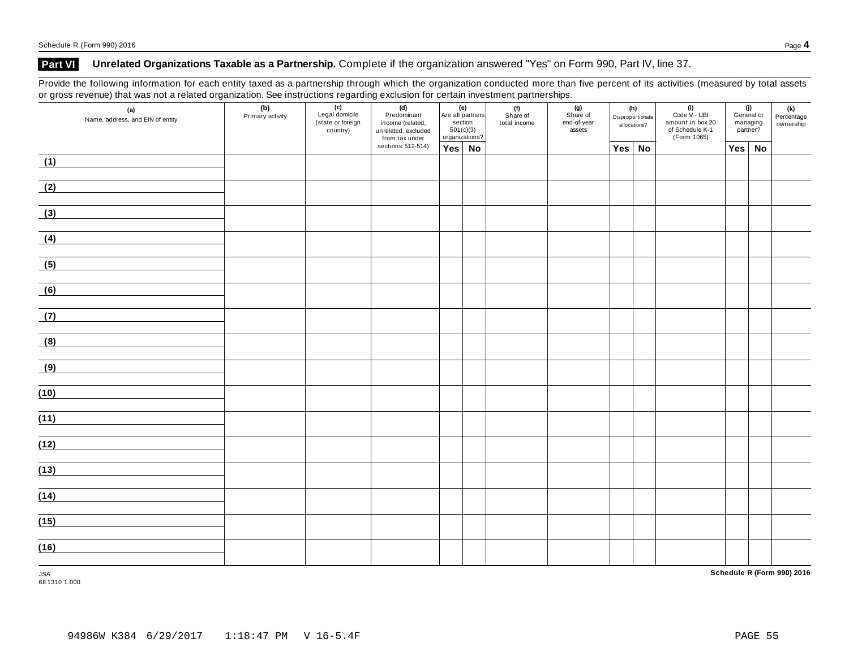### **Part VI Unrelated Organizations Taxable as a Partnership.** Complete if the organization answered "Yes" on Form 990, Part IV, line 37.

Provide the following information for each entity taxed as a partnership through which the organization conducted more than five percent of its activities (measured by total assets or gross revenue) that was not a related organization. See instructions regarding exclusion for certain investment partnerships.

| $\tilde{}$<br>$\overline{\phantom{a}}$<br>(a)<br>Name, address, and EIN of entity | $\tilde{\phantom{a}}$<br>(b)<br>Primary activity | $\tilde{\phantom{a}}$<br>(c)<br>Legal domicile<br>(state or foreign<br>country) |                                     | (e)<br>Are all partners<br>section<br>unrelated, excluded<br>501(c)(3)<br>organizations? |               | . .<br>(f)<br>Share of<br>total income | (g)<br>Share of<br>end-of-year<br>assets | (h)<br>Disproportionate<br>allocations? |           | $(i)$<br>Code $\vee$ - UBI<br>amount in box 20<br>of Schedule K-1<br>(Form 1065) | (j)<br>General or<br>managing<br>partner? |           | (k)<br>Percentage<br>ownership |
|-----------------------------------------------------------------------------------|--------------------------------------------------|---------------------------------------------------------------------------------|-------------------------------------|------------------------------------------------------------------------------------------|---------------|----------------------------------------|------------------------------------------|-----------------------------------------|-----------|----------------------------------------------------------------------------------|-------------------------------------------|-----------|--------------------------------|
|                                                                                   |                                                  |                                                                                 | from tax under<br>sections 512-514) |                                                                                          | $Yes \mid No$ |                                        |                                          | Yes                                     | <b>No</b> |                                                                                  | Yes                                       | <b>No</b> |                                |
| (1)                                                                               |                                                  |                                                                                 |                                     |                                                                                          |               |                                        |                                          |                                         |           |                                                                                  |                                           |           |                                |
| (2)                                                                               |                                                  |                                                                                 |                                     |                                                                                          |               |                                        |                                          |                                         |           |                                                                                  |                                           |           |                                |
| (3)                                                                               |                                                  |                                                                                 |                                     |                                                                                          |               |                                        |                                          |                                         |           |                                                                                  |                                           |           |                                |
| (4)                                                                               |                                                  |                                                                                 |                                     |                                                                                          |               |                                        |                                          |                                         |           |                                                                                  |                                           |           |                                |
| (5)                                                                               |                                                  |                                                                                 |                                     |                                                                                          |               |                                        |                                          |                                         |           |                                                                                  |                                           |           |                                |
| (6)                                                                               |                                                  |                                                                                 |                                     |                                                                                          |               |                                        |                                          |                                         |           |                                                                                  |                                           |           |                                |
| (7)                                                                               |                                                  |                                                                                 |                                     |                                                                                          |               |                                        |                                          |                                         |           |                                                                                  |                                           |           |                                |
| (8)                                                                               |                                                  |                                                                                 |                                     |                                                                                          |               |                                        |                                          |                                         |           |                                                                                  |                                           |           |                                |
| (9)                                                                               |                                                  |                                                                                 |                                     |                                                                                          |               |                                        |                                          |                                         |           |                                                                                  |                                           |           |                                |
| (10)                                                                              |                                                  |                                                                                 |                                     |                                                                                          |               |                                        |                                          |                                         |           |                                                                                  |                                           |           |                                |
| (11)                                                                              |                                                  |                                                                                 |                                     |                                                                                          |               |                                        |                                          |                                         |           |                                                                                  |                                           |           |                                |
| (12)                                                                              |                                                  |                                                                                 |                                     |                                                                                          |               |                                        |                                          |                                         |           |                                                                                  |                                           |           |                                |
| (13)                                                                              |                                                  |                                                                                 |                                     |                                                                                          |               |                                        |                                          |                                         |           |                                                                                  |                                           |           |                                |
| (14)                                                                              |                                                  |                                                                                 |                                     |                                                                                          |               |                                        |                                          |                                         |           |                                                                                  |                                           |           |                                |
| (15)                                                                              |                                                  |                                                                                 |                                     |                                                                                          |               |                                        |                                          |                                         |           |                                                                                  |                                           |           |                                |
| (16)                                                                              |                                                  |                                                                                 |                                     |                                                                                          |               |                                        |                                          |                                         |           |                                                                                  |                                           |           |                                |
| <b>JSA</b>                                                                        |                                                  |                                                                                 |                                     |                                                                                          |               |                                        |                                          |                                         |           |                                                                                  |                                           |           | Schedule R (Form 990) 2016     |

6E1310 1.000